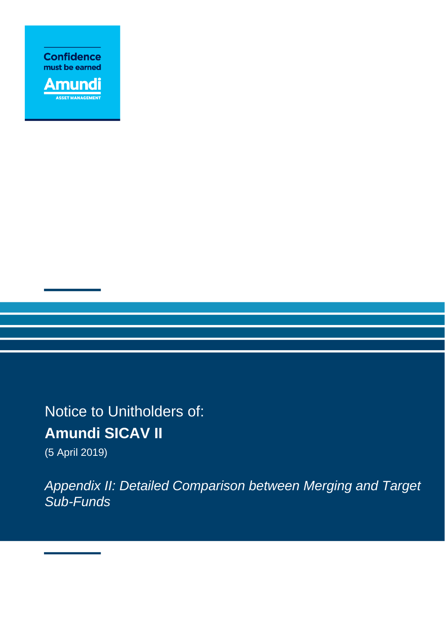



Notice to Unitholders of: **Amundi SICAV II** 

(5 April 2019)

*Appendix II: Detailed Comparison between Merging and Target Sub-Funds*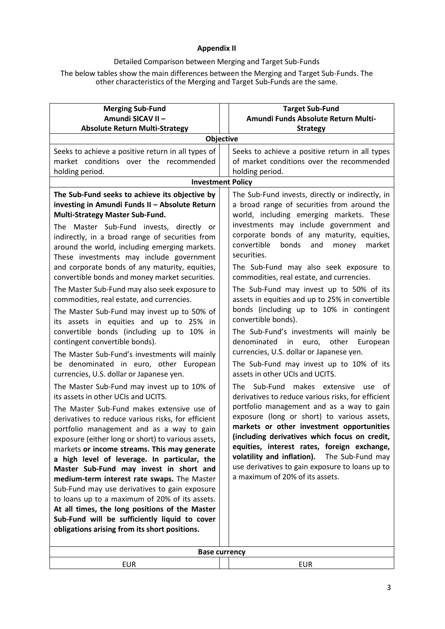## **Appendix II**

## Detailed Comparison between Merging and Target Sub-Funds

The below tables show the main differences between the Merging and Target Sub-Funds. The other characteristics of the Merging and Target Sub-Funds are the same.

| <b>Merging Sub-Fund</b><br>Amundi SICAV II -                                                                                                                                                                                                                                                                                                                                                                                                                                                                                                                                                                                                                                                                                                                                                                                                                                                                                                                                                                                                                                                                                                                                                                                                                                                                                                                                                                                                                                                                                                                                                    | <b>Target Sub-Fund</b><br>Amundi Funds Absolute Return Multi-                                                                                                                                                                                                                                                                                                                                                                                                                                                                                                                                                                                                                                                                                                                                                                                                                                                                                                                                                                                                                                                                                                                                                                                                       |  |  |
|-------------------------------------------------------------------------------------------------------------------------------------------------------------------------------------------------------------------------------------------------------------------------------------------------------------------------------------------------------------------------------------------------------------------------------------------------------------------------------------------------------------------------------------------------------------------------------------------------------------------------------------------------------------------------------------------------------------------------------------------------------------------------------------------------------------------------------------------------------------------------------------------------------------------------------------------------------------------------------------------------------------------------------------------------------------------------------------------------------------------------------------------------------------------------------------------------------------------------------------------------------------------------------------------------------------------------------------------------------------------------------------------------------------------------------------------------------------------------------------------------------------------------------------------------------------------------------------------------|---------------------------------------------------------------------------------------------------------------------------------------------------------------------------------------------------------------------------------------------------------------------------------------------------------------------------------------------------------------------------------------------------------------------------------------------------------------------------------------------------------------------------------------------------------------------------------------------------------------------------------------------------------------------------------------------------------------------------------------------------------------------------------------------------------------------------------------------------------------------------------------------------------------------------------------------------------------------------------------------------------------------------------------------------------------------------------------------------------------------------------------------------------------------------------------------------------------------------------------------------------------------|--|--|
| <b>Absolute Return Multi-Strategy</b>                                                                                                                                                                                                                                                                                                                                                                                                                                                                                                                                                                                                                                                                                                                                                                                                                                                                                                                                                                                                                                                                                                                                                                                                                                                                                                                                                                                                                                                                                                                                                           | <b>Strategy</b>                                                                                                                                                                                                                                                                                                                                                                                                                                                                                                                                                                                                                                                                                                                                                                                                                                                                                                                                                                                                                                                                                                                                                                                                                                                     |  |  |
| Objective                                                                                                                                                                                                                                                                                                                                                                                                                                                                                                                                                                                                                                                                                                                                                                                                                                                                                                                                                                                                                                                                                                                                                                                                                                                                                                                                                                                                                                                                                                                                                                                       |                                                                                                                                                                                                                                                                                                                                                                                                                                                                                                                                                                                                                                                                                                                                                                                                                                                                                                                                                                                                                                                                                                                                                                                                                                                                     |  |  |
| Seeks to achieve a positive return in all types of<br>market conditions over the recommended<br>holding period.                                                                                                                                                                                                                                                                                                                                                                                                                                                                                                                                                                                                                                                                                                                                                                                                                                                                                                                                                                                                                                                                                                                                                                                                                                                                                                                                                                                                                                                                                 | Seeks to achieve a positive return in all types<br>of market conditions over the recommended<br>holding period.                                                                                                                                                                                                                                                                                                                                                                                                                                                                                                                                                                                                                                                                                                                                                                                                                                                                                                                                                                                                                                                                                                                                                     |  |  |
| <b>Investment Policy</b>                                                                                                                                                                                                                                                                                                                                                                                                                                                                                                                                                                                                                                                                                                                                                                                                                                                                                                                                                                                                                                                                                                                                                                                                                                                                                                                                                                                                                                                                                                                                                                        |                                                                                                                                                                                                                                                                                                                                                                                                                                                                                                                                                                                                                                                                                                                                                                                                                                                                                                                                                                                                                                                                                                                                                                                                                                                                     |  |  |
| The Sub-Fund seeks to achieve its objective by<br>investing in Amundi Funds II - Absolute Return<br>Multi-Strategy Master Sub-Fund.<br>The Master Sub-Fund invests, directly or<br>indirectly, in a broad range of securities from<br>around the world, including emerging markets.<br>These investments may include government<br>and corporate bonds of any maturity, equities,<br>convertible bonds and money market securities.<br>The Master Sub-Fund may also seek exposure to<br>commodities, real estate, and currencies.<br>The Master Sub-Fund may invest up to 50% of<br>its assets in equities and up to 25% in<br>convertible bonds (including up to 10% in<br>contingent convertible bonds).<br>The Master Sub-Fund's investments will mainly<br>be denominated in euro, other European<br>currencies, U.S. dollar or Japanese yen.<br>The Master Sub-Fund may invest up to 10% of<br>its assets in other UCIs and UCITS.<br>The Master Sub-Fund makes extensive use of<br>derivatives to reduce various risks, for efficient<br>portfolio management and as a way to gain<br>exposure (either long or short) to various assets,<br>markets or income streams. This may generate<br>a high level of leverage. In particular, the<br>Master Sub-Fund may invest in short and<br>medium-term interest rate swaps. The Master<br>Sub-Fund may use derivatives to gain exposure<br>to loans up to a maximum of 20% of its assets.<br>At all times, the long positions of the Master<br>Sub-Fund will be sufficiently liquid to cover<br>obligations arising from its short positions. | The Sub-Fund invests, directly or indirectly, in<br>a broad range of securities from around the<br>world, including emerging markets. These<br>investments may include government and<br>corporate bonds of any maturity, equities,<br>convertible<br>bonds<br>and<br>market<br>money<br>securities.<br>The Sub-Fund may also seek exposure to<br>commodities, real estate, and currencies.<br>The Sub-Fund may invest up to 50% of its<br>assets in equities and up to 25% in convertible<br>bonds (including up to 10% in contingent<br>convertible bonds).<br>The Sub-Fund's investments will mainly be<br>denominated<br>euro, other<br>European<br>in<br>currencies, U.S. dollar or Japanese yen.<br>The Sub-Fund may invest up to 10% of its<br>assets in other UCIs and UCITS.<br>The Sub-Fund makes extensive use of<br>derivatives to reduce various risks, for efficient<br>portfolio management and as a way to gain<br>exposure (long or short) to various assets,<br>markets or other investment opportunities<br>(including derivatives which focus on credit,<br>equities, interest rates, foreign exchange,<br>volatility and inflation).<br>The Sub-Fund may<br>use derivatives to gain exposure to loans up to<br>a maximum of 20% of its assets. |  |  |
|                                                                                                                                                                                                                                                                                                                                                                                                                                                                                                                                                                                                                                                                                                                                                                                                                                                                                                                                                                                                                                                                                                                                                                                                                                                                                                                                                                                                                                                                                                                                                                                                 |                                                                                                                                                                                                                                                                                                                                                                                                                                                                                                                                                                                                                                                                                                                                                                                                                                                                                                                                                                                                                                                                                                                                                                                                                                                                     |  |  |
| <b>Base currency</b>                                                                                                                                                                                                                                                                                                                                                                                                                                                                                                                                                                                                                                                                                                                                                                                                                                                                                                                                                                                                                                                                                                                                                                                                                                                                                                                                                                                                                                                                                                                                                                            |                                                                                                                                                                                                                                                                                                                                                                                                                                                                                                                                                                                                                                                                                                                                                                                                                                                                                                                                                                                                                                                                                                                                                                                                                                                                     |  |  |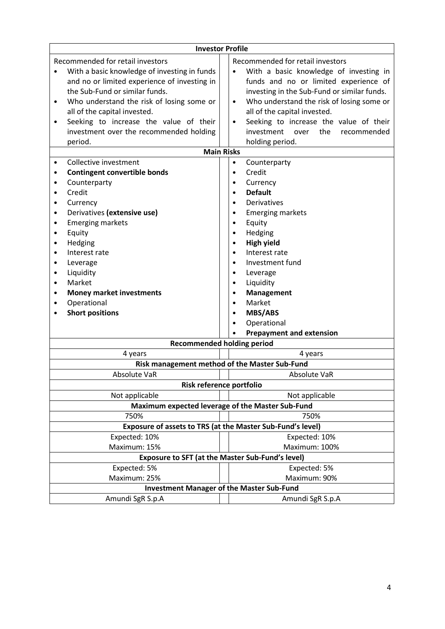| <b>Investor Profile</b>                           |                                                                                                                                                                                                                                                                                                                                                 |              |                                                                                                                                                                                                                                                                                                                                                                                                                                                           |  |
|---------------------------------------------------|-------------------------------------------------------------------------------------------------------------------------------------------------------------------------------------------------------------------------------------------------------------------------------------------------------------------------------------------------|--------------|-----------------------------------------------------------------------------------------------------------------------------------------------------------------------------------------------------------------------------------------------------------------------------------------------------------------------------------------------------------------------------------------------------------------------------------------------------------|--|
| ٠<br>٠                                            | Recommended for retail investors<br>With a basic knowledge of investing in funds<br>and no or limited experience of investing in<br>the Sub-Fund or similar funds.<br>Who understand the risk of losing some or<br>all of the capital invested.<br>Seeking to increase the value of their<br>investment over the recommended holding<br>period. |              | Recommended for retail investors<br>With a basic knowledge of investing in<br>$\bullet$<br>funds and no or limited experience of<br>investing in the Sub-Fund or similar funds.<br>Who understand the risk of losing some or<br>$\bullet$<br>all of the capital invested.<br>Seeking to increase the value of their<br>$\bullet$<br>the<br>investment<br>over<br>recommended<br>holding period.                                                           |  |
|                                                   | <b>Main Risks</b>                                                                                                                                                                                                                                                                                                                               |              |                                                                                                                                                                                                                                                                                                                                                                                                                                                           |  |
| ٠<br>٠<br>$\bullet$<br>٠<br>٠<br>٠<br>٠<br>٠<br>٠ | Collective investment<br><b>Contingent convertible bonds</b><br>Counterparty<br>Credit<br>Currency<br>Derivatives (extensive use)<br><b>Emerging markets</b><br>Equity<br>Hedging<br>Interest rate<br>Leverage<br>Liquidity<br>Market<br><b>Money market investments</b><br>Operational<br><b>Short positions</b>                               |              | Counterparty<br>$\bullet$<br>Credit<br>$\bullet$<br>Currency<br>$\bullet$<br><b>Default</b><br>$\bullet$<br>Derivatives<br>$\bullet$<br><b>Emerging markets</b><br>٠<br>Equity<br>$\bullet$<br>Hedging<br>$\bullet$<br><b>High yield</b><br>$\bullet$<br>Interest rate<br>Investment fund<br>$\bullet$<br>Leverage<br>$\bullet$<br>Liquidity<br>$\bullet$<br>Management<br>$\bullet$<br>Market<br>$\bullet$<br><b>MBS/ABS</b><br>$\bullet$<br>Operational |  |
|                                                   |                                                                                                                                                                                                                                                                                                                                                 |              | <b>Prepayment and extension</b>                                                                                                                                                                                                                                                                                                                                                                                                                           |  |
|                                                   | <b>Recommended holding period</b>                                                                                                                                                                                                                                                                                                               |              |                                                                                                                                                                                                                                                                                                                                                                                                                                                           |  |
|                                                   | 4 years                                                                                                                                                                                                                                                                                                                                         |              | 4 years                                                                                                                                                                                                                                                                                                                                                                                                                                                   |  |
|                                                   | Risk management method of the Master Sub-Fund                                                                                                                                                                                                                                                                                                   |              |                                                                                                                                                                                                                                                                                                                                                                                                                                                           |  |
|                                                   | Absolute VaR                                                                                                                                                                                                                                                                                                                                    |              | Absolute VaR                                                                                                                                                                                                                                                                                                                                                                                                                                              |  |
|                                                   | Risk reference portfolio                                                                                                                                                                                                                                                                                                                        |              |                                                                                                                                                                                                                                                                                                                                                                                                                                                           |  |
|                                                   | Not applicable                                                                                                                                                                                                                                                                                                                                  |              | Not applicable                                                                                                                                                                                                                                                                                                                                                                                                                                            |  |
|                                                   | Maximum expected leverage of the Master Sub-Fund                                                                                                                                                                                                                                                                                                |              |                                                                                                                                                                                                                                                                                                                                                                                                                                                           |  |
|                                                   | 750%                                                                                                                                                                                                                                                                                                                                            |              | 750%                                                                                                                                                                                                                                                                                                                                                                                                                                                      |  |
|                                                   | Exposure of assets to TRS (at the Master Sub-Fund's level)                                                                                                                                                                                                                                                                                      |              |                                                                                                                                                                                                                                                                                                                                                                                                                                                           |  |
|                                                   | Expected: 10%                                                                                                                                                                                                                                                                                                                                   |              | Expected: 10%                                                                                                                                                                                                                                                                                                                                                                                                                                             |  |
|                                                   | Maximum: 15%                                                                                                                                                                                                                                                                                                                                    |              | Maximum: 100%                                                                                                                                                                                                                                                                                                                                                                                                                                             |  |
|                                                   | <b>Exposure to SFT (at the Master Sub-Fund's level)</b>                                                                                                                                                                                                                                                                                         |              |                                                                                                                                                                                                                                                                                                                                                                                                                                                           |  |
|                                                   | Expected: 5%                                                                                                                                                                                                                                                                                                                                    | Expected: 5% |                                                                                                                                                                                                                                                                                                                                                                                                                                                           |  |
|                                                   | Maximum: 25%<br>Maximum: 90%                                                                                                                                                                                                                                                                                                                    |              |                                                                                                                                                                                                                                                                                                                                                                                                                                                           |  |
|                                                   | <b>Investment Manager of the Master Sub-Fund</b>                                                                                                                                                                                                                                                                                                |              |                                                                                                                                                                                                                                                                                                                                                                                                                                                           |  |
|                                                   | Amundi SgR S.p.A                                                                                                                                                                                                                                                                                                                                |              | Amundi SgR S.p.A                                                                                                                                                                                                                                                                                                                                                                                                                                          |  |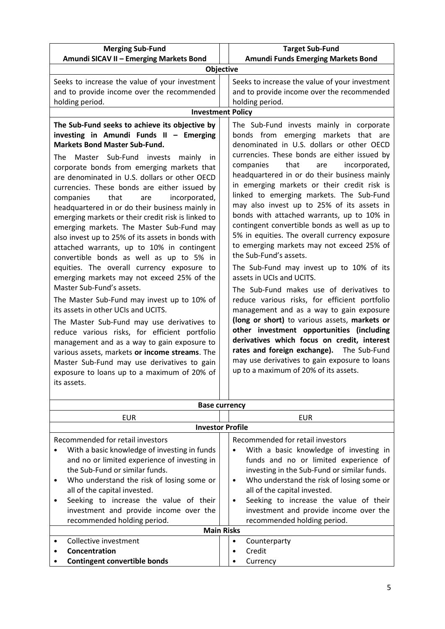| <b>Merging Sub-Fund</b>                                                                                                                                                                                                                                                                                                                                                                                                                                                                                                                                                                                                                                                                                                                                                                                                                                                                                                                                                                                                                                                                               | <b>Target Sub-Fund</b>                                                                                                                                                                                                                                                                                                                                                                                                                                                                                                                                                                                                                                                                                                                                                                                                                                                                                                                                                                                                                                       |  |  |
|-------------------------------------------------------------------------------------------------------------------------------------------------------------------------------------------------------------------------------------------------------------------------------------------------------------------------------------------------------------------------------------------------------------------------------------------------------------------------------------------------------------------------------------------------------------------------------------------------------------------------------------------------------------------------------------------------------------------------------------------------------------------------------------------------------------------------------------------------------------------------------------------------------------------------------------------------------------------------------------------------------------------------------------------------------------------------------------------------------|--------------------------------------------------------------------------------------------------------------------------------------------------------------------------------------------------------------------------------------------------------------------------------------------------------------------------------------------------------------------------------------------------------------------------------------------------------------------------------------------------------------------------------------------------------------------------------------------------------------------------------------------------------------------------------------------------------------------------------------------------------------------------------------------------------------------------------------------------------------------------------------------------------------------------------------------------------------------------------------------------------------------------------------------------------------|--|--|
| Amundi SICAV II - Emerging Markets Bond                                                                                                                                                                                                                                                                                                                                                                                                                                                                                                                                                                                                                                                                                                                                                                                                                                                                                                                                                                                                                                                               | Amundi Funds Emerging Markets Bond                                                                                                                                                                                                                                                                                                                                                                                                                                                                                                                                                                                                                                                                                                                                                                                                                                                                                                                                                                                                                           |  |  |
| Objective                                                                                                                                                                                                                                                                                                                                                                                                                                                                                                                                                                                                                                                                                                                                                                                                                                                                                                                                                                                                                                                                                             |                                                                                                                                                                                                                                                                                                                                                                                                                                                                                                                                                                                                                                                                                                                                                                                                                                                                                                                                                                                                                                                              |  |  |
| Seeks to increase the value of your investment<br>and to provide income over the recommended<br>holding period.<br><b>Investment Policy</b>                                                                                                                                                                                                                                                                                                                                                                                                                                                                                                                                                                                                                                                                                                                                                                                                                                                                                                                                                           | Seeks to increase the value of your investment<br>and to provide income over the recommended<br>holding period.                                                                                                                                                                                                                                                                                                                                                                                                                                                                                                                                                                                                                                                                                                                                                                                                                                                                                                                                              |  |  |
| The Sub-Fund seeks to achieve its objective by                                                                                                                                                                                                                                                                                                                                                                                                                                                                                                                                                                                                                                                                                                                                                                                                                                                                                                                                                                                                                                                        | The Sub-Fund invests mainly in corporate                                                                                                                                                                                                                                                                                                                                                                                                                                                                                                                                                                                                                                                                                                                                                                                                                                                                                                                                                                                                                     |  |  |
| investing in Amundi Funds II - Emerging                                                                                                                                                                                                                                                                                                                                                                                                                                                                                                                                                                                                                                                                                                                                                                                                                                                                                                                                                                                                                                                               | bonds from emerging markets that are                                                                                                                                                                                                                                                                                                                                                                                                                                                                                                                                                                                                                                                                                                                                                                                                                                                                                                                                                                                                                         |  |  |
| <b>Markets Bond Master Sub-Fund.</b><br>Master Sub-Fund invests<br>The<br>mainly<br>-in<br>corporate bonds from emerging markets that<br>are denominated in U.S. dollars or other OECD<br>currencies. These bonds are either issued by<br>that<br>companies<br>incorporated,<br>are<br>headquartered in or do their business mainly in<br>emerging markets or their credit risk is linked to<br>emerging markets. The Master Sub-Fund may<br>also invest up to 25% of its assets in bonds with<br>attached warrants, up to 10% in contingent<br>convertible bonds as well as up to 5% in<br>equities. The overall currency exposure to<br>emerging markets may not exceed 25% of the<br>Master Sub-Fund's assets.<br>The Master Sub-Fund may invest up to 10% of<br>its assets in other UCIs and UCITS.<br>The Master Sub-Fund may use derivatives to<br>reduce various risks, for efficient portfolio<br>management and as a way to gain exposure to<br>various assets, markets or income streams. The<br>Master Sub-Fund may use derivatives to gain<br>exposure to loans up to a maximum of 20% of | denominated in U.S. dollars or other OECD<br>currencies. These bonds are either issued by<br>that<br>incorporated,<br>companies<br>are<br>headquartered in or do their business mainly<br>in emerging markets or their credit risk is<br>linked to emerging markets. The Sub-Fund<br>may also invest up to 25% of its assets in<br>bonds with attached warrants, up to 10% in<br>contingent convertible bonds as well as up to<br>5% in equities. The overall currency exposure<br>to emerging markets may not exceed 25% of<br>the Sub-Fund's assets.<br>The Sub-Fund may invest up to 10% of its<br>assets in UCIs and UCITS.<br>The Sub-Fund makes use of derivatives to<br>reduce various risks, for efficient portfolio<br>management and as a way to gain exposure<br>(long or short) to various assets, markets or<br>other investment opportunities (including<br>derivatives which focus on credit, interest<br>rates and foreign exchange). The Sub-Fund<br>may use derivatives to gain exposure to loans<br>up to a maximum of 20% of its assets. |  |  |
| its assets.                                                                                                                                                                                                                                                                                                                                                                                                                                                                                                                                                                                                                                                                                                                                                                                                                                                                                                                                                                                                                                                                                           |                                                                                                                                                                                                                                                                                                                                                                                                                                                                                                                                                                                                                                                                                                                                                                                                                                                                                                                                                                                                                                                              |  |  |
|                                                                                                                                                                                                                                                                                                                                                                                                                                                                                                                                                                                                                                                                                                                                                                                                                                                                                                                                                                                                                                                                                                       |                                                                                                                                                                                                                                                                                                                                                                                                                                                                                                                                                                                                                                                                                                                                                                                                                                                                                                                                                                                                                                                              |  |  |
|                                                                                                                                                                                                                                                                                                                                                                                                                                                                                                                                                                                                                                                                                                                                                                                                                                                                                                                                                                                                                                                                                                       | <b>Base currency</b>                                                                                                                                                                                                                                                                                                                                                                                                                                                                                                                                                                                                                                                                                                                                                                                                                                                                                                                                                                                                                                         |  |  |
| <b>EUR</b>                                                                                                                                                                                                                                                                                                                                                                                                                                                                                                                                                                                                                                                                                                                                                                                                                                                                                                                                                                                                                                                                                            | <b>EUR</b>                                                                                                                                                                                                                                                                                                                                                                                                                                                                                                                                                                                                                                                                                                                                                                                                                                                                                                                                                                                                                                                   |  |  |
|                                                                                                                                                                                                                                                                                                                                                                                                                                                                                                                                                                                                                                                                                                                                                                                                                                                                                                                                                                                                                                                                                                       | <b>Investor Profile</b>                                                                                                                                                                                                                                                                                                                                                                                                                                                                                                                                                                                                                                                                                                                                                                                                                                                                                                                                                                                                                                      |  |  |
| Recommended for retail investors                                                                                                                                                                                                                                                                                                                                                                                                                                                                                                                                                                                                                                                                                                                                                                                                                                                                                                                                                                                                                                                                      | Recommended for retail investors                                                                                                                                                                                                                                                                                                                                                                                                                                                                                                                                                                                                                                                                                                                                                                                                                                                                                                                                                                                                                             |  |  |
|                                                                                                                                                                                                                                                                                                                                                                                                                                                                                                                                                                                                                                                                                                                                                                                                                                                                                                                                                                                                                                                                                                       |                                                                                                                                                                                                                                                                                                                                                                                                                                                                                                                                                                                                                                                                                                                                                                                                                                                                                                                                                                                                                                                              |  |  |

| $\bullet$ | With a basic knowledge of investing in funds | $\bullet$ | With a basic knowledge of investing in      |
|-----------|----------------------------------------------|-----------|---------------------------------------------|
|           | and no or limited experience of investing in |           | funds and no or limited experience of       |
|           | the Sub-Fund or similar funds.               |           | investing in the Sub-Fund or similar funds. |
| $\bullet$ | Who understand the risk of losing some or    | $\bullet$ | Who understand the risk of losing some or   |
|           | all of the capital invested.                 |           | all of the capital invested.                |
| ٠         | Seeking to increase the value of their       | $\bullet$ | Seeking to increase the value of their      |
|           | investment and provide income over the       |           | investment and provide income over the      |
|           | recommended holding period.                  |           | recommended holding period.                 |
|           | <b>Main Risks</b>                            |           |                                             |
| $\bullet$ | Collective investment                        | $\bullet$ | Counterparty                                |
| $\bullet$ | Concentration                                | $\bullet$ | Credit                                      |
| $\bullet$ | <b>Contingent convertible bonds</b>          | ٠         | Currency                                    |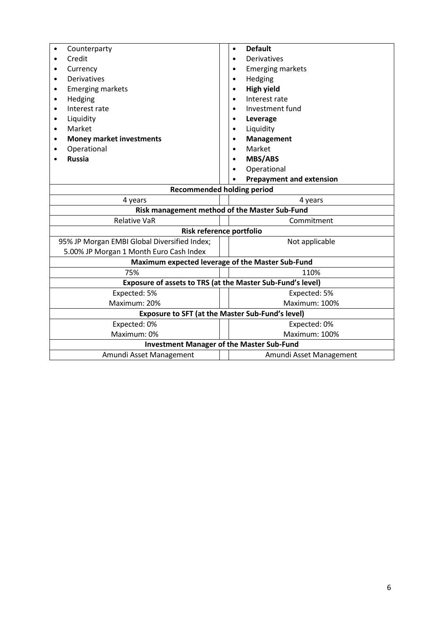| Counterparty                                     | <b>Default</b><br>$\bullet$                                |  |  |  |
|--------------------------------------------------|------------------------------------------------------------|--|--|--|
| Credit                                           | Derivatives                                                |  |  |  |
| Currency                                         | <b>Emerging markets</b>                                    |  |  |  |
| <b>Derivatives</b><br>$\bullet$                  | Hedging<br>$\bullet$                                       |  |  |  |
| <b>Emerging markets</b>                          | <b>High yield</b>                                          |  |  |  |
| Hedging                                          | Interest rate                                              |  |  |  |
| Interest rate<br>$\bullet$                       | Investment fund                                            |  |  |  |
| Liquidity<br>$\bullet$                           | Leverage                                                   |  |  |  |
| Market<br>$\bullet$                              | Liquidity<br>$\bullet$                                     |  |  |  |
| <b>Money market investments</b>                  | Management                                                 |  |  |  |
| Operational                                      | Market                                                     |  |  |  |
| <b>Russia</b>                                    | <b>MBS/ABS</b>                                             |  |  |  |
|                                                  | Operational                                                |  |  |  |
|                                                  | <b>Prepayment and extension</b>                            |  |  |  |
| <b>Recommended holding period</b>                |                                                            |  |  |  |
| 4 years                                          | 4 years                                                    |  |  |  |
| Risk management method of the Master Sub-Fund    |                                                            |  |  |  |
| <b>Relative VaR</b>                              | Commitment                                                 |  |  |  |
| Risk reference portfolio                         |                                                            |  |  |  |
| 95% JP Morgan EMBI Global Diversified Index;     | Not applicable                                             |  |  |  |
| 5.00% JP Morgan 1 Month Euro Cash Index          |                                                            |  |  |  |
|                                                  | Maximum expected leverage of the Master Sub-Fund           |  |  |  |
| 75%                                              | 110%                                                       |  |  |  |
|                                                  | Exposure of assets to TRS (at the Master Sub-Fund's level) |  |  |  |
| Expected: 5%                                     | Expected: 5%                                               |  |  |  |
| Maximum: 20%                                     | Maximum: 100%                                              |  |  |  |
|                                                  | <b>Exposure to SFT (at the Master Sub-Fund's level)</b>    |  |  |  |
| Expected: 0%                                     | Expected: 0%                                               |  |  |  |
| Maximum: 0%                                      | Maximum: 100%                                              |  |  |  |
| <b>Investment Manager of the Master Sub-Fund</b> |                                                            |  |  |  |
| Amundi Asset Management                          | Amundi Asset Management                                    |  |  |  |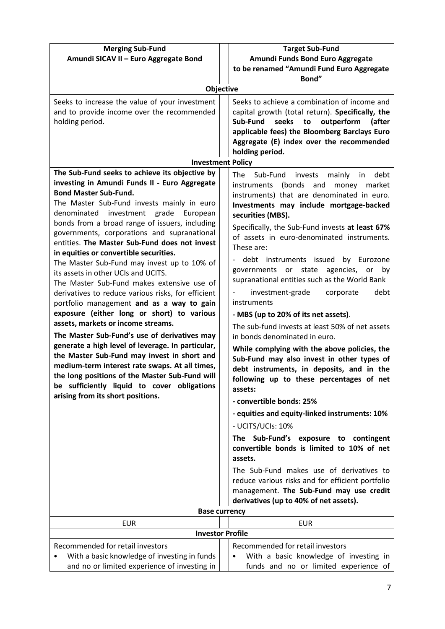| <b>Merging Sub-Fund</b>                                                                          | <b>Target Sub-Fund</b>                                                                        |  |  |
|--------------------------------------------------------------------------------------------------|-----------------------------------------------------------------------------------------------|--|--|
| Amundi SICAV II - Euro Aggregate Bond                                                            | Amundi Funds Bond Euro Aggregate                                                              |  |  |
|                                                                                                  | to be renamed "Amundi Fund Euro Aggregate                                                     |  |  |
|                                                                                                  | Bond"                                                                                         |  |  |
| <b>Objective</b>                                                                                 |                                                                                               |  |  |
| Seeks to increase the value of your investment                                                   | Seeks to achieve a combination of income and                                                  |  |  |
| and to provide income over the recommended                                                       | capital growth (total return). Specifically, the                                              |  |  |
| holding period.                                                                                  | Sub-Fund<br>seeks<br>outperform<br>to<br>(after                                               |  |  |
|                                                                                                  | applicable fees) the Bloomberg Barclays Euro                                                  |  |  |
|                                                                                                  | Aggregate (E) index over the recommended                                                      |  |  |
| <b>Investment Policy</b>                                                                         | holding period.                                                                               |  |  |
| The Sub-Fund seeks to achieve its objective by                                                   |                                                                                               |  |  |
| investing in Amundi Funds II - Euro Aggregate                                                    | invests<br>mainly<br>debt<br>The<br>Sub-Fund<br>in.                                           |  |  |
| <b>Bond Master Sub-Fund.</b>                                                                     | (bonds<br>instruments<br>and<br>money<br>market                                               |  |  |
| The Master Sub-Fund invests mainly in euro                                                       | instruments) that are denominated in euro.<br>Investments may include mortgage-backed         |  |  |
| denominated<br>investment<br>grade European                                                      | securities (MBS).                                                                             |  |  |
| bonds from a broad range of issuers, including                                                   |                                                                                               |  |  |
| governments, corporations and supranational                                                      | Specifically, the Sub-Fund invests at least 67%<br>of assets in euro-denominated instruments. |  |  |
| entities. The Master Sub-Fund does not invest                                                    | These are:                                                                                    |  |  |
| in equities or convertible securities.                                                           |                                                                                               |  |  |
| The Master Sub-Fund may invest up to 10% of                                                      | debt instruments issued<br>by Eurozone<br>governments or state agencies, or                   |  |  |
| its assets in other UCIs and UCITS.                                                              | by<br>supranational entities such as the World Bank                                           |  |  |
| The Master Sub-Fund makes extensive use of                                                       |                                                                                               |  |  |
| derivatives to reduce various risks, for efficient                                               | debt<br>investment-grade<br>corporate                                                         |  |  |
| portfolio management and as a way to gain                                                        | instruments                                                                                   |  |  |
| exposure (either long or short) to various<br>assets, markets or income streams.                 | - MBS (up to 20% of its net assets).                                                          |  |  |
|                                                                                                  | The sub-fund invests at least 50% of net assets                                               |  |  |
| The Master Sub-Fund's use of derivatives may                                                     | in bonds denominated in euro.                                                                 |  |  |
| generate a high level of leverage. In particular,<br>the Master Sub-Fund may invest in short and | While complying with the above policies, the                                                  |  |  |
| medium-term interest rate swaps. At all times,                                                   | Sub-Fund may also invest in other types of                                                    |  |  |
| the long positions of the Master Sub-Fund will                                                   | debt instruments, in deposits, and in the                                                     |  |  |
| be sufficiently liquid to cover obligations                                                      | following up to these percentages of net                                                      |  |  |
| arising from its short positions.                                                                | assets:                                                                                       |  |  |
|                                                                                                  | - convertible bonds: 25%                                                                      |  |  |
|                                                                                                  | - equities and equity-linked instruments: 10%                                                 |  |  |
|                                                                                                  | - UCITS/UCIs: 10%                                                                             |  |  |
|                                                                                                  | The Sub-Fund's exposure to contingent                                                         |  |  |
|                                                                                                  | convertible bonds is limited to 10% of net                                                    |  |  |
|                                                                                                  | assets.                                                                                       |  |  |
|                                                                                                  | The Sub-Fund makes use of derivatives to                                                      |  |  |
|                                                                                                  | reduce various risks and for efficient portfolio                                              |  |  |
|                                                                                                  | management. The Sub-Fund may use credit                                                       |  |  |
|                                                                                                  | derivatives (up to 40% of net assets).                                                        |  |  |
| <b>Base currency</b>                                                                             |                                                                                               |  |  |
| <b>EUR</b>                                                                                       | <b>EUR</b>                                                                                    |  |  |
| <b>Investor Profile</b>                                                                          |                                                                                               |  |  |
| Recommended for retail investors                                                                 | Recommended for retail investors                                                              |  |  |
| With a basic knowledge of investing in funds                                                     | With a basic knowledge of investing in                                                        |  |  |
| and no or limited experience of investing in                                                     | funds and no or limited experience of                                                         |  |  |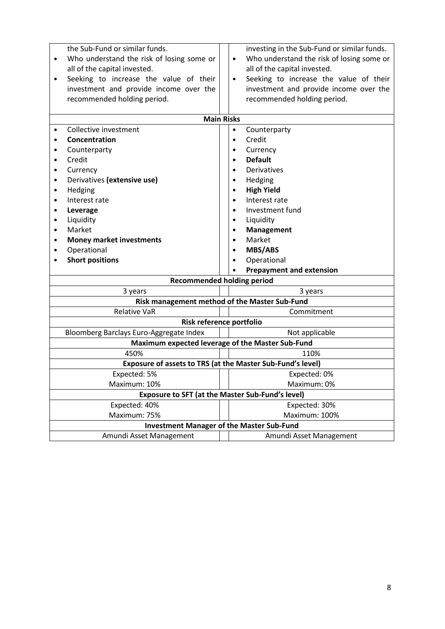| the Sub-Fund or similar funds.<br>Who understand the risk of losing some or<br>$\bullet$<br>all of the capital invested.<br>Seeking to increase the value of their<br>$\bullet$<br>investment and provide income over the<br>recommended holding period. | investing in the Sub-Fund or similar funds.<br>Who understand the risk of losing some or<br>$\bullet$<br>all of the capital invested.<br>Seeking to increase the value of their<br>$\bullet$<br>investment and provide income over the<br>recommended holding period. |  |  |  |  |
|----------------------------------------------------------------------------------------------------------------------------------------------------------------------------------------------------------------------------------------------------------|-----------------------------------------------------------------------------------------------------------------------------------------------------------------------------------------------------------------------------------------------------------------------|--|--|--|--|
|                                                                                                                                                                                                                                                          | <b>Main Risks</b>                                                                                                                                                                                                                                                     |  |  |  |  |
| Collective investment<br>$\bullet$                                                                                                                                                                                                                       | Counterparty<br>$\bullet$                                                                                                                                                                                                                                             |  |  |  |  |
| Concentration<br>$\bullet$                                                                                                                                                                                                                               | Credit<br>$\bullet$                                                                                                                                                                                                                                                   |  |  |  |  |
| Counterparty<br>$\bullet$                                                                                                                                                                                                                                | Currency<br>$\bullet$                                                                                                                                                                                                                                                 |  |  |  |  |
| Credit<br>$\bullet$                                                                                                                                                                                                                                      | <b>Default</b><br>$\bullet$                                                                                                                                                                                                                                           |  |  |  |  |
| Currency<br>٠                                                                                                                                                                                                                                            | Derivatives                                                                                                                                                                                                                                                           |  |  |  |  |
| Derivatives (extensive use)<br>$\bullet$                                                                                                                                                                                                                 | Hedging                                                                                                                                                                                                                                                               |  |  |  |  |
| Hedging<br>$\bullet$                                                                                                                                                                                                                                     | <b>High Yield</b><br>$\bullet$                                                                                                                                                                                                                                        |  |  |  |  |
| Interest rate<br>$\bullet$                                                                                                                                                                                                                               | Interest rate<br>$\bullet$                                                                                                                                                                                                                                            |  |  |  |  |
| Leverage<br>٠                                                                                                                                                                                                                                            | Investment fund                                                                                                                                                                                                                                                       |  |  |  |  |
| Liquidity<br>$\bullet$                                                                                                                                                                                                                                   | Liquidity<br>$\bullet$                                                                                                                                                                                                                                                |  |  |  |  |
| Market<br>$\bullet$                                                                                                                                                                                                                                      | Management<br>$\bullet$                                                                                                                                                                                                                                               |  |  |  |  |
| <b>Money market investments</b><br>$\bullet$                                                                                                                                                                                                             | Market<br>$\bullet$                                                                                                                                                                                                                                                   |  |  |  |  |
| Operational<br>٠                                                                                                                                                                                                                                         | <b>MBS/ABS</b><br>$\bullet$                                                                                                                                                                                                                                           |  |  |  |  |
| <b>Short positions</b>                                                                                                                                                                                                                                   | Operational                                                                                                                                                                                                                                                           |  |  |  |  |
|                                                                                                                                                                                                                                                          | <b>Prepayment and extension</b>                                                                                                                                                                                                                                       |  |  |  |  |
| <b>Recommended holding period</b>                                                                                                                                                                                                                        |                                                                                                                                                                                                                                                                       |  |  |  |  |
| 3 years<br>3 years                                                                                                                                                                                                                                       |                                                                                                                                                                                                                                                                       |  |  |  |  |
| Risk management method of the Master Sub-Fund                                                                                                                                                                                                            |                                                                                                                                                                                                                                                                       |  |  |  |  |
| <b>Relative VaR</b>                                                                                                                                                                                                                                      | Commitment                                                                                                                                                                                                                                                            |  |  |  |  |
|                                                                                                                                                                                                                                                          | Risk reference portfolio                                                                                                                                                                                                                                              |  |  |  |  |
| Bloomberg Barclays Euro-Aggregate Index                                                                                                                                                                                                                  | Not applicable                                                                                                                                                                                                                                                        |  |  |  |  |
|                                                                                                                                                                                                                                                          | Maximum expected leverage of the Master Sub-Fund                                                                                                                                                                                                                      |  |  |  |  |
| 450%                                                                                                                                                                                                                                                     | 110%                                                                                                                                                                                                                                                                  |  |  |  |  |
| Exposure of assets to TRS (at the Master Sub-Fund's level)                                                                                                                                                                                               |                                                                                                                                                                                                                                                                       |  |  |  |  |
| Expected: 5%                                                                                                                                                                                                                                             | Expected: 0%                                                                                                                                                                                                                                                          |  |  |  |  |
| Maximum: 10%                                                                                                                                                                                                                                             | Maximum: 0%                                                                                                                                                                                                                                                           |  |  |  |  |
|                                                                                                                                                                                                                                                          | Exposure to SFT (at the Master Sub-Fund's level)                                                                                                                                                                                                                      |  |  |  |  |
| Expected: 40%                                                                                                                                                                                                                                            | Expected: 30%                                                                                                                                                                                                                                                         |  |  |  |  |
| Maximum: 75%                                                                                                                                                                                                                                             | Maximum: 100%                                                                                                                                                                                                                                                         |  |  |  |  |
| <b>Investment Manager of the Master Sub-Fund</b>                                                                                                                                                                                                         |                                                                                                                                                                                                                                                                       |  |  |  |  |
| Amundi Asset Management                                                                                                                                                                                                                                  | Amundi Asset Management                                                                                                                                                                                                                                               |  |  |  |  |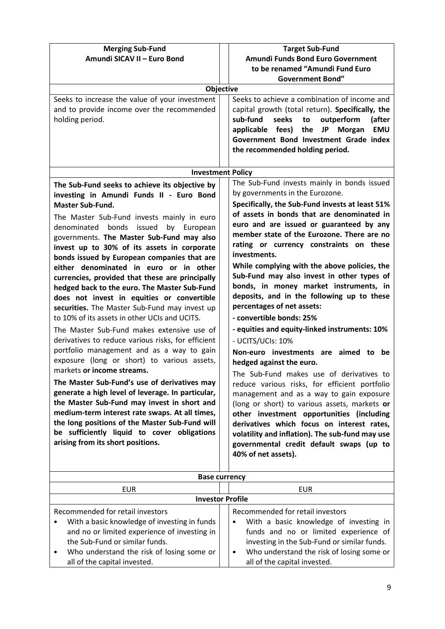| <b>Merging Sub-Fund</b>                            | <b>Target Sub-Fund</b>                                       |  |  |
|----------------------------------------------------|--------------------------------------------------------------|--|--|
| Amundi SICAV II - Euro Bond                        | Amundi Funds Bond Euro Government                            |  |  |
|                                                    | to be renamed "Amundi Fund Euro                              |  |  |
|                                                    | <b>Government Bond"</b>                                      |  |  |
| Objective                                          |                                                              |  |  |
| Seeks to increase the value of your investment     | Seeks to achieve a combination of income and                 |  |  |
| and to provide income over the recommended         | capital growth (total return). Specifically, the             |  |  |
| holding period.                                    | sub-fund<br>seeks<br>to<br>outperform<br>(after              |  |  |
|                                                    | applicable fees)<br>the<br><b>JP</b><br><b>EMU</b><br>Morgan |  |  |
|                                                    | Government Bond Investment Grade index                       |  |  |
|                                                    | the recommended holding period.                              |  |  |
|                                                    |                                                              |  |  |
| <b>Investment Policy</b>                           |                                                              |  |  |
| The Sub-Fund seeks to achieve its objective by     | The Sub-Fund invests mainly in bonds issued                  |  |  |
| investing in Amundi Funds II - Euro Bond           | by governments in the Eurozone.                              |  |  |
| <b>Master Sub-Fund.</b>                            | Specifically, the Sub-Fund invests at least 51%              |  |  |
| The Master Sub-Fund invests mainly in euro         | of assets in bonds that are denominated in                   |  |  |
| denominated bonds issued<br>by European            | euro and are issued or guaranteed by any                     |  |  |
| governments. The Master Sub-Fund may also          | member state of the Eurozone. There are no                   |  |  |
| invest up to 30% of its assets in corporate        | rating or currency constraints on these                      |  |  |
| bonds issued by European companies that are        | investments.                                                 |  |  |
| either denominated in euro or in other             | While complying with the above policies, the                 |  |  |
| currencies, provided that these are principally    | Sub-Fund may also invest in other types of                   |  |  |
| hedged back to the euro. The Master Sub-Fund       | bonds, in money market instruments, in                       |  |  |
| does not invest in equities or convertible         | deposits, and in the following up to these                   |  |  |
| securities. The Master Sub-Fund may invest up      | percentages of net assets:                                   |  |  |
| to 10% of its assets in other UCIs and UCITS.      | - convertible bonds: 25%                                     |  |  |
| The Master Sub-Fund makes extensive use of         | - equities and equity-linked instruments: 10%                |  |  |
| derivatives to reduce various risks, for efficient | - UCITS/UCIs: 10%                                            |  |  |
| portfolio management and as a way to gain          | Non-euro investments are aimed to be                         |  |  |
| exposure (long or short) to various assets,        | hedged against the euro.                                     |  |  |
| markets or income streams.                         | The Sub-Fund makes use of derivatives to                     |  |  |
| The Master Sub-Fund's use of derivatives may       | reduce various risks, for efficient portfolio                |  |  |
| generate a high level of leverage. In particular,  | management and as a way to gain exposure                     |  |  |
| the Master Sub-Fund may invest in short and        | (long or short) to various assets, markets or                |  |  |
| medium-term interest rate swaps. At all times,     | other investment opportunities (including                    |  |  |
| the long positions of the Master Sub-Fund will     | derivatives which focus on interest rates,                   |  |  |
| be sufficiently liquid to cover obligations        | volatility and inflation). The sub-fund may use              |  |  |
| arising from its short positions.                  | governmental credit default swaps (up to                     |  |  |
|                                                    | 40% of net assets).                                          |  |  |
|                                                    |                                                              |  |  |
|                                                    | <b>Base currency</b>                                         |  |  |
| <b>EUR</b>                                         | <b>EUR</b>                                                   |  |  |
|                                                    | <b>Investor Profile</b>                                      |  |  |
| Recommended for retail investors                   | Recommended for retail investors                             |  |  |
| With a basic knowledge of investing in funds<br>٠  | With a basic knowledge of investing in                       |  |  |
| and no or limited experience of investing in       | funds and no or limited experience of                        |  |  |
| the Sub-Fund or similar funds.                     | investing in the Sub-Fund or similar funds.                  |  |  |
| Who understand the risk of losing some or<br>٠     | Who understand the risk of losing some or<br>$\bullet$       |  |  |
| all of the capital invested.                       | all of the capital invested.                                 |  |  |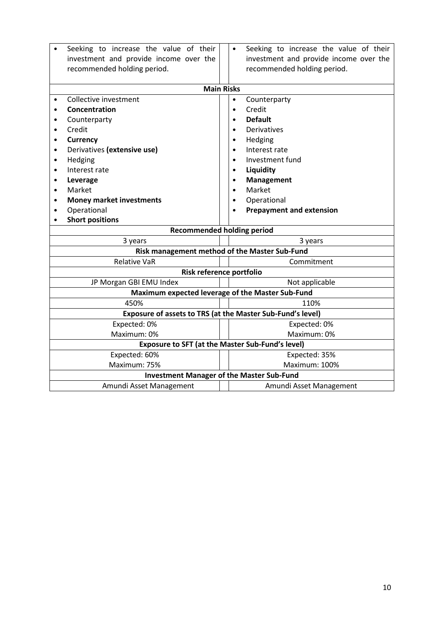|                                               | Seeking to increase the value of their<br>investment and provide income over the |  | Seeking to increase the value of their<br>$\bullet$<br>investment and provide income over the |  |  |  |
|-----------------------------------------------|----------------------------------------------------------------------------------|--|-----------------------------------------------------------------------------------------------|--|--|--|
|                                               | recommended holding period.                                                      |  | recommended holding period.                                                                   |  |  |  |
|                                               |                                                                                  |  | <b>Main Risks</b>                                                                             |  |  |  |
|                                               | Collective investment                                                            |  | Counterparty<br>٠                                                                             |  |  |  |
|                                               | Concentration                                                                    |  | Credit<br>$\bullet$                                                                           |  |  |  |
|                                               | Counterparty                                                                     |  | <b>Default</b>                                                                                |  |  |  |
| $\bullet$                                     | Credit                                                                           |  | Derivatives                                                                                   |  |  |  |
| $\bullet$                                     | <b>Currency</b>                                                                  |  | Hedging                                                                                       |  |  |  |
|                                               | Derivatives (extensive use)                                                      |  | Interest rate                                                                                 |  |  |  |
| $\bullet$                                     | Hedging                                                                          |  | Investment fund                                                                               |  |  |  |
|                                               | Interest rate                                                                    |  | Liquidity                                                                                     |  |  |  |
| $\bullet$                                     | Leverage                                                                         |  | <b>Management</b>                                                                             |  |  |  |
| $\bullet$                                     | Market                                                                           |  | Market                                                                                        |  |  |  |
| ٠                                             | <b>Money market investments</b>                                                  |  | Operational                                                                                   |  |  |  |
|                                               | Operational                                                                      |  | <b>Prepayment and extension</b>                                                               |  |  |  |
|                                               | <b>Short positions</b>                                                           |  |                                                                                               |  |  |  |
| <b>Recommended holding period</b>             |                                                                                  |  |                                                                                               |  |  |  |
|                                               | 3 years                                                                          |  | 3 years                                                                                       |  |  |  |
| Risk management method of the Master Sub-Fund |                                                                                  |  |                                                                                               |  |  |  |
| <b>Relative VaR</b>                           |                                                                                  |  | Commitment                                                                                    |  |  |  |
|                                               | Risk reference portfolio                                                         |  |                                                                                               |  |  |  |
|                                               | JP Morgan GBI EMU Index                                                          |  | Not applicable                                                                                |  |  |  |
|                                               | Maximum expected leverage of the Master Sub-Fund                                 |  |                                                                                               |  |  |  |
|                                               | 450%                                                                             |  | 110%                                                                                          |  |  |  |
|                                               |                                                                                  |  | Exposure of assets to TRS (at the Master Sub-Fund's level)                                    |  |  |  |
|                                               | Expected: 0%                                                                     |  | Expected: 0%                                                                                  |  |  |  |
|                                               | Maximum: 0%                                                                      |  | Maximum: 0%                                                                                   |  |  |  |
|                                               |                                                                                  |  | <b>Exposure to SFT (at the Master Sub-Fund's level)</b>                                       |  |  |  |
|                                               | Expected: 60%                                                                    |  | Expected: 35%                                                                                 |  |  |  |
|                                               | Maximum: 75%                                                                     |  | Maximum: 100%                                                                                 |  |  |  |
|                                               | <b>Investment Manager of the Master Sub-Fund</b>                                 |  |                                                                                               |  |  |  |
|                                               | Amundi Asset Management                                                          |  | Amundi Asset Management                                                                       |  |  |  |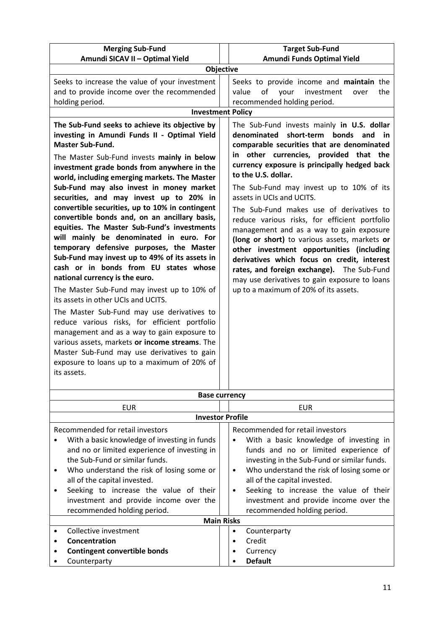| <b>Merging Sub-Fund</b>                                                                                                                                                                                                                                                                                                                                                                                                                                                                                                                                                                                                                                                                                                                                                                                                                                                                                                                                                                                                                                                                                                            | <b>Target Sub-Fund</b>                                                                                                                                                                                                                                                                                                                                                                                                                                                                                                                                                                                                                                                                                                                                        |  |  |
|------------------------------------------------------------------------------------------------------------------------------------------------------------------------------------------------------------------------------------------------------------------------------------------------------------------------------------------------------------------------------------------------------------------------------------------------------------------------------------------------------------------------------------------------------------------------------------------------------------------------------------------------------------------------------------------------------------------------------------------------------------------------------------------------------------------------------------------------------------------------------------------------------------------------------------------------------------------------------------------------------------------------------------------------------------------------------------------------------------------------------------|---------------------------------------------------------------------------------------------------------------------------------------------------------------------------------------------------------------------------------------------------------------------------------------------------------------------------------------------------------------------------------------------------------------------------------------------------------------------------------------------------------------------------------------------------------------------------------------------------------------------------------------------------------------------------------------------------------------------------------------------------------------|--|--|
| Amundi SICAV II - Optimal Yield                                                                                                                                                                                                                                                                                                                                                                                                                                                                                                                                                                                                                                                                                                                                                                                                                                                                                                                                                                                                                                                                                                    | Amundi Funds Optimal Yield                                                                                                                                                                                                                                                                                                                                                                                                                                                                                                                                                                                                                                                                                                                                    |  |  |
|                                                                                                                                                                                                                                                                                                                                                                                                                                                                                                                                                                                                                                                                                                                                                                                                                                                                                                                                                                                                                                                                                                                                    | Objective                                                                                                                                                                                                                                                                                                                                                                                                                                                                                                                                                                                                                                                                                                                                                     |  |  |
| Seeks to increase the value of your investment<br>and to provide income over the recommended<br>holding period.                                                                                                                                                                                                                                                                                                                                                                                                                                                                                                                                                                                                                                                                                                                                                                                                                                                                                                                                                                                                                    | Seeks to provide income and maintain the<br>of<br>your<br>investment<br>value<br>the<br>over<br>recommended holding period.                                                                                                                                                                                                                                                                                                                                                                                                                                                                                                                                                                                                                                   |  |  |
|                                                                                                                                                                                                                                                                                                                                                                                                                                                                                                                                                                                                                                                                                                                                                                                                                                                                                                                                                                                                                                                                                                                                    | <b>Investment Policy</b>                                                                                                                                                                                                                                                                                                                                                                                                                                                                                                                                                                                                                                                                                                                                      |  |  |
| The Sub-Fund seeks to achieve its objective by<br>investing in Amundi Funds II - Optimal Yield<br>Master Sub-Fund.<br>The Master Sub-Fund invests mainly in below<br>investment grade bonds from anywhere in the<br>world, including emerging markets. The Master<br>Sub-Fund may also invest in money market<br>securities, and may invest up to 20% in<br>convertible securities, up to 10% in contingent<br>convertible bonds and, on an ancillary basis,<br>equities. The Master Sub-Fund's investments<br>will mainly be denominated in euro. For<br>temporary defensive purposes, the Master<br>Sub-Fund may invest up to 49% of its assets in<br>cash or in bonds from EU states whose<br>national currency is the euro.<br>The Master Sub-Fund may invest up to 10% of<br>its assets in other UCIs and UCITS.<br>The Master Sub-Fund may use derivatives to<br>reduce various risks, for efficient portfolio<br>management and as a way to gain exposure to<br>various assets, markets or income streams. The<br>Master Sub-Fund may use derivatives to gain<br>exposure to loans up to a maximum of 20% of<br>its assets. | The Sub-Fund invests mainly in U.S. dollar<br>short-term<br>denominated<br>bonds<br>and<br>comparable securities that are denominated<br>in other currencies, provided that the<br>currency exposure is principally hedged back<br>to the U.S. dollar.<br>The Sub-Fund may invest up to 10% of its<br>assets in UCIs and UCITS.<br>The Sub-Fund makes use of derivatives to<br>reduce various risks, for efficient portfolio<br>management and as a way to gain exposure<br>(long or short) to various assets, markets or<br>other investment opportunities (including<br>derivatives which focus on credit, interest<br>rates, and foreign exchange). The Sub-Fund<br>may use derivatives to gain exposure to loans<br>up to a maximum of 20% of its assets. |  |  |
|                                                                                                                                                                                                                                                                                                                                                                                                                                                                                                                                                                                                                                                                                                                                                                                                                                                                                                                                                                                                                                                                                                                                    | <b>Base currency</b>                                                                                                                                                                                                                                                                                                                                                                                                                                                                                                                                                                                                                                                                                                                                          |  |  |
| <b>EUR</b>                                                                                                                                                                                                                                                                                                                                                                                                                                                                                                                                                                                                                                                                                                                                                                                                                                                                                                                                                                                                                                                                                                                         | <b>EUR</b>                                                                                                                                                                                                                                                                                                                                                                                                                                                                                                                                                                                                                                                                                                                                                    |  |  |
|                                                                                                                                                                                                                                                                                                                                                                                                                                                                                                                                                                                                                                                                                                                                                                                                                                                                                                                                                                                                                                                                                                                                    | <b>Investor Profile</b>                                                                                                                                                                                                                                                                                                                                                                                                                                                                                                                                                                                                                                                                                                                                       |  |  |
| Recommended for retail investors<br>With a basic knowledge of investing in funds<br>and no or limited experience of investing in<br>the Sub-Fund or similar funds.<br>Who understand the risk of losing some or<br>٠<br>all of the capital invested.<br>Seeking to increase the value of their<br>٠<br>investment and provide income over the<br>recommended holding period.                                                                                                                                                                                                                                                                                                                                                                                                                                                                                                                                                                                                                                                                                                                                                       | Recommended for retail investors<br>With a basic knowledge of investing in<br>funds and no or limited experience of<br>investing in the Sub-Fund or similar funds.<br>Who understand the risk of losing some or<br>$\bullet$<br>all of the capital invested.<br>Seeking to increase the value of their<br>$\bullet$<br>investment and provide income over the<br>recommended holding period.                                                                                                                                                                                                                                                                                                                                                                  |  |  |
|                                                                                                                                                                                                                                                                                                                                                                                                                                                                                                                                                                                                                                                                                                                                                                                                                                                                                                                                                                                                                                                                                                                                    | <b>Main Risks</b>                                                                                                                                                                                                                                                                                                                                                                                                                                                                                                                                                                                                                                                                                                                                             |  |  |
| Collective investment                                                                                                                                                                                                                                                                                                                                                                                                                                                                                                                                                                                                                                                                                                                                                                                                                                                                                                                                                                                                                                                                                                              | Counternarty                                                                                                                                                                                                                                                                                                                                                                                                                                                                                                                                                                                                                                                                                                                                                  |  |  |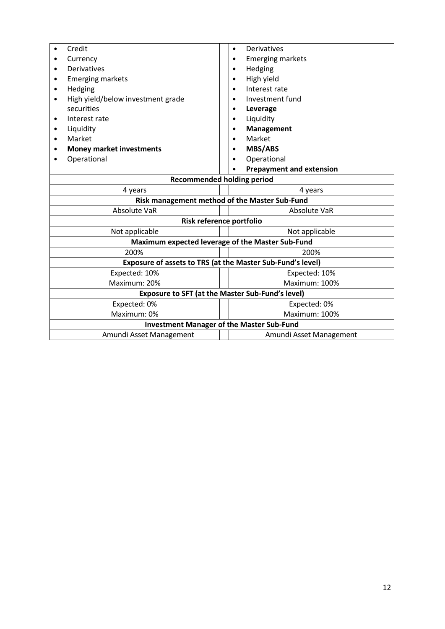|                                                            | Credit                                                  |  | $\bullet$     | Derivatives                     |  |
|------------------------------------------------------------|---------------------------------------------------------|--|---------------|---------------------------------|--|
|                                                            | Currency                                                |  |               | <b>Emerging markets</b>         |  |
|                                                            | <b>Derivatives</b>                                      |  |               | Hedging                         |  |
|                                                            | <b>Emerging markets</b>                                 |  |               | High yield                      |  |
| ٠                                                          | Hedging                                                 |  |               | Interest rate                   |  |
| $\bullet$                                                  | High yield/below investment grade                       |  |               | Investment fund                 |  |
|                                                            | securities                                              |  |               | Leverage                        |  |
| $\bullet$                                                  | Interest rate                                           |  |               | Liquidity                       |  |
| ٠                                                          | Liquidity                                               |  |               | <b>Management</b>               |  |
|                                                            | Market                                                  |  |               | Market                          |  |
|                                                            | <b>Money market investments</b>                         |  |               | <b>MBS/ABS</b>                  |  |
|                                                            | Operational                                             |  |               | Operational                     |  |
|                                                            |                                                         |  |               | <b>Prepayment and extension</b> |  |
| <b>Recommended holding period</b>                          |                                                         |  |               |                                 |  |
|                                                            | 4 years<br>4 years                                      |  |               |                                 |  |
|                                                            | Risk management method of the Master Sub-Fund           |  |               |                                 |  |
|                                                            | Absolute VaR<br>Absolute VaR                            |  |               |                                 |  |
|                                                            | Risk reference portfolio                                |  |               |                                 |  |
| Not applicable<br>Not applicable                           |                                                         |  |               |                                 |  |
| Maximum expected leverage of the Master Sub-Fund           |                                                         |  |               |                                 |  |
| 200%<br>200%                                               |                                                         |  |               |                                 |  |
| Exposure of assets to TRS (at the Master Sub-Fund's level) |                                                         |  |               |                                 |  |
| Expected: 10%                                              |                                                         |  | Expected: 10% |                                 |  |
| Maximum: 20%                                               |                                                         |  | Maximum: 100% |                                 |  |
|                                                            | <b>Exposure to SFT (at the Master Sub-Fund's level)</b> |  |               |                                 |  |
|                                                            | Expected: 0%                                            |  |               | Expected: 0%                    |  |
|                                                            | Maximum: 0%                                             |  |               | Maximum: 100%                   |  |
|                                                            | <b>Investment Manager of the Master Sub-Fund</b>        |  |               |                                 |  |
|                                                            | Amundi Asset Management                                 |  |               | Amundi Asset Management         |  |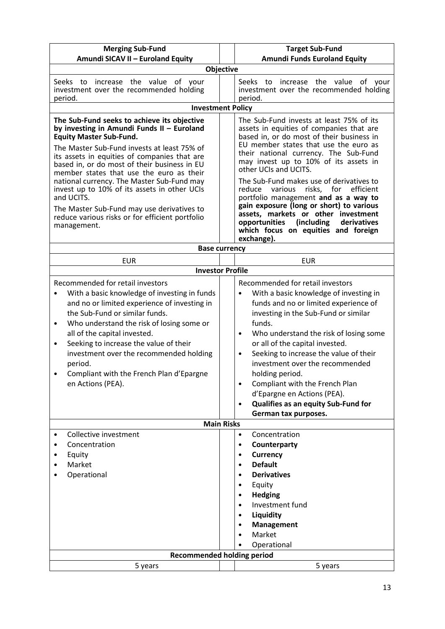| <b>Merging Sub-Fund</b>                                                                                                                                                                                                                                                                                                                                                                                                                                                                                                                            | <b>Target Sub-Fund</b>                                                                                                                                                                                                                                                                                                                                                                                                                                                                                                                                                                                    |  |  |  |
|----------------------------------------------------------------------------------------------------------------------------------------------------------------------------------------------------------------------------------------------------------------------------------------------------------------------------------------------------------------------------------------------------------------------------------------------------------------------------------------------------------------------------------------------------|-----------------------------------------------------------------------------------------------------------------------------------------------------------------------------------------------------------------------------------------------------------------------------------------------------------------------------------------------------------------------------------------------------------------------------------------------------------------------------------------------------------------------------------------------------------------------------------------------------------|--|--|--|
| Amundi SICAV II - Euroland Equity                                                                                                                                                                                                                                                                                                                                                                                                                                                                                                                  | <b>Amundi Funds Euroland Equity</b>                                                                                                                                                                                                                                                                                                                                                                                                                                                                                                                                                                       |  |  |  |
| <b>Objective</b>                                                                                                                                                                                                                                                                                                                                                                                                                                                                                                                                   |                                                                                                                                                                                                                                                                                                                                                                                                                                                                                                                                                                                                           |  |  |  |
| Seeks to increase the value of your<br>investment over the recommended holding<br>period.                                                                                                                                                                                                                                                                                                                                                                                                                                                          | Seeks to increase the value of your<br>investment over the recommended holding<br>period.                                                                                                                                                                                                                                                                                                                                                                                                                                                                                                                 |  |  |  |
| <b>Investment Policy</b>                                                                                                                                                                                                                                                                                                                                                                                                                                                                                                                           |                                                                                                                                                                                                                                                                                                                                                                                                                                                                                                                                                                                                           |  |  |  |
| The Sub-Fund seeks to achieve its objective<br>by investing in Amundi Funds II - Euroland<br><b>Equity Master Sub-Fund.</b><br>The Master Sub-Fund invests at least 75% of<br>its assets in equities of companies that are<br>based in, or do most of their business in EU<br>member states that use the euro as their<br>national currency. The Master Sub-Fund may<br>invest up to 10% of its assets in other UCIs<br>and UCITS.<br>The Master Sub-Fund may use derivatives to<br>reduce various risks or for efficient portfolio<br>management. | The Sub-Fund invests at least 75% of its<br>assets in equities of companies that are<br>based in, or do most of their business in<br>EU member states that use the euro as<br>their national currency. The Sub-Fund<br>may invest up to 10% of its assets in<br>other UCIs and UCITS.<br>The Sub-Fund makes use of derivatives to<br>various risks, for efficient<br>reduce<br>portfolio management and as a way to<br>gain exposure (long or short) to various<br>assets, markets or other investment<br>(including<br>opportunities<br>derivatives<br>which focus on equities and foreign<br>exchange). |  |  |  |
| <b>Base currency</b>                                                                                                                                                                                                                                                                                                                                                                                                                                                                                                                               |                                                                                                                                                                                                                                                                                                                                                                                                                                                                                                                                                                                                           |  |  |  |
| <b>EUR</b>                                                                                                                                                                                                                                                                                                                                                                                                                                                                                                                                         | <b>EUR</b>                                                                                                                                                                                                                                                                                                                                                                                                                                                                                                                                                                                                |  |  |  |
| <b>Investor Profile</b>                                                                                                                                                                                                                                                                                                                                                                                                                                                                                                                            |                                                                                                                                                                                                                                                                                                                                                                                                                                                                                                                                                                                                           |  |  |  |
| Recommended for retail investors<br>With a basic knowledge of investing in funds<br>and no or limited experience of investing in<br>the Sub-Fund or similar funds.<br>Who understand the risk of losing some or<br>$\bullet$<br>all of the capital invested.<br>Seeking to increase the value of their<br>٠<br>investment over the recommended holding<br>period.<br>Compliant with the French Plan d'Epargne<br>en Actions (PEA).                                                                                                                 | Recommended for retail investors<br>With a basic knowledge of investing in<br>funds and no or limited experience of<br>investing in the Sub-Fund or similar<br>funds.<br>Who understand the risk of losing some<br>$\bullet$<br>or all of the capital invested.<br>Seeking to increase the value of their<br>$\bullet$<br>investment over the recommended<br>holding period.<br>Compliant with the French Plan<br>$\bullet$<br>d'Epargne en Actions (PEA).<br>Qualifies as an equity Sub-Fund for<br>$\bullet$<br>German tax purposes.                                                                    |  |  |  |
| <b>Main Risks</b>                                                                                                                                                                                                                                                                                                                                                                                                                                                                                                                                  |                                                                                                                                                                                                                                                                                                                                                                                                                                                                                                                                                                                                           |  |  |  |
| Collective investment<br>٠<br>Concentration<br>Equity<br>Market<br>Operational                                                                                                                                                                                                                                                                                                                                                                                                                                                                     | Concentration<br>$\bullet$<br>Counterparty<br>$\bullet$<br><b>Currency</b><br>$\bullet$<br><b>Default</b><br>$\bullet$<br><b>Derivatives</b><br>$\bullet$<br>Equity<br>٠<br><b>Hedging</b><br>$\bullet$<br>Investment fund<br>$\bullet$<br>Liquidity<br>٠<br>Management<br>$\bullet$<br>Market<br>Operational                                                                                                                                                                                                                                                                                             |  |  |  |
| <b>Recommended holding period</b>                                                                                                                                                                                                                                                                                                                                                                                                                                                                                                                  |                                                                                                                                                                                                                                                                                                                                                                                                                                                                                                                                                                                                           |  |  |  |
| 5 years                                                                                                                                                                                                                                                                                                                                                                                                                                                                                                                                            | 5 years                                                                                                                                                                                                                                                                                                                                                                                                                                                                                                                                                                                                   |  |  |  |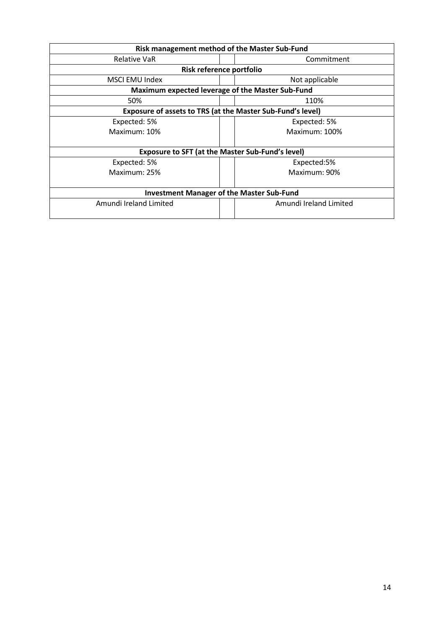| Risk management method of the Master Sub-Fund           |                                                            |  |  |
|---------------------------------------------------------|------------------------------------------------------------|--|--|
| Relative VaR                                            | Commitment                                                 |  |  |
| Risk reference portfolio                                |                                                            |  |  |
| MSCI EMU Index                                          | Not applicable                                             |  |  |
| Maximum expected leverage of the Master Sub-Fund        |                                                            |  |  |
| 50%                                                     | 110%                                                       |  |  |
|                                                         | Exposure of assets to TRS (at the Master Sub-Fund's level) |  |  |
| Expected: 5%                                            | Expected: 5%                                               |  |  |
| Maximum: 10%                                            | Maximum: 100%                                              |  |  |
|                                                         |                                                            |  |  |
| <b>Exposure to SFT (at the Master Sub-Fund's level)</b> |                                                            |  |  |
| Expected: 5%                                            | Expected:5%                                                |  |  |
| Maximum: 25%                                            | Maximum: 90%                                               |  |  |
|                                                         |                                                            |  |  |
| <b>Investment Manager of the Master Sub-Fund</b>        |                                                            |  |  |
| Amundi Ireland Limited                                  | Amundi Ireland Limited                                     |  |  |
|                                                         |                                                            |  |  |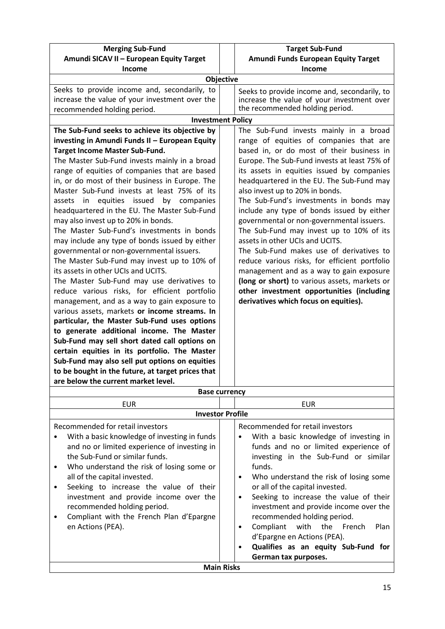| <b>Merging Sub-Fund</b>                            | <b>Target Sub-Fund</b>                              |
|----------------------------------------------------|-----------------------------------------------------|
| Amundi SICAV II - European Equity Target           | Amundi Funds European Equity Target                 |
| <b>Income</b>                                      | Income                                              |
| Objective                                          |                                                     |
| Seeks to provide income and, secondarily, to       | Seeks to provide income and, secondarily, to        |
| increase the value of your investment over the     | increase the value of your investment over          |
| recommended holding period.                        | the recommended holding period.                     |
| <b>Investment Policy</b>                           |                                                     |
| The Sub-Fund seeks to achieve its objective by     | The Sub-Fund invests mainly in a broad              |
| investing in Amundi Funds II - European Equity     | range of equities of companies that are             |
| Target Income Master Sub-Fund.                     | based in, or do most of their business in           |
| The Master Sub-Fund invests mainly in a broad      | Europe. The Sub-Fund invests at least 75% of        |
| range of equities of companies that are based      | its assets in equities issued by companies          |
| in, or do most of their business in Europe. The    | headquartered in the EU. The Sub-Fund may           |
| Master Sub-Fund invests at least 75% of its        | also invest up to 20% in bonds.                     |
| equities issued<br>by<br>in<br>companies<br>assets | The Sub-Fund's investments in bonds may             |
| headquartered in the EU. The Master Sub-Fund       | include any type of bonds issued by either          |
| may also invest up to 20% in bonds.                | governmental or non-governmental issuers.           |
| The Master Sub-Fund's investments in bonds         | The Sub-Fund may invest up to 10% of its            |
| may include any type of bonds issued by either     | assets in other UCIs and UCITS.                     |
| governmental or non-governmental issuers.          | The Sub-Fund makes use of derivatives to            |
|                                                    |                                                     |
| The Master Sub-Fund may invest up to 10% of        | reduce various risks, for efficient portfolio       |
| its assets in other UCIs and UCITS.                | management and as a way to gain exposure            |
| The Master Sub-Fund may use derivatives to         | (long or short) to various assets, markets or       |
| reduce various risks, for efficient portfolio      | other investment opportunities (including           |
| management, and as a way to gain exposure to       | derivatives which focus on equities).               |
| various assets, markets or income streams. In      |                                                     |
| particular, the Master Sub-Fund uses options       |                                                     |
| to generate additional income. The Master          |                                                     |
| Sub-Fund may sell short dated call options on      |                                                     |
| certain equities in its portfolio. The Master      |                                                     |
| Sub-Fund may also sell put options on equities     |                                                     |
| to be bought in the future, at target prices that  |                                                     |
| are below the current market level.                |                                                     |
| <b>Base currency</b>                               |                                                     |
| <b>EUR</b>                                         | <b>EUR</b>                                          |
| <b>Investor Profile</b>                            |                                                     |
| Recommended for retail investors                   | Recommended for retail investors                    |
| With a basic knowledge of investing in funds       | With a basic knowledge of investing in              |
| and no or limited experience of investing in       | funds and no or limited experience of               |
| the Sub-Fund or similar funds.                     | investing in the Sub-Fund or similar                |
| Who understand the risk of losing some or<br>٠     | funds.                                              |
| all of the capital invested.                       | Who understand the risk of losing some<br>$\bullet$ |
| Seeking to increase the value of their<br>٠        | or all of the capital invested.                     |
| investment and provide income over the             | Seeking to increase the value of their<br>٠         |
|                                                    |                                                     |
| recommended holding period.                        | investment and provide income over the              |

**Main Risks**

|                                          |  | Qualifies as an equity Sub-Fund for    |  |      |
|------------------------------------------|--|----------------------------------------|--|------|
|                                          |  | d'Epargne en Actions (PEA).            |  |      |
| en Actions (PEA).                        |  | Compliant with the French              |  | Plan |
| Compliant with the French Plan d'Epargne |  | recommended holding period.            |  |      |
| recommended holding period.              |  | investment and provide income over the |  |      |
|                                          |  |                                        |  |      |

**German tax purposes.**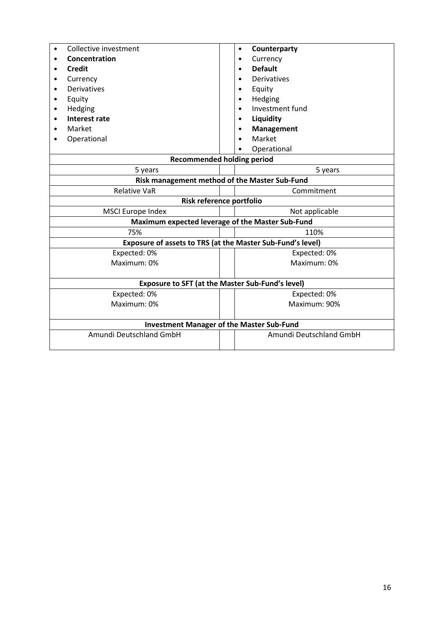| Collective investment                                      | Counterparty<br>$\bullet$                        |  |  |
|------------------------------------------------------------|--------------------------------------------------|--|--|
| Concentration                                              | Currency<br>$\bullet$                            |  |  |
| <b>Credit</b>                                              | <b>Default</b><br>$\bullet$                      |  |  |
| Currency                                                   | Derivatives                                      |  |  |
| Derivatives                                                | Equity<br>$\bullet$                              |  |  |
| Equity<br>٠                                                | Hedging<br>$\bullet$                             |  |  |
| Hedging<br>$\bullet$                                       | Investment fund<br>$\bullet$                     |  |  |
| <b>Interest rate</b>                                       | Liquidity<br>$\bullet$                           |  |  |
| Market                                                     | <b>Management</b>                                |  |  |
| Operational                                                | Market                                           |  |  |
|                                                            | Operational                                      |  |  |
|                                                            | <b>Recommended holding period</b>                |  |  |
| 5 years                                                    | 5 years                                          |  |  |
|                                                            | Risk management method of the Master Sub-Fund    |  |  |
| <b>Relative VaR</b>                                        | Commitment                                       |  |  |
|                                                            | Risk reference portfolio                         |  |  |
| <b>MSCI Europe Index</b>                                   | Not applicable                                   |  |  |
|                                                            | Maximum expected leverage of the Master Sub-Fund |  |  |
| 75%                                                        | 110%                                             |  |  |
| Exposure of assets to TRS (at the Master Sub-Fund's level) |                                                  |  |  |
| Expected: 0%                                               | Expected: 0%                                     |  |  |
| Maximum: 0%                                                | Maximum: 0%                                      |  |  |
|                                                            |                                                  |  |  |
|                                                            | Exposure to SFT (at the Master Sub-Fund's level) |  |  |
| Expected: 0%                                               | Expected: 0%                                     |  |  |
| Maximum: 0%                                                | Maximum: 90%                                     |  |  |
|                                                            |                                                  |  |  |
|                                                            | <b>Investment Manager of the Master Sub-Fund</b> |  |  |
| Amundi Deutschland GmbH                                    | Amundi Deutschland GmbH                          |  |  |
|                                                            |                                                  |  |  |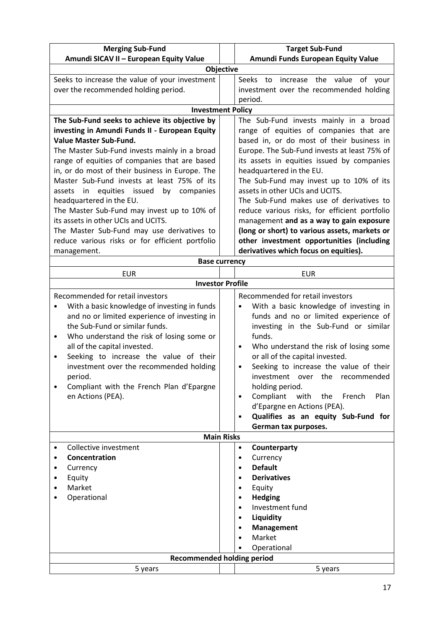| <b>Merging Sub-Fund</b>                                                                        | <b>Target Sub-Fund</b>                                                                     |  |
|------------------------------------------------------------------------------------------------|--------------------------------------------------------------------------------------------|--|
| Amundi SICAV II - European Equity Value<br>Amundi Funds European Equity Value                  |                                                                                            |  |
|                                                                                                | Objective                                                                                  |  |
| Seeks to increase the value of your investment                                                 | Seeks<br>increase the value<br>of your<br>to                                               |  |
| over the recommended holding period.                                                           | investment over the recommended holding                                                    |  |
|                                                                                                | period.                                                                                    |  |
| <b>Investment Policy</b>                                                                       |                                                                                            |  |
| The Sub-Fund seeks to achieve its objective by                                                 | The Sub-Fund invests mainly in a broad                                                     |  |
| investing in Amundi Funds II - European Equity                                                 | range of equities of companies that are                                                    |  |
| Value Master Sub-Fund.                                                                         | based in, or do most of their business in                                                  |  |
| The Master Sub-Fund invests mainly in a broad<br>range of equities of companies that are based | Europe. The Sub-Fund invests at least 75% of<br>its assets in equities issued by companies |  |
| in, or do most of their business in Europe. The                                                | headquartered in the EU.                                                                   |  |
| Master Sub-Fund invests at least 75% of its                                                    | The Sub-Fund may invest up to 10% of its                                                   |  |
| assets in equities issued<br>by companies                                                      | assets in other UCIs and UCITS.                                                            |  |
| headquartered in the EU.                                                                       | The Sub-Fund makes use of derivatives to                                                   |  |
| The Master Sub-Fund may invest up to 10% of                                                    | reduce various risks, for efficient portfolio                                              |  |
| its assets in other UCIs and UCITS.                                                            | management and as a way to gain exposure                                                   |  |
| The Master Sub-Fund may use derivatives to                                                     | (long or short) to various assets, markets or                                              |  |
| reduce various risks or for efficient portfolio                                                | other investment opportunities (including                                                  |  |
| management.                                                                                    | derivatives which focus on equities).                                                      |  |
|                                                                                                | <b>Base currency</b>                                                                       |  |
| <b>EUR</b>                                                                                     | <b>EUR</b>                                                                                 |  |
| <b>Investor Profile</b>                                                                        |                                                                                            |  |
| Recommended for retail investors                                                               | Recommended for retail investors                                                           |  |
| With a basic knowledge of investing in funds                                                   | With a basic knowledge of investing in                                                     |  |
| and no or limited experience of investing in                                                   | funds and no or limited experience of                                                      |  |
| the Sub-Fund or similar funds.                                                                 | investing in the Sub-Fund or similar                                                       |  |
| Who understand the risk of losing some or<br>$\bullet$                                         | funds.                                                                                     |  |
| all of the capital invested.                                                                   | Who understand the risk of losing some<br>٠                                                |  |
| Seeking to increase the value of their<br>$\bullet$                                            | or all of the capital invested.                                                            |  |
| investment over the recommended holding                                                        | Seeking to increase the value of their<br>$\bullet$                                        |  |
| period.<br>Compliant with the French Plan d'Epargne                                            | investment over the recommended<br>holding period.                                         |  |
| en Actions (PEA).                                                                              | Compliant<br>the<br>Plan<br>with<br>French<br>$\bullet$                                    |  |
|                                                                                                | d'Epargne en Actions (PEA).                                                                |  |
|                                                                                                | Qualifies as an equity Sub-Fund for<br>$\bullet$                                           |  |
|                                                                                                | German tax purposes.                                                                       |  |
| <b>Main Risks</b>                                                                              |                                                                                            |  |
| Collective investment                                                                          | Counterparty<br>$\bullet$                                                                  |  |
| Concentration<br>٠                                                                             | Currency<br>$\bullet$                                                                      |  |
| Currency<br>٠                                                                                  | <b>Default</b><br>$\bullet$                                                                |  |
| Equity                                                                                         | <b>Derivatives</b>                                                                         |  |
| Market                                                                                         | Equity                                                                                     |  |
| Operational                                                                                    | <b>Hedging</b>                                                                             |  |
|                                                                                                | Investment fund                                                                            |  |
|                                                                                                | Liquidity<br><b>Management</b><br>٠                                                        |  |
|                                                                                                | Market                                                                                     |  |
|                                                                                                | Operational                                                                                |  |
|                                                                                                | <b>Recommended holding period</b>                                                          |  |
| 5 years                                                                                        | 5 years                                                                                    |  |
|                                                                                                |                                                                                            |  |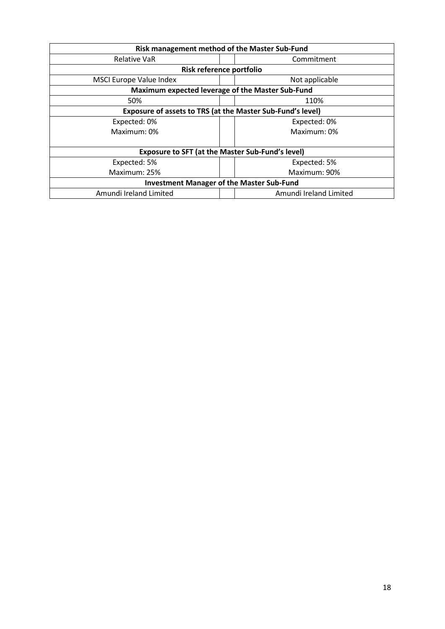| Risk management method of the Master Sub-Fund                     |                        |  |
|-------------------------------------------------------------------|------------------------|--|
| Relative VaR                                                      | Commitment             |  |
| Risk reference portfolio                                          |                        |  |
| <b>MSCI Europe Value Index</b>                                    | Not applicable         |  |
| Maximum expected leverage of the Master Sub-Fund                  |                        |  |
| 50%                                                               | 110%                   |  |
| <b>Exposure of assets to TRS (at the Master Sub-Fund's level)</b> |                        |  |
| Expected: 0%                                                      | Expected: 0%           |  |
| Maximum: 0%                                                       | Maximum: 0%            |  |
|                                                                   |                        |  |
| <b>Exposure to SFT (at the Master Sub-Fund's level)</b>           |                        |  |
| Expected: 5%                                                      | Expected: 5%           |  |
| Maximum: 25%                                                      | Maximum: 90%           |  |
| <b>Investment Manager of the Master Sub-Fund</b>                  |                        |  |
| Amundi Ireland Limited                                            | Amundi Ireland Limited |  |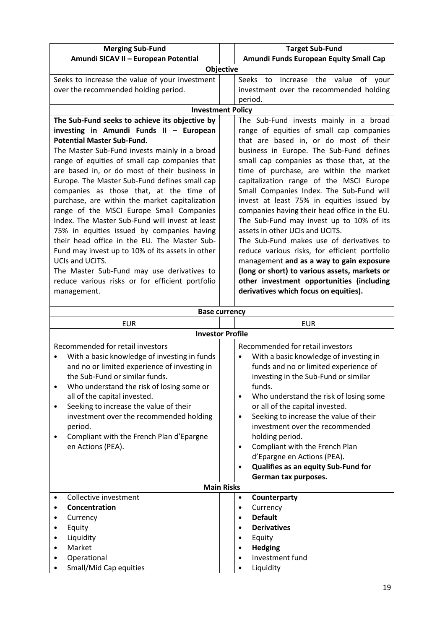| <b>Merging Sub-Fund</b>                          | <b>Target Sub-Fund</b>                        |  |  |
|--------------------------------------------------|-----------------------------------------------|--|--|
| Amundi SICAV II - European Potential             | Amundi Funds European Equity Small Cap        |  |  |
| Objective                                        |                                               |  |  |
| Seeks to increase the value of your investment   | Seeks<br>increase the value of your<br>to     |  |  |
| over the recommended holding period.             | investment over the recommended holding       |  |  |
|                                                  | period.                                       |  |  |
| <b>Investment Policy</b>                         |                                               |  |  |
| The Sub-Fund seeks to achieve its objective by   | The Sub-Fund invests mainly in a broad        |  |  |
| investing in Amundi Funds II - European          | range of equities of small cap companies      |  |  |
| <b>Potential Master Sub-Fund.</b>                | that are based in, or do most of their        |  |  |
| The Master Sub-Fund invests mainly in a broad    | business in Europe. The Sub-Fund defines      |  |  |
| range of equities of small cap companies that    | small cap companies as those that, at the     |  |  |
| are based in, or do most of their business in    | time of purchase, are within the market       |  |  |
| Europe. The Master Sub-Fund defines small cap    | capitalization range of the MSCI Europe       |  |  |
| companies as those that, at the time of          | Small Companies Index. The Sub-Fund will      |  |  |
| purchase, are within the market capitalization   | invest at least 75% in equities issued by     |  |  |
| range of the MSCI Europe Small Companies         | companies having their head office in the EU. |  |  |
| Index. The Master Sub-Fund will invest at least  | The Sub-Fund may invest up to 10% of its      |  |  |
| 75% in equities issued by companies having       | assets in other UCIs and UCITS.               |  |  |
| their head office in the EU. The Master Sub-     | The Sub-Fund makes use of derivatives to      |  |  |
| Fund may invest up to 10% of its assets in other | reduce various risks, for efficient portfolio |  |  |
| UCIs and UCITS.                                  | management and as a way to gain exposure      |  |  |
| The Master Sub-Fund may use derivatives to       | (long or short) to various assets, markets or |  |  |
| reduce various risks or for efficient portfolio  | other investment opportunities (including     |  |  |
| management.                                      | derivatives which focus on equities).         |  |  |
|                                                  |                                               |  |  |

| <b>Base currency</b>                                                                                                                                                                                                                                                                                                                                                                                                               |                                                                                                                                                                                                                                                                                                                                                                                                                                                                                                                                                     |  |  |  |
|------------------------------------------------------------------------------------------------------------------------------------------------------------------------------------------------------------------------------------------------------------------------------------------------------------------------------------------------------------------------------------------------------------------------------------|-----------------------------------------------------------------------------------------------------------------------------------------------------------------------------------------------------------------------------------------------------------------------------------------------------------------------------------------------------------------------------------------------------------------------------------------------------------------------------------------------------------------------------------------------------|--|--|--|
| <b>EUR</b>                                                                                                                                                                                                                                                                                                                                                                                                                         | <b>EUR</b>                                                                                                                                                                                                                                                                                                                                                                                                                                                                                                                                          |  |  |  |
| <b>Investor Profile</b>                                                                                                                                                                                                                                                                                                                                                                                                            |                                                                                                                                                                                                                                                                                                                                                                                                                                                                                                                                                     |  |  |  |
| Recommended for retail investors<br>With a basic knowledge of investing in funds<br>and no or limited experience of investing in<br>the Sub-Fund or similar funds.<br>Who understand the risk of losing some or<br>$\bullet$<br>all of the capital invested.<br>Seeking to increase the value of their<br>٠<br>investment over the recommended holding<br>period.<br>Compliant with the French Plan d'Epargne<br>en Actions (PEA). | Recommended for retail investors<br>With a basic knowledge of investing in<br>$\bullet$<br>funds and no or limited experience of<br>investing in the Sub-Fund or similar<br>funds.<br>Who understand the risk of losing some<br>$\bullet$<br>or all of the capital invested.<br>Seeking to increase the value of their<br>$\bullet$<br>investment over the recommended<br>holding period.<br>Compliant with the French Plan<br>$\bullet$<br>d'Epargne en Actions (PEA).<br>Qualifies as an equity Sub-Fund for<br>$\bullet$<br>German tax purposes. |  |  |  |
|                                                                                                                                                                                                                                                                                                                                                                                                                                    | <b>Main Risks</b>                                                                                                                                                                                                                                                                                                                                                                                                                                                                                                                                   |  |  |  |
| Collective investment                                                                                                                                                                                                                                                                                                                                                                                                              | Counterparty<br>$\bullet$                                                                                                                                                                                                                                                                                                                                                                                                                                                                                                                           |  |  |  |
| Concentration                                                                                                                                                                                                                                                                                                                                                                                                                      | Currency<br>$\bullet$<br><b>Default</b><br>$\bullet$                                                                                                                                                                                                                                                                                                                                                                                                                                                                                                |  |  |  |
| Currency<br>Equity                                                                                                                                                                                                                                                                                                                                                                                                                 | <b>Derivatives</b><br>$\bullet$                                                                                                                                                                                                                                                                                                                                                                                                                                                                                                                     |  |  |  |
| Liquidity                                                                                                                                                                                                                                                                                                                                                                                                                          | Equity<br>$\bullet$                                                                                                                                                                                                                                                                                                                                                                                                                                                                                                                                 |  |  |  |
| Market                                                                                                                                                                                                                                                                                                                                                                                                                             | <b>Hedging</b><br>$\bullet$                                                                                                                                                                                                                                                                                                                                                                                                                                                                                                                         |  |  |  |
| Operational                                                                                                                                                                                                                                                                                                                                                                                                                        | Investment fund                                                                                                                                                                                                                                                                                                                                                                                                                                                                                                                                     |  |  |  |
| Small/Mid Cap equities                                                                                                                                                                                                                                                                                                                                                                                                             | Liquidity<br>$\bullet$                                                                                                                                                                                                                                                                                                                                                                                                                                                                                                                              |  |  |  |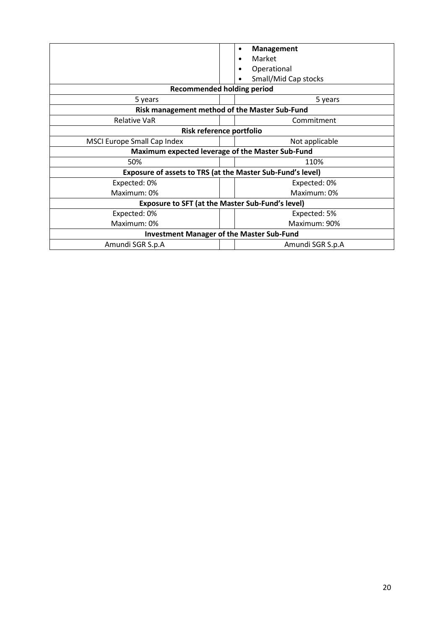|                                                            | <b>Management</b><br>$\bullet$<br>Market<br>Operational<br>Small/Mid Cap stocks |  |  |  |
|------------------------------------------------------------|---------------------------------------------------------------------------------|--|--|--|
| <b>Recommended holding period</b>                          |                                                                                 |  |  |  |
| 5 years                                                    | 5 years                                                                         |  |  |  |
| Risk management method of the Master Sub-Fund              |                                                                                 |  |  |  |
| <b>Relative VaR</b>                                        | Commitment                                                                      |  |  |  |
| Risk reference portfolio                                   |                                                                                 |  |  |  |
| MSCI Europe Small Cap Index                                | Not applicable                                                                  |  |  |  |
| Maximum expected leverage of the Master Sub-Fund           |                                                                                 |  |  |  |
| 50%                                                        | 110%                                                                            |  |  |  |
| Exposure of assets to TRS (at the Master Sub-Fund's level) |                                                                                 |  |  |  |
| Expected: 0%                                               | Expected: 0%                                                                    |  |  |  |
| Maximum: 0%                                                | Maximum: 0%                                                                     |  |  |  |
| <b>Exposure to SFT (at the Master Sub-Fund's level)</b>    |                                                                                 |  |  |  |
| Expected: 0%                                               | Expected: 5%                                                                    |  |  |  |
| Maximum: 0%                                                | Maximum: 90%                                                                    |  |  |  |
| <b>Investment Manager of the Master Sub-Fund</b>           |                                                                                 |  |  |  |
| Amundi SGR S.p.A                                           | Amundi SGR S.p.A                                                                |  |  |  |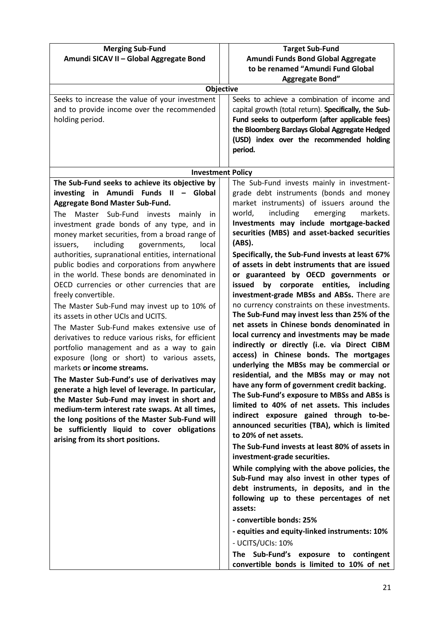| <b>Merging Sub-Fund</b><br>Amundi SICAV II - Global Aggregate Bond                                                                                                                                                                                                                                                                                                                                                                                                                                                                                                                                                                                                                                                                                                                                                                                                                                                                                                                                                                                                                                                                                                                                                            | <b>Target Sub-Fund</b><br>Amundi Funds Bond Global Aggregate                                                                                                                                                                                                                                                                                                                                                                                                                                                                                                                                                                                                                                                                                                                                                                                                                                                                                                                                                                                                                                                                                                                                                                                                                                                                                                                                                                                                                                                                                                                                                                                                      |
|-------------------------------------------------------------------------------------------------------------------------------------------------------------------------------------------------------------------------------------------------------------------------------------------------------------------------------------------------------------------------------------------------------------------------------------------------------------------------------------------------------------------------------------------------------------------------------------------------------------------------------------------------------------------------------------------------------------------------------------------------------------------------------------------------------------------------------------------------------------------------------------------------------------------------------------------------------------------------------------------------------------------------------------------------------------------------------------------------------------------------------------------------------------------------------------------------------------------------------|-------------------------------------------------------------------------------------------------------------------------------------------------------------------------------------------------------------------------------------------------------------------------------------------------------------------------------------------------------------------------------------------------------------------------------------------------------------------------------------------------------------------------------------------------------------------------------------------------------------------------------------------------------------------------------------------------------------------------------------------------------------------------------------------------------------------------------------------------------------------------------------------------------------------------------------------------------------------------------------------------------------------------------------------------------------------------------------------------------------------------------------------------------------------------------------------------------------------------------------------------------------------------------------------------------------------------------------------------------------------------------------------------------------------------------------------------------------------------------------------------------------------------------------------------------------------------------------------------------------------------------------------------------------------|
|                                                                                                                                                                                                                                                                                                                                                                                                                                                                                                                                                                                                                                                                                                                                                                                                                                                                                                                                                                                                                                                                                                                                                                                                                               | to be renamed "Amundi Fund Global<br><b>Aggregate Bond"</b>                                                                                                                                                                                                                                                                                                                                                                                                                                                                                                                                                                                                                                                                                                                                                                                                                                                                                                                                                                                                                                                                                                                                                                                                                                                                                                                                                                                                                                                                                                                                                                                                       |
|                                                                                                                                                                                                                                                                                                                                                                                                                                                                                                                                                                                                                                                                                                                                                                                                                                                                                                                                                                                                                                                                                                                                                                                                                               | <b>Objective</b>                                                                                                                                                                                                                                                                                                                                                                                                                                                                                                                                                                                                                                                                                                                                                                                                                                                                                                                                                                                                                                                                                                                                                                                                                                                                                                                                                                                                                                                                                                                                                                                                                                                  |
| Seeks to increase the value of your investment<br>and to provide income over the recommended<br>holding period.                                                                                                                                                                                                                                                                                                                                                                                                                                                                                                                                                                                                                                                                                                                                                                                                                                                                                                                                                                                                                                                                                                               | Seeks to achieve a combination of income and<br>capital growth (total return). Specifically, the Sub-<br>Fund seeks to outperform (after applicable fees)<br>the Bloomberg Barclays Global Aggregate Hedged<br>(USD) index over the recommended holding<br>period.                                                                                                                                                                                                                                                                                                                                                                                                                                                                                                                                                                                                                                                                                                                                                                                                                                                                                                                                                                                                                                                                                                                                                                                                                                                                                                                                                                                                |
|                                                                                                                                                                                                                                                                                                                                                                                                                                                                                                                                                                                                                                                                                                                                                                                                                                                                                                                                                                                                                                                                                                                                                                                                                               | <b>Investment Policy</b>                                                                                                                                                                                                                                                                                                                                                                                                                                                                                                                                                                                                                                                                                                                                                                                                                                                                                                                                                                                                                                                                                                                                                                                                                                                                                                                                                                                                                                                                                                                                                                                                                                          |
| The Sub-Fund seeks to achieve its objective by<br>investing in Amundi Funds II - Global<br><b>Aggregate Bond Master Sub-Fund.</b><br>The Master Sub-Fund invests mainly<br>-in<br>investment grade bonds of any type, and in<br>money market securities, from a broad range of<br>including<br>governments,<br>issuers,<br>local<br>authorities, supranational entities, international<br>public bodies and corporations from anywhere<br>in the world. These bonds are denominated in<br>OECD currencies or other currencies that are<br>freely convertible.<br>The Master Sub-Fund may invest up to 10% of<br>its assets in other UCIs and UCITS.<br>The Master Sub-Fund makes extensive use of<br>derivatives to reduce various risks, for efficient<br>portfolio management and as a way to gain<br>exposure (long or short) to various assets,<br>markets or income streams.<br>The Master Sub-Fund's use of derivatives may<br>generate a high level of leverage. In particular,<br>the Master Sub-Fund may invest in short and<br>medium-term interest rate swaps. At all times,<br>the long positions of the Master Sub-Fund will<br>be sufficiently liquid to cover obligations<br>arising from its short positions. | The Sub-Fund invests mainly in investment-<br>grade debt instruments (bonds and money<br>market instruments) of issuers around the<br>world,<br>including<br>emerging<br>markets.<br>Investments may include mortgage-backed<br>securities (MBS) and asset-backed securities<br>(ABS).<br>Specifically, the Sub-Fund invests at least 67%<br>of assets in debt instruments that are issued<br>or guaranteed by OECD governments or<br>issued<br>corporate entities,<br>including<br>by<br>investment-grade MBSs and ABSs. There are<br>no currency constraints on these investments.<br>The Sub-Fund may invest less than 25% of the<br>net assets in Chinese bonds denominated in<br>local currency and investments may be made<br>indirectly or directly (i.e. via Direct CIBM<br>access) in Chinese bonds. The mortgages<br>underlying the MBSs may be commercial or<br>residential, and the MBSs may or may not<br>have any form of government credit backing.<br>The Sub-Fund's exposure to MBSs and ABSs is<br>limited to 40% of net assets. This includes<br>indirect exposure gained through to-be-<br>announced securities (TBA), which is limited<br>to 20% of net assets.<br>The Sub-Fund invests at least 80% of assets in<br>investment-grade securities.<br>While complying with the above policies, the<br>Sub-Fund may also invest in other types of<br>debt instruments, in deposits, and in the<br>following up to these percentages of net<br>assets:<br>- convertible bonds: 25%<br>- equities and equity-linked instruments: 10%<br>- UCITS/UCIs: 10%<br>The Sub-Fund's exposure to contingent<br>convertible bonds is limited to 10% of net |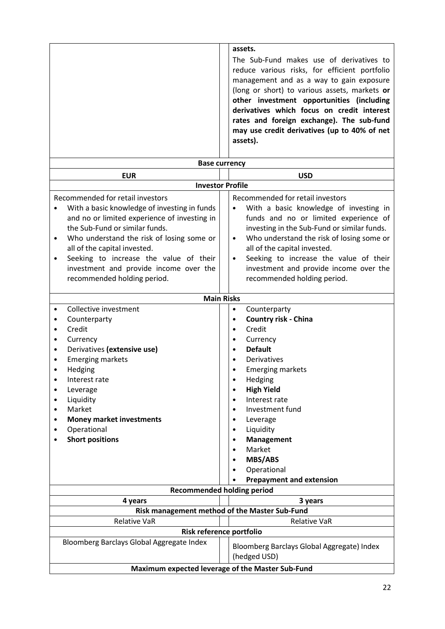|                                                                                                                                                                                                                                                                                                                                                                                                           | assets.<br>The Sub-Fund makes use of derivatives to<br>reduce various risks, for efficient portfolio<br>management and as a way to gain exposure<br>(long or short) to various assets, markets or<br>other investment opportunities (including<br>derivatives which focus on credit interest<br>rates and foreign exchange). The sub-fund<br>may use credit derivatives (up to 40% of net<br>assets). |  |
|-----------------------------------------------------------------------------------------------------------------------------------------------------------------------------------------------------------------------------------------------------------------------------------------------------------------------------------------------------------------------------------------------------------|-------------------------------------------------------------------------------------------------------------------------------------------------------------------------------------------------------------------------------------------------------------------------------------------------------------------------------------------------------------------------------------------------------|--|
|                                                                                                                                                                                                                                                                                                                                                                                                           | <b>Base currency</b>                                                                                                                                                                                                                                                                                                                                                                                  |  |
| <b>EUR</b>                                                                                                                                                                                                                                                                                                                                                                                                | <b>USD</b>                                                                                                                                                                                                                                                                                                                                                                                            |  |
|                                                                                                                                                                                                                                                                                                                                                                                                           | <b>Investor Profile</b>                                                                                                                                                                                                                                                                                                                                                                               |  |
| Recommended for retail investors<br>With a basic knowledge of investing in funds<br>$\bullet$<br>and no or limited experience of investing in<br>the Sub-Fund or similar funds.<br>Who understand the risk of losing some or<br>$\bullet$<br>all of the capital invested.<br>Seeking to increase the value of their<br>$\bullet$<br>investment and provide income over the<br>recommended holding period. | Recommended for retail investors<br>With a basic knowledge of investing in<br>funds and no or limited experience of<br>investing in the Sub-Fund or similar funds.<br>Who understand the risk of losing some or<br>$\bullet$<br>all of the capital invested.<br>Seeking to increase the value of their<br>$\bullet$<br>investment and provide income over the<br>recommended holding period.          |  |
|                                                                                                                                                                                                                                                                                                                                                                                                           | <b>Main Risks</b>                                                                                                                                                                                                                                                                                                                                                                                     |  |
| Collective investment<br>$\bullet$<br>Counterparty<br>٠<br>Credit<br>$\bullet$<br>Currency<br>٠<br>Derivatives (extensive use)<br>٠<br><b>Emerging markets</b><br>Hedging<br>$\bullet$<br>Interest rate<br>٠<br>Leverage<br>Liquidity<br>Market<br><b>Money market investments</b><br>$\bullet$<br>Operational<br><b>Short positions</b>                                                                  | Counterparty<br>$\bullet$<br><b>Country risk - China</b><br>$\bullet$<br>Credit<br>$\bullet$<br>Currency<br>$\bullet$<br><b>Default</b><br>Derivatives<br><b>Emerging markets</b><br>Hedging<br>$\bullet$<br><b>High Yield</b><br>Interest rate<br>Investment fund<br>Leverage<br>Liquidity<br>Management<br>Market<br><b>MBS/ABS</b><br>Operational<br><b>Prepayment and extension</b>               |  |
|                                                                                                                                                                                                                                                                                                                                                                                                           | <b>Recommended holding period</b>                                                                                                                                                                                                                                                                                                                                                                     |  |
| 3 years<br>4 years                                                                                                                                                                                                                                                                                                                                                                                        |                                                                                                                                                                                                                                                                                                                                                                                                       |  |
|                                                                                                                                                                                                                                                                                                                                                                                                           | Risk management method of the Master Sub-Fund                                                                                                                                                                                                                                                                                                                                                         |  |
| <b>Relative VaR</b>                                                                                                                                                                                                                                                                                                                                                                                       | <b>Relative VaR</b>                                                                                                                                                                                                                                                                                                                                                                                   |  |
|                                                                                                                                                                                                                                                                                                                                                                                                           | Risk reference portfolio                                                                                                                                                                                                                                                                                                                                                                              |  |
| Bloomberg Barclays Global Aggregate Index<br>Bloomberg Barclays Global Aggregate) Index<br>(hedged USD)                                                                                                                                                                                                                                                                                                   |                                                                                                                                                                                                                                                                                                                                                                                                       |  |
|                                                                                                                                                                                                                                                                                                                                                                                                           | Maximum expected leverage of the Master Sub-Fund                                                                                                                                                                                                                                                                                                                                                      |  |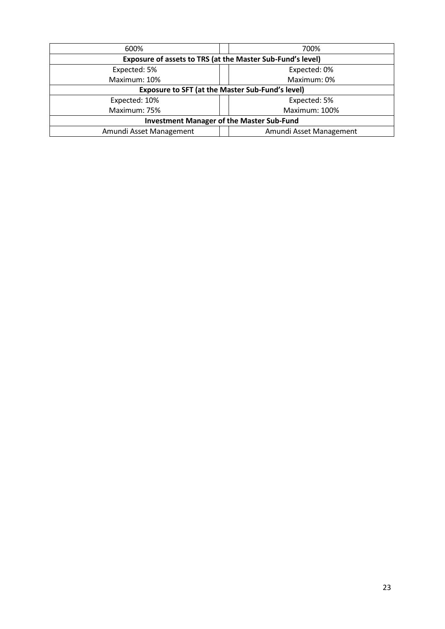| 600%                                                       | 700%                    |  |  |
|------------------------------------------------------------|-------------------------|--|--|
| Exposure of assets to TRS (at the Master Sub-Fund's level) |                         |  |  |
| Expected: 5%                                               | Expected: 0%            |  |  |
| Maximum: 10%                                               | Maximum: 0%             |  |  |
| <b>Exposure to SFT (at the Master Sub-Fund's level)</b>    |                         |  |  |
| Expected: 10%                                              | Expected: 5%            |  |  |
| Maximum: 75%                                               | Maximum: 100%           |  |  |
| <b>Investment Manager of the Master Sub-Fund</b>           |                         |  |  |
| Amundi Asset Management                                    | Amundi Asset Management |  |  |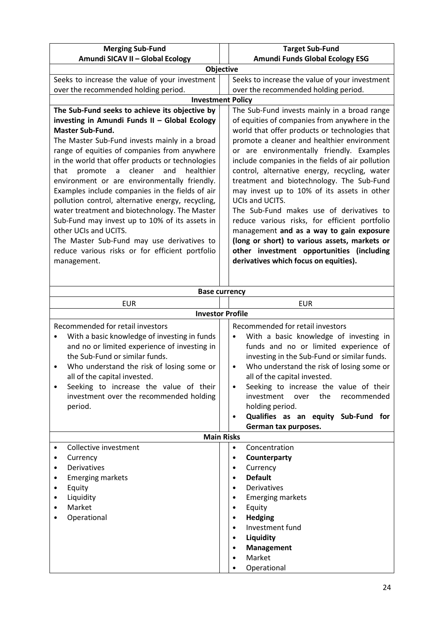| <b>Merging Sub-Fund</b>                           | <b>Target Sub-Fund</b>                           |
|---------------------------------------------------|--------------------------------------------------|
| Amundi SICAV II - Global Ecology                  | <b>Amundi Funds Global Ecology ESG</b>           |
|                                                   | <b>Objective</b>                                 |
| Seeks to increase the value of your investment    | Seeks to increase the value of your investment   |
| over the recommended holding period.              | over the recommended holding period.             |
|                                                   | <b>Investment Policy</b>                         |
| The Sub-Fund seeks to achieve its objective by    | The Sub-Fund invests mainly in a broad range     |
| investing in Amundi Funds II - Global Ecology     | of equities of companies from anywhere in the    |
| <b>Master Sub-Fund.</b>                           | world that offer products or technologies that   |
| The Master Sub-Fund invests mainly in a broad     | promote a cleaner and healthier environment      |
| range of equities of companies from anywhere      | or are environmentally friendly. Examples        |
| in the world that offer products or technologies  | include companies in the fields of air pollution |
| cleaner<br>and<br>healthier<br>promote a<br>that  | control, alternative energy, recycling, water    |
| environment or are environmentally friendly.      | treatment and biotechnology. The Sub-Fund        |
| Examples include companies in the fields of air   | may invest up to 10% of its assets in other      |
| pollution control, alternative energy, recycling, | UCIs and UCITS.                                  |
| water treatment and biotechnology. The Master     | The Sub-Fund makes use of derivatives to         |
| Sub-Fund may invest up to 10% of its assets in    | reduce various risks, for efficient portfolio    |
| other UCIs and UCITS.                             | management and as a way to gain exposure         |
| The Master Sub-Fund may use derivatives to        | (long or short) to various assets, markets or    |
| reduce various risks or for efficient portfolio   | other investment opportunities (including        |
| management.                                       | derivatives which focus on equities).            |
|                                                   |                                                  |
|                                                   |                                                  |

| <b>Base currency</b>                                                                                                                                                                                                                                                                                                                                              |                                                                                                                                                                                                                                                                                                                                                                                                                                                   |  |  |
|-------------------------------------------------------------------------------------------------------------------------------------------------------------------------------------------------------------------------------------------------------------------------------------------------------------------------------------------------------------------|---------------------------------------------------------------------------------------------------------------------------------------------------------------------------------------------------------------------------------------------------------------------------------------------------------------------------------------------------------------------------------------------------------------------------------------------------|--|--|
| <b>EUR</b>                                                                                                                                                                                                                                                                                                                                                        | <b>EUR</b>                                                                                                                                                                                                                                                                                                                                                                                                                                        |  |  |
|                                                                                                                                                                                                                                                                                                                                                                   | <b>Investor Profile</b>                                                                                                                                                                                                                                                                                                                                                                                                                           |  |  |
| Recommended for retail investors<br>With a basic knowledge of investing in funds<br>and no or limited experience of investing in<br>the Sub-Fund or similar funds.<br>Who understand the risk of losing some or<br>$\bullet$<br>all of the capital invested.<br>Seeking to increase the value of their<br>٠<br>investment over the recommended holding<br>period. | Recommended for retail investors<br>With a basic knowledge of investing in<br>funds and no or limited experience of<br>investing in the Sub-Fund or similar funds.<br>Who understand the risk of losing some or<br>$\bullet$<br>all of the capital invested.<br>Seeking to increase the value of their<br>$\bullet$<br>investment<br>the<br>over<br>recommended<br>holding period.<br>Qualifies as an equity Sub-Fund for<br>German tax purposes. |  |  |
|                                                                                                                                                                                                                                                                                                                                                                   | <b>Main Risks</b>                                                                                                                                                                                                                                                                                                                                                                                                                                 |  |  |
| Collective investment<br>Currency<br>Derivatives<br><b>Emerging markets</b><br>٠<br>Equity<br>Liquidity<br>٠<br>Market<br>٠<br>Operational                                                                                                                                                                                                                        | Concentration<br>$\bullet$<br>Counterparty<br>$\bullet$<br>Currency<br>$\bullet$<br><b>Default</b><br>Derivatives<br><b>Emerging markets</b><br>Equity<br>٠<br><b>Hedging</b><br>$\bullet$<br>Investment fund<br>Liquidity<br>Management<br>$\bullet$<br>Market<br>Operational                                                                                                                                                                    |  |  |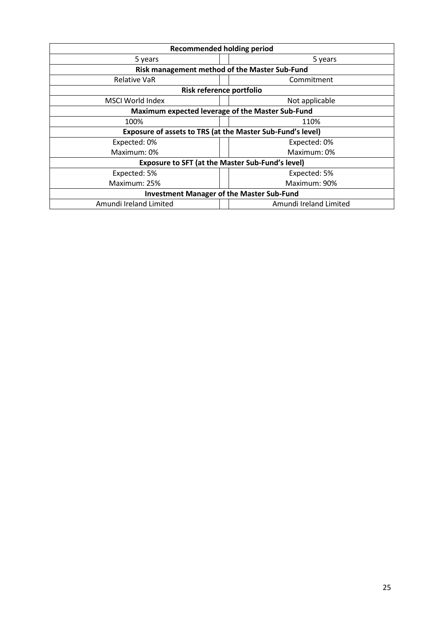| <b>Recommended holding period</b>                          |                                               |  |
|------------------------------------------------------------|-----------------------------------------------|--|
| 5 years                                                    | 5 years                                       |  |
|                                                            | Risk management method of the Master Sub-Fund |  |
| <b>Relative VaR</b>                                        | Commitment                                    |  |
| Risk reference portfolio                                   |                                               |  |
| MSCI World Index                                           | Not applicable                                |  |
| Maximum expected leverage of the Master Sub-Fund           |                                               |  |
| 100%                                                       | 110%                                          |  |
| Exposure of assets to TRS (at the Master Sub-Fund's level) |                                               |  |
| Expected: 0%                                               | Expected: 0%                                  |  |
| Maximum: 0%                                                | Maximum: 0%                                   |  |
| <b>Exposure to SFT (at the Master Sub-Fund's level)</b>    |                                               |  |
| Expected: 5%                                               | Expected: 5%                                  |  |
| Maximum: 25%                                               | Maximum: 90%                                  |  |
| <b>Investment Manager of the Master Sub-Fund</b>           |                                               |  |
| Amundi Ireland Limited                                     | Amundi Ireland Limited                        |  |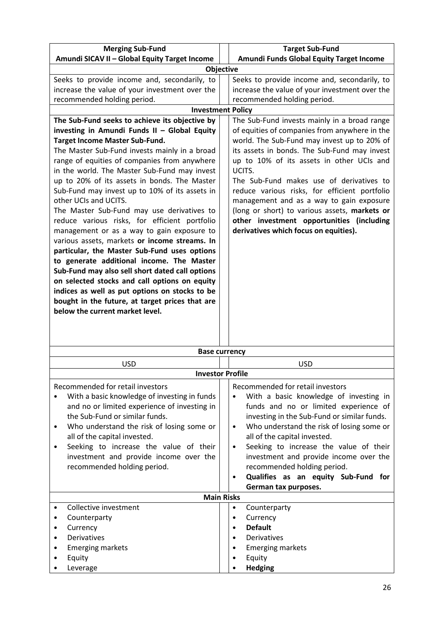| <b>Merging Sub-Fund</b>                                                                     | <b>Target Sub-Fund</b>                                 |
|---------------------------------------------------------------------------------------------|--------------------------------------------------------|
| Amundi SICAV II - Global Equity Target Income                                               | Amundi Funds Global Equity Target Income               |
|                                                                                             | Objective                                              |
| Seeks to provide income and, secondarily, to                                                | Seeks to provide income and, secondarily, to           |
| increase the value of your investment over the                                              | increase the value of your investment over the         |
| recommended holding period.                                                                 | recommended holding period.                            |
|                                                                                             | <b>Investment Policy</b>                               |
| The Sub-Fund seeks to achieve its objective by                                              | The Sub-Fund invests mainly in a broad range           |
| investing in Amundi Funds II - Global Equity                                                | of equities of companies from anywhere in the          |
| <b>Target Income Master Sub-Fund.</b>                                                       | world. The Sub-Fund may invest up to 20% of            |
| The Master Sub-Fund invests mainly in a broad                                               | its assets in bonds. The Sub-Fund may invest           |
| range of equities of companies from anywhere                                                | up to 10% of its assets in other UCIs and              |
| in the world. The Master Sub-Fund may invest                                                | UCITS.                                                 |
| up to 20% of its assets in bonds. The Master                                                | The Sub-Fund makes use of derivatives to               |
| Sub-Fund may invest up to 10% of its assets in                                              | reduce various risks, for efficient portfolio          |
| other UCIs and UCITS.                                                                       | management and as a way to gain exposure               |
| The Master Sub-Fund may use derivatives to                                                  | (long or short) to various assets, markets or          |
| reduce various risks, for efficient portfolio                                               | other investment opportunities (including              |
| management or as a way to gain exposure to<br>various assets, markets or income streams. In | derivatives which focus on equities).                  |
| particular, the Master Sub-Fund uses options                                                |                                                        |
| to generate additional income. The Master                                                   |                                                        |
| Sub-Fund may also sell short dated call options                                             |                                                        |
| on selected stocks and call options on equity                                               |                                                        |
| indices as well as put options on stocks to be                                              |                                                        |
| bought in the future, at target prices that are                                             |                                                        |
| below the current market level.                                                             |                                                        |
|                                                                                             |                                                        |
|                                                                                             |                                                        |
|                                                                                             |                                                        |
|                                                                                             | <b>Base currency</b>                                   |
| <b>USD</b>                                                                                  | <b>USD</b>                                             |
|                                                                                             | <b>Investor Profile</b>                                |
| Recommended for retail investors                                                            | Recommended for retail investors                       |
| With a basic knowledge of investing in funds                                                | With a basic knowledge of investing in                 |
| and no or limited experience of investing in                                                | funds and no or limited experience of                  |
| the Sub-Fund or similar funds.                                                              | investing in the Sub-Fund or similar funds.            |
| Who understand the risk of losing some or<br>٠                                              | Who understand the risk of losing some or<br>$\bullet$ |
| all of the capital invested.                                                                | all of the capital invested.                           |
| Seeking to increase the value of their<br>٠                                                 | Seeking to increase the value of their<br>$\bullet$    |
| investment and provide income over the                                                      | investment and provide income over the                 |
| recommended holding period.                                                                 | recommended holding period.                            |
|                                                                                             | Qualifies as an equity Sub-Fund for                    |
|                                                                                             | German tax purposes.<br><b>Main Risks</b>              |
| Collective investment                                                                       | Counterparty<br>٠                                      |
| Counterparty                                                                                | Currency                                               |
| Currency                                                                                    | <b>Default</b><br>$\bullet$                            |
| <b>Derivatives</b>                                                                          | Derivatives                                            |
| <b>Emerging markets</b>                                                                     | <b>Emerging markets</b>                                |
| Equity                                                                                      | Equity                                                 |
| Leverage                                                                                    | <b>Hedging</b>                                         |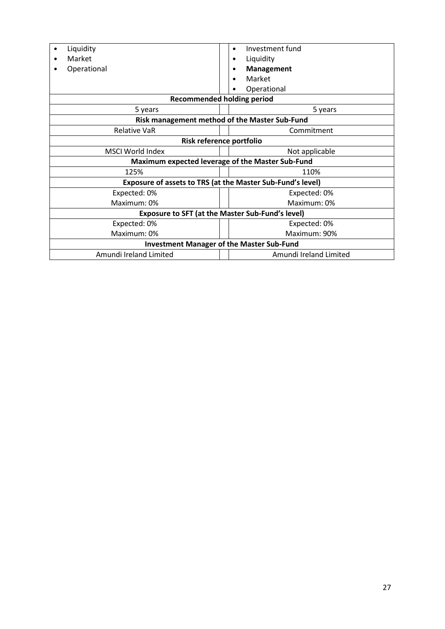| Liquidity                                                  | Investment fund<br>٠              |  |
|------------------------------------------------------------|-----------------------------------|--|
| Market                                                     | Liquidity                         |  |
| Operational                                                | <b>Management</b>                 |  |
|                                                            | Market                            |  |
|                                                            | Operational                       |  |
|                                                            | <b>Recommended holding period</b> |  |
| 5 years                                                    | 5 years                           |  |
| <b>Risk management method of the Master Sub-Fund</b>       |                                   |  |
| <b>Relative VaR</b>                                        | Commitment                        |  |
| Risk reference portfolio                                   |                                   |  |
| MSCI World Index                                           | Not applicable                    |  |
| Maximum expected leverage of the Master Sub-Fund           |                                   |  |
| 125%<br>110%                                               |                                   |  |
| Exposure of assets to TRS (at the Master Sub-Fund's level) |                                   |  |
| Expected: 0%                                               | Expected: 0%                      |  |
| Maximum: 0%                                                | Maximum: 0%                       |  |
| <b>Exposure to SFT (at the Master Sub-Fund's level)</b>    |                                   |  |
| Expected: 0%                                               | Expected: 0%                      |  |
| Maximum: 0%                                                | Maximum: 90%                      |  |
| <b>Investment Manager of the Master Sub-Fund</b>           |                                   |  |
| Amundi Ireland Limited                                     | Amundi Ireland Limited            |  |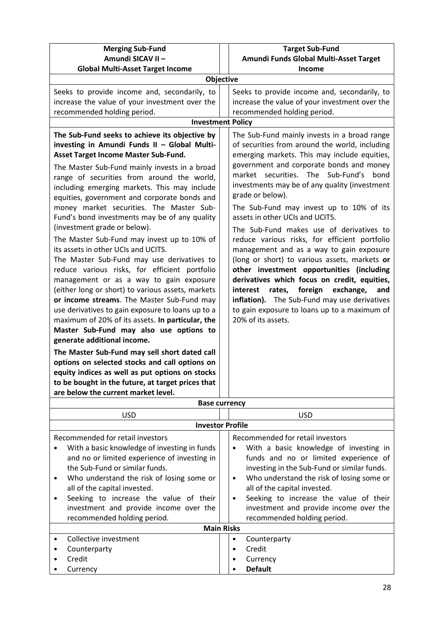| <b>Merging Sub-Fund</b><br>Amundi SICAV II -                                                                                                                                                                                                                                                                                                                                                                                                                                                                                                                                                                                                                                                                                                                                                                                                                                                                                                                                                                                                                                                                                                                                                                                               | <b>Target Sub-Fund</b><br>Amundi Funds Global Multi-Asset Target                                                                                                                                                                                                                                                                                                                                                                                                                                                                                                                                                                                                                                                                                                                                                                                                    |  |
|--------------------------------------------------------------------------------------------------------------------------------------------------------------------------------------------------------------------------------------------------------------------------------------------------------------------------------------------------------------------------------------------------------------------------------------------------------------------------------------------------------------------------------------------------------------------------------------------------------------------------------------------------------------------------------------------------------------------------------------------------------------------------------------------------------------------------------------------------------------------------------------------------------------------------------------------------------------------------------------------------------------------------------------------------------------------------------------------------------------------------------------------------------------------------------------------------------------------------------------------|---------------------------------------------------------------------------------------------------------------------------------------------------------------------------------------------------------------------------------------------------------------------------------------------------------------------------------------------------------------------------------------------------------------------------------------------------------------------------------------------------------------------------------------------------------------------------------------------------------------------------------------------------------------------------------------------------------------------------------------------------------------------------------------------------------------------------------------------------------------------|--|
| <b>Global Multi-Asset Target Income</b>                                                                                                                                                                                                                                                                                                                                                                                                                                                                                                                                                                                                                                                                                                                                                                                                                                                                                                                                                                                                                                                                                                                                                                                                    | Income                                                                                                                                                                                                                                                                                                                                                                                                                                                                                                                                                                                                                                                                                                                                                                                                                                                              |  |
| <b>Objective</b>                                                                                                                                                                                                                                                                                                                                                                                                                                                                                                                                                                                                                                                                                                                                                                                                                                                                                                                                                                                                                                                                                                                                                                                                                           |                                                                                                                                                                                                                                                                                                                                                                                                                                                                                                                                                                                                                                                                                                                                                                                                                                                                     |  |
| Seeks to provide income and, secondarily, to<br>increase the value of your investment over the<br>recommended holding period.                                                                                                                                                                                                                                                                                                                                                                                                                                                                                                                                                                                                                                                                                                                                                                                                                                                                                                                                                                                                                                                                                                              | Seeks to provide income and, secondarily, to<br>increase the value of your investment over the<br>recommended holding period.                                                                                                                                                                                                                                                                                                                                                                                                                                                                                                                                                                                                                                                                                                                                       |  |
| <b>Investment Policy</b>                                                                                                                                                                                                                                                                                                                                                                                                                                                                                                                                                                                                                                                                                                                                                                                                                                                                                                                                                                                                                                                                                                                                                                                                                   |                                                                                                                                                                                                                                                                                                                                                                                                                                                                                                                                                                                                                                                                                                                                                                                                                                                                     |  |
| The Sub-Fund seeks to achieve its objective by<br>investing in Amundi Funds II - Global Multi-<br>Asset Target Income Master Sub-Fund.<br>The Master Sub-Fund mainly invests in a broad<br>range of securities from around the world,<br>including emerging markets. This may include<br>equities, government and corporate bonds and<br>money market securities. The Master Sub-<br>Fund's bond investments may be of any quality<br>(investment grade or below).<br>The Master Sub-Fund may invest up to 10% of<br>its assets in other UCIs and UCITS.<br>The Master Sub-Fund may use derivatives to<br>reduce various risks, for efficient portfolio<br>management or as a way to gain exposure<br>(either long or short) to various assets, markets<br>or income streams. The Master Sub-Fund may<br>use derivatives to gain exposure to loans up to a<br>maximum of 20% of its assets. In particular, the<br>Master Sub-Fund may also use options to<br>generate additional income.<br>The Master Sub-Fund may sell short dated call<br>options on selected stocks and call options on<br>equity indices as well as put options on stocks<br>to be bought in the future, at target prices that<br>are below the current market level. | The Sub-Fund mainly invests in a broad range<br>of securities from around the world, including<br>emerging markets. This may include equities,<br>government and corporate bonds and money<br>securities.<br>The Sub-Fund's<br>bond<br>market<br>investments may be of any quality (investment<br>grade or below).<br>The Sub-Fund may invest up to 10% of its<br>assets in other UCIs and UCITS.<br>The Sub-Fund makes use of derivatives to<br>reduce various risks, for efficient portfolio<br>management and as a way to gain exposure<br>(long or short) to various assets, markets or<br>other investment opportunities (including<br>derivatives which focus on credit, equities,<br>foreign<br>interest<br>exchange,<br>and<br>rates,<br>inflation). The Sub-Fund may use derivatives<br>to gain exposure to loans up to a maximum of<br>20% of its assets. |  |
| <b>Base currency</b>                                                                                                                                                                                                                                                                                                                                                                                                                                                                                                                                                                                                                                                                                                                                                                                                                                                                                                                                                                                                                                                                                                                                                                                                                       |                                                                                                                                                                                                                                                                                                                                                                                                                                                                                                                                                                                                                                                                                                                                                                                                                                                                     |  |
| <b>USD</b>                                                                                                                                                                                                                                                                                                                                                                                                                                                                                                                                                                                                                                                                                                                                                                                                                                                                                                                                                                                                                                                                                                                                                                                                                                 | <b>USD</b>                                                                                                                                                                                                                                                                                                                                                                                                                                                                                                                                                                                                                                                                                                                                                                                                                                                          |  |
| <b>Investor Profile</b>                                                                                                                                                                                                                                                                                                                                                                                                                                                                                                                                                                                                                                                                                                                                                                                                                                                                                                                                                                                                                                                                                                                                                                                                                    |                                                                                                                                                                                                                                                                                                                                                                                                                                                                                                                                                                                                                                                                                                                                                                                                                                                                     |  |
| Recommended for retail investors<br>With a basic knowledge of investing in funds<br>and no or limited experience of investing in<br>the Sub-Fund or similar funds.<br>Who understand the risk of losing some or<br>٠<br>all of the capital invested.<br>Seeking to increase the value of their<br>٠                                                                                                                                                                                                                                                                                                                                                                                                                                                                                                                                                                                                                                                                                                                                                                                                                                                                                                                                        | Recommended for retail investors<br>With a basic knowledge of investing in<br>funds and no or limited experience of<br>investing in the Sub-Fund or similar funds.<br>Who understand the risk of losing some or<br>$\bullet$<br>all of the capital invested.<br>Seeking to increase the value of their<br>$\bullet$                                                                                                                                                                                                                                                                                                                                                                                                                                                                                                                                                 |  |
| investment and provide income over the<br>rocommondod holding noriod                                                                                                                                                                                                                                                                                                                                                                                                                                                                                                                                                                                                                                                                                                                                                                                                                                                                                                                                                                                                                                                                                                                                                                       | investment and provide income over the<br>commonded holding neriod                                                                                                                                                                                                                                                                                                                                                                                                                                                                                                                                                                                                                                                                                                                                                                                                  |  |

|                   | recommended holding period. |  | recommended holding period. |
|-------------------|-----------------------------|--|-----------------------------|
| <b>Main Risks</b> |                             |  |                             |
|                   | Collective investment       |  | Counterparty                |
| $\bullet$         | Counterparty                |  | Credit                      |
|                   | Credit                      |  | Currency                    |
|                   | Currency                    |  | <b>Default</b>              |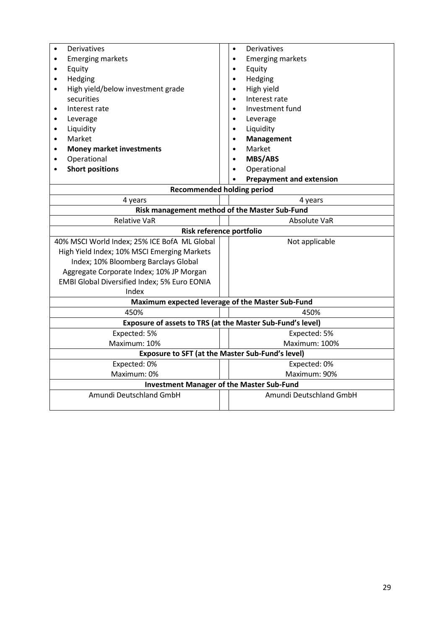| Derivatives                                                    | Derivatives<br>$\bullet$                                   |  |  |
|----------------------------------------------------------------|------------------------------------------------------------|--|--|
| <b>Emerging markets</b><br>$\bullet$                           | <b>Emerging markets</b>                                    |  |  |
| Equity<br>$\bullet$                                            | Equity<br>$\bullet$                                        |  |  |
| Hedging<br>$\bullet$                                           | Hedging<br>$\bullet$                                       |  |  |
| High yield/below investment grade<br>$\bullet$                 | High yield<br>$\bullet$                                    |  |  |
| securities                                                     | Interest rate                                              |  |  |
| Interest rate<br>$\bullet$                                     | Investment fund                                            |  |  |
| Leverage<br>$\bullet$                                          | Leverage                                                   |  |  |
| Liquidity<br>$\bullet$                                         | Liquidity                                                  |  |  |
| Market<br>$\bullet$                                            | <b>Management</b>                                          |  |  |
| <b>Money market investments</b><br>$\bullet$                   | Market                                                     |  |  |
| Operational<br>$\bullet$                                       | <b>MBS/ABS</b><br>$\bullet$                                |  |  |
| <b>Short positions</b>                                         | Operational                                                |  |  |
|                                                                | <b>Prepayment and extension</b>                            |  |  |
| <b>Recommended holding period</b>                              |                                                            |  |  |
| 4 years                                                        | 4 years                                                    |  |  |
| Risk management method of the Master Sub-Fund                  |                                                            |  |  |
| <b>Relative VaR</b>                                            | Absolute VaR                                               |  |  |
| Risk reference portfolio                                       |                                                            |  |  |
| 40% MSCI World Index; 25% ICE BofA ML Global<br>Not applicable |                                                            |  |  |
| High Yield Index; 10% MSCI Emerging Markets                    |                                                            |  |  |
| Index; 10% Bloomberg Barclays Global                           |                                                            |  |  |
| Aggregate Corporate Index; 10% JP Morgan                       |                                                            |  |  |
| EMBI Global Diversified Index; 5% Euro EONIA                   |                                                            |  |  |
| Index                                                          |                                                            |  |  |
|                                                                | Maximum expected leverage of the Master Sub-Fund           |  |  |
| 450%                                                           | 450%                                                       |  |  |
|                                                                | Exposure of assets to TRS (at the Master Sub-Fund's level) |  |  |
| Expected: 5%                                                   | Expected: 5%                                               |  |  |
| Maximum: 10%                                                   | Maximum: 100%                                              |  |  |
|                                                                | <b>Exposure to SFT (at the Master Sub-Fund's level)</b>    |  |  |
| Expected: 0%                                                   | Expected: 0%                                               |  |  |
| Maximum: 0%                                                    | Maximum: 90%                                               |  |  |
| <b>Investment Manager of the Master Sub-Fund</b>               |                                                            |  |  |
|                                                                |                                                            |  |  |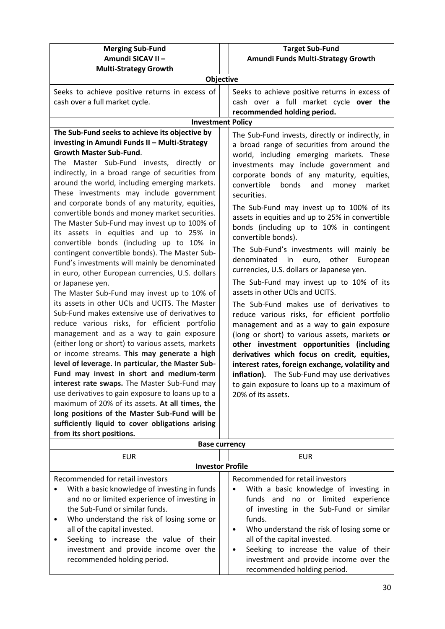| <b>Merging Sub-Fund</b>                                                                          | <b>Target Sub-Fund</b>                                                                    |  |
|--------------------------------------------------------------------------------------------------|-------------------------------------------------------------------------------------------|--|
| Amundi SICAV II -                                                                                | Amundi Funds Multi-Strategy Growth                                                        |  |
| <b>Multi-Strategy Growth</b>                                                                     |                                                                                           |  |
| Objective                                                                                        |                                                                                           |  |
| Seeks to achieve positive returns in excess of                                                   | Seeks to achieve positive returns in excess of                                            |  |
| cash over a full market cycle.                                                                   | cash over a full market cycle over the                                                    |  |
|                                                                                                  | recommended holding period.                                                               |  |
| <b>Investment Policy</b>                                                                         |                                                                                           |  |
| The Sub-Fund seeks to achieve its objective by                                                   | The Sub-Fund invests, directly or indirectly, in                                          |  |
| investing in Amundi Funds II - Multi-Strategy<br><b>Growth Master Sub-Fund.</b>                  | a broad range of securities from around the                                               |  |
| The Master Sub-Fund invests, directly or                                                         | world, including emerging markets. These                                                  |  |
| indirectly, in a broad range of securities from                                                  | investments may include government and                                                    |  |
| around the world, including emerging markets.                                                    | corporate bonds of any maturity, equities,                                                |  |
| These investments may include government                                                         | convertible<br>bonds<br>and<br>market<br>money<br>securities.                             |  |
| and corporate bonds of any maturity, equities,                                                   |                                                                                           |  |
| convertible bonds and money market securities.                                                   | The Sub-Fund may invest up to 100% of its                                                 |  |
| The Master Sub-Fund may invest up to 100% of                                                     | assets in equities and up to 25% in convertible                                           |  |
| its assets in equities and up to 25% in                                                          | bonds (including up to 10% in contingent<br>convertible bonds).                           |  |
| convertible bonds (including up to 10% in                                                        |                                                                                           |  |
| contingent convertible bonds). The Master Sub-                                                   | The Sub-Fund's investments will mainly be<br>denominated<br>other<br>European             |  |
| Fund's investments will mainly be denominated                                                    | in<br>euro,<br>currencies, U.S. dollars or Japanese yen.                                  |  |
| in euro, other European currencies, U.S. dollars                                                 |                                                                                           |  |
| or Japanese yen.                                                                                 | The Sub-Fund may invest up to 10% of its<br>assets in other UCIs and UCITS.               |  |
| The Master Sub-Fund may invest up to 10% of                                                      |                                                                                           |  |
| its assets in other UCIs and UCITS. The Master<br>Sub-Fund makes extensive use of derivatives to | The Sub-Fund makes use of derivatives to                                                  |  |
| reduce various risks, for efficient portfolio                                                    | reduce various risks, for efficient portfolio                                             |  |
| management and as a way to gain exposure                                                         | management and as a way to gain exposure<br>(long or short) to various assets, markets or |  |
| (either long or short) to various assets, markets                                                | other investment opportunities (including                                                 |  |
| or income streams. This may generate a high                                                      | derivatives which focus on credit, equities,                                              |  |
| level of leverage. In particular, the Master Sub-                                                | interest rates, foreign exchange, volatility and                                          |  |
| Fund may invest in short and medium-term                                                         | inflation). The Sub-Fund may use derivatives                                              |  |
| interest rate swaps. The Master Sub-Fund may                                                     | to gain exposure to loans up to a maximum of                                              |  |
| use derivatives to gain exposure to loans up to a                                                | 20% of its assets.                                                                        |  |
| maximum of 20% of its assets. At all times, the                                                  |                                                                                           |  |
| long positions of the Master Sub-Fund will be                                                    |                                                                                           |  |
| sufficiently liquid to cover obligations arising                                                 |                                                                                           |  |
| from its short positions.                                                                        |                                                                                           |  |
| <b>Base currency</b>                                                                             |                                                                                           |  |

| <b>EUR</b>                                                                                                                                                                                                                                                                                                                                                         | EUR                                                                                                                                                                                                                                                                                                                                                                                     |  |
|--------------------------------------------------------------------------------------------------------------------------------------------------------------------------------------------------------------------------------------------------------------------------------------------------------------------------------------------------------------------|-----------------------------------------------------------------------------------------------------------------------------------------------------------------------------------------------------------------------------------------------------------------------------------------------------------------------------------------------------------------------------------------|--|
| <b>Investor Profile</b>                                                                                                                                                                                                                                                                                                                                            |                                                                                                                                                                                                                                                                                                                                                                                         |  |
| Recommended for retail investors<br>With a basic knowledge of investing in funds<br>and no or limited experience of investing in<br>the Sub-Fund or similar funds.<br>Who understand the risk of losing some or<br>all of the capital invested.<br>Seeking to increase the value of their<br>investment and provide income over the<br>recommended holding period. | Recommended for retail investors<br>With a basic knowledge of investing in<br>٠<br>funds and no or limited experience<br>of investing in the Sub-Fund or similar<br>funds.<br>Who understand the risk of losing some or<br>all of the capital invested.<br>Seeking to increase the value of their<br>$\bullet$<br>investment and provide income over the<br>recommended holding period. |  |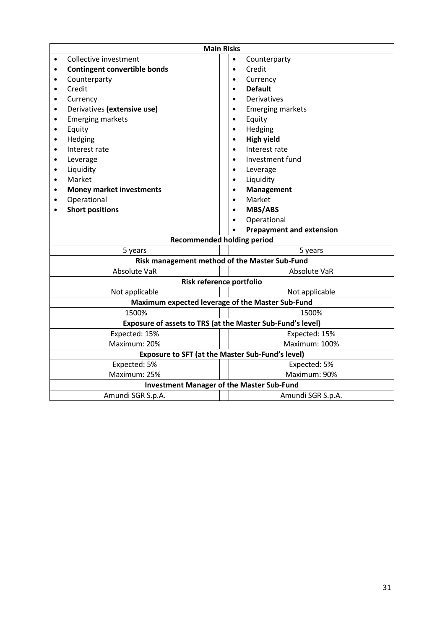| <b>Main Risks</b>                                |                                                            |  |                                 |
|--------------------------------------------------|------------------------------------------------------------|--|---------------------------------|
|                                                  | Collective investment                                      |  | Counterparty<br>$\bullet$       |
|                                                  | <b>Contingent convertible bonds</b>                        |  | Credit<br>$\bullet$             |
|                                                  | Counterparty                                               |  | Currency                        |
|                                                  | Credit                                                     |  | <b>Default</b>                  |
| ٠                                                | Currency                                                   |  | Derivatives                     |
|                                                  | Derivatives (extensive use)                                |  | <b>Emerging markets</b>         |
| $\bullet$                                        | <b>Emerging markets</b>                                    |  | Equity                          |
| $\bullet$                                        | Equity                                                     |  | Hedging                         |
| $\bullet$                                        | Hedging                                                    |  | <b>High yield</b>               |
| $\bullet$                                        | Interest rate                                              |  | Interest rate                   |
| $\bullet$                                        | Leverage                                                   |  | Investment fund                 |
| $\bullet$                                        | Liquidity                                                  |  | Leverage                        |
| $\bullet$                                        | Market                                                     |  | Liquidity<br>$\bullet$          |
|                                                  | <b>Money market investments</b>                            |  | <b>Management</b>               |
| $\bullet$                                        | Operational                                                |  | Market                          |
|                                                  | <b>Short positions</b>                                     |  | <b>MBS/ABS</b>                  |
|                                                  |                                                            |  | Operational                     |
|                                                  |                                                            |  | <b>Prepayment and extension</b> |
| <b>Recommended holding period</b>                |                                                            |  |                                 |
|                                                  | 5 years<br>5 years                                         |  |                                 |
|                                                  | Risk management method of the Master Sub-Fund              |  |                                 |
|                                                  | Absolute VaR                                               |  | Absolute VaR                    |
|                                                  | Risk reference portfolio                                   |  |                                 |
|                                                  | Not applicable                                             |  | Not applicable                  |
| Maximum expected leverage of the Master Sub-Fund |                                                            |  |                                 |
|                                                  | 1500%                                                      |  | 1500%                           |
|                                                  | Exposure of assets to TRS (at the Master Sub-Fund's level) |  |                                 |
|                                                  | Expected: 15%                                              |  | Expected: 15%                   |
|                                                  | Maximum: 20%                                               |  | Maximum: 100%                   |
|                                                  | Exposure to SFT (at the Master Sub-Fund's level)           |  |                                 |
|                                                  | Expected: 5%                                               |  | Expected: 5%                    |
|                                                  | Maximum: 25%                                               |  | Maximum: 90%                    |
| <b>Investment Manager of the Master Sub-Fund</b> |                                                            |  |                                 |
|                                                  | Amundi SGR S.p.A.                                          |  | Amundi SGR S.p.A.               |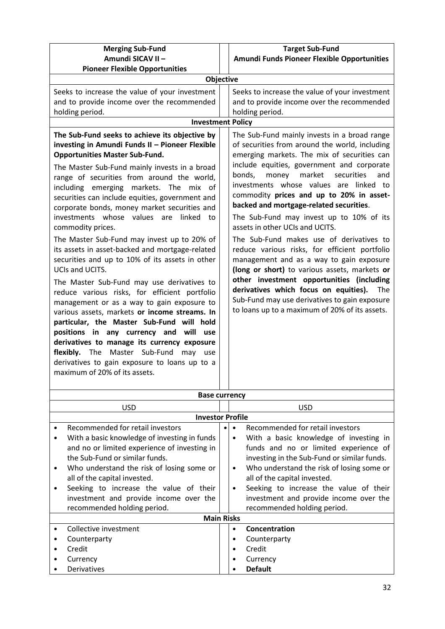|                                                     | <b>Target Sub-Fund</b>                                 |
|-----------------------------------------------------|--------------------------------------------------------|
| <b>Merging Sub-Fund</b><br>Amundi SICAV II -        |                                                        |
| <b>Pioneer Flexible Opportunities</b>               | Amundi Funds Pioneer Flexible Opportunities            |
|                                                     | Objective                                              |
|                                                     |                                                        |
| Seeks to increase the value of your investment      | Seeks to increase the value of your investment         |
| and to provide income over the recommended          | and to provide income over the recommended             |
| holding period.                                     | holding period.                                        |
|                                                     | <b>Investment Policy</b>                               |
| The Sub-Fund seeks to achieve its objective by      | The Sub-Fund mainly invests in a broad range           |
| investing in Amundi Funds II - Pioneer Flexible     | of securities from around the world, including         |
| <b>Opportunities Master Sub-Fund.</b>               | emerging markets. The mix of securities can            |
| The Master Sub-Fund mainly invests in a broad       | include equities, government and corporate             |
| range of securities from around the world,          | market<br>bonds,<br>money<br>securities<br>and         |
| including emerging markets. The mix of              | investments whose values are linked to                 |
| securities can include equities, government and     | commodity prices and up to 20% in asset-               |
| corporate bonds, money market securities and        | backed and mortgage-related securities.                |
| investments whose values are linked to              | The Sub-Fund may invest up to 10% of its               |
| commodity prices.                                   | assets in other UCIs and UCITS.                        |
| The Master Sub-Fund may invest up to 20% of         | The Sub-Fund makes use of derivatives to               |
| its assets in asset-backed and mortgage-related     | reduce various risks, for efficient portfolio          |
| securities and up to 10% of its assets in other     | management and as a way to gain exposure               |
| UCIs and UCITS.                                     | (long or short) to various assets, markets or          |
| The Master Sub-Fund may use derivatives to          | other investment opportunities (including              |
| reduce various risks, for efficient portfolio       | derivatives which focus on equities).<br>The           |
| management or as a way to gain exposure to          | Sub-Fund may use derivatives to gain exposure          |
| various assets, markets or income streams. In       | to loans up to a maximum of 20% of its assets.         |
| particular, the Master Sub-Fund will hold           |                                                        |
| positions in any currency and will<br>use           |                                                        |
| derivatives to manage its currency exposure         |                                                        |
| Master Sub-Fund<br>flexibly.<br>The<br>may<br>use   |                                                        |
| derivatives to gain exposure to loans up to a       |                                                        |
| maximum of 20% of its assets.                       |                                                        |
|                                                     |                                                        |
|                                                     | <b>Base currency</b>                                   |
| <b>USD</b>                                          | <b>USD</b>                                             |
|                                                     | <b>Investor Profile</b>                                |
| Recommended for retail investors                    | Recommended for retail investors<br>$\bullet$          |
| With a basic knowledge of investing in funds        | With a basic knowledge of investing in<br>$\bullet$    |
| and no or limited experience of investing in        | funds and no or limited experience of                  |
| the Sub-Fund or similar funds.                      | investing in the Sub-Fund or similar funds.            |
| Who understand the risk of losing some or<br>٠      | Who understand the risk of losing some or<br>$\bullet$ |
| all of the capital invested.                        | all of the capital invested.                           |
| Seeking to increase the value of their<br>$\bullet$ | Seeking to increase the value of their<br>$\bullet$    |
| investment and provide income over the              | investment and provide income over the                 |
| recommended holding period.                         | recommended holding period.                            |

## **Main Risks** • **Concentration**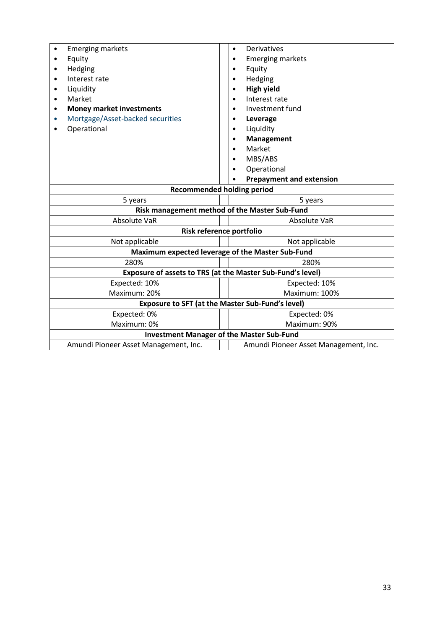| <b>Emerging markets</b>                                 | Derivatives<br>$\bullet$                                   |  |  |
|---------------------------------------------------------|------------------------------------------------------------|--|--|
| Equity                                                  | <b>Emerging markets</b><br>$\bullet$                       |  |  |
| Hedging                                                 | Equity                                                     |  |  |
| Interest rate                                           | Hedging                                                    |  |  |
| Liquidity                                               | <b>High yield</b>                                          |  |  |
| Market<br>$\bullet$                                     | Interest rate                                              |  |  |
| <b>Money market investments</b><br>٠                    | Investment fund                                            |  |  |
| Mortgage/Asset-backed securities                        | Leverage<br>٠                                              |  |  |
| Operational                                             | Liquidity                                                  |  |  |
|                                                         | Management                                                 |  |  |
|                                                         | Market                                                     |  |  |
|                                                         | MBS/ABS                                                    |  |  |
|                                                         | Operational                                                |  |  |
|                                                         | <b>Prepayment and extension</b>                            |  |  |
|                                                         | <b>Recommended holding period</b>                          |  |  |
| 5 years                                                 | 5 years                                                    |  |  |
| Risk management method of the Master Sub-Fund           |                                                            |  |  |
| Absolute VaR                                            | Absolute VaR                                               |  |  |
|                                                         | Risk reference portfolio                                   |  |  |
| Not applicable<br>Not applicable                        |                                                            |  |  |
|                                                         | Maximum expected leverage of the Master Sub-Fund           |  |  |
| 280%                                                    | 280%                                                       |  |  |
|                                                         | Exposure of assets to TRS (at the Master Sub-Fund's level) |  |  |
| Expected: 10%                                           | Expected: 10%                                              |  |  |
| Maximum: 20%                                            | Maximum: 100%                                              |  |  |
| <b>Exposure to SFT (at the Master Sub-Fund's level)</b> |                                                            |  |  |
| Expected: 0%                                            | Expected: 0%                                               |  |  |
| Maximum: 0%                                             | Maximum: 90%                                               |  |  |
| <b>Investment Manager of the Master Sub-Fund</b>        |                                                            |  |  |
| Amundi Pioneer Asset Management, Inc.                   | Amundi Pioneer Asset Management, Inc.                      |  |  |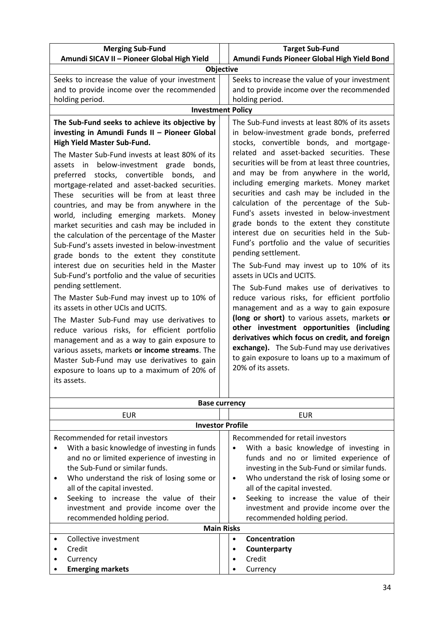| <b>Merging Sub-Fund</b>                                                                                                                                                                                                                                                                                                                                                                                                                                                                                                                                                                                                                                                                                                                                                                                                                                                                                                                                                                                                                                                                                                                                                                                     | <b>Target Sub-Fund</b>                                                                                                                                                                                                                                                                                                                                                                                                                                                                                                                                                                                                                                                                                                                                                                                                                                                                                                                                                                                                                                                                                                                |  |  |
|-------------------------------------------------------------------------------------------------------------------------------------------------------------------------------------------------------------------------------------------------------------------------------------------------------------------------------------------------------------------------------------------------------------------------------------------------------------------------------------------------------------------------------------------------------------------------------------------------------------------------------------------------------------------------------------------------------------------------------------------------------------------------------------------------------------------------------------------------------------------------------------------------------------------------------------------------------------------------------------------------------------------------------------------------------------------------------------------------------------------------------------------------------------------------------------------------------------|---------------------------------------------------------------------------------------------------------------------------------------------------------------------------------------------------------------------------------------------------------------------------------------------------------------------------------------------------------------------------------------------------------------------------------------------------------------------------------------------------------------------------------------------------------------------------------------------------------------------------------------------------------------------------------------------------------------------------------------------------------------------------------------------------------------------------------------------------------------------------------------------------------------------------------------------------------------------------------------------------------------------------------------------------------------------------------------------------------------------------------------|--|--|
| Amundi SICAV II - Pioneer Global High Yield                                                                                                                                                                                                                                                                                                                                                                                                                                                                                                                                                                                                                                                                                                                                                                                                                                                                                                                                                                                                                                                                                                                                                                 | Amundi Funds Pioneer Global High Yield Bond                                                                                                                                                                                                                                                                                                                                                                                                                                                                                                                                                                                                                                                                                                                                                                                                                                                                                                                                                                                                                                                                                           |  |  |
|                                                                                                                                                                                                                                                                                                                                                                                                                                                                                                                                                                                                                                                                                                                                                                                                                                                                                                                                                                                                                                                                                                                                                                                                             | <b>Objective</b>                                                                                                                                                                                                                                                                                                                                                                                                                                                                                                                                                                                                                                                                                                                                                                                                                                                                                                                                                                                                                                                                                                                      |  |  |
| Seeks to increase the value of your investment<br>and to provide income over the recommended<br>holding period.                                                                                                                                                                                                                                                                                                                                                                                                                                                                                                                                                                                                                                                                                                                                                                                                                                                                                                                                                                                                                                                                                             | Seeks to increase the value of your investment<br>and to provide income over the recommended<br>holding period.<br><b>Investment Policy</b>                                                                                                                                                                                                                                                                                                                                                                                                                                                                                                                                                                                                                                                                                                                                                                                                                                                                                                                                                                                           |  |  |
|                                                                                                                                                                                                                                                                                                                                                                                                                                                                                                                                                                                                                                                                                                                                                                                                                                                                                                                                                                                                                                                                                                                                                                                                             |                                                                                                                                                                                                                                                                                                                                                                                                                                                                                                                                                                                                                                                                                                                                                                                                                                                                                                                                                                                                                                                                                                                                       |  |  |
| The Sub-Fund seeks to achieve its objective by<br>investing in Amundi Funds II - Pioneer Global<br>High Yield Master Sub-Fund.<br>The Master Sub-Fund invests at least 80% of its<br>assets in below-investment grade bonds,<br>stocks, convertible bonds,<br>and<br>preferred<br>mortgage-related and asset-backed securities.<br>These securities will be from at least three<br>countries, and may be from anywhere in the<br>world, including emerging markets. Money<br>market securities and cash may be included in<br>the calculation of the percentage of the Master<br>Sub-Fund's assets invested in below-investment<br>grade bonds to the extent they constitute<br>interest due on securities held in the Master<br>Sub-Fund's portfolio and the value of securities<br>pending settlement.<br>The Master Sub-Fund may invest up to 10% of<br>its assets in other UCIs and UCITS.<br>The Master Sub-Fund may use derivatives to<br>reduce various risks, for efficient portfolio<br>management and as a way to gain exposure to<br>various assets, markets or income streams. The<br>Master Sub-Fund may use derivatives to gain<br>exposure to loans up to a maximum of 20% of<br>its assets. | The Sub-Fund invests at least 80% of its assets<br>in below-investment grade bonds, preferred<br>stocks, convertible bonds, and mortgage-<br>related and asset-backed securities. These<br>securities will be from at least three countries,<br>and may be from anywhere in the world,<br>including emerging markets. Money market<br>securities and cash may be included in the<br>calculation of the percentage of the Sub-<br>Fund's assets invested in below-investment<br>grade bonds to the extent they constitute<br>interest due on securities held in the Sub-<br>Fund's portfolio and the value of securities<br>pending settlement.<br>The Sub-Fund may invest up to 10% of its<br>assets in UCIs and UCITS.<br>The Sub-Fund makes use of derivatives to<br>reduce various risks, for efficient portfolio<br>management and as a way to gain exposure<br>(long or short) to various assets, markets or<br>other investment opportunities (including<br>derivatives which focus on credit, and foreign<br>exchange). The Sub-Fund may use derivatives<br>to gain exposure to loans up to a maximum of<br>20% of its assets. |  |  |
|                                                                                                                                                                                                                                                                                                                                                                                                                                                                                                                                                                                                                                                                                                                                                                                                                                                                                                                                                                                                                                                                                                                                                                                                             | <b>Base currency</b>                                                                                                                                                                                                                                                                                                                                                                                                                                                                                                                                                                                                                                                                                                                                                                                                                                                                                                                                                                                                                                                                                                                  |  |  |
|                                                                                                                                                                                                                                                                                                                                                                                                                                                                                                                                                                                                                                                                                                                                                                                                                                                                                                                                                                                                                                                                                                                                                                                                             |                                                                                                                                                                                                                                                                                                                                                                                                                                                                                                                                                                                                                                                                                                                                                                                                                                                                                                                                                                                                                                                                                                                                       |  |  |
| <b>EUR</b><br><b>EUR</b><br><b>Investor Profile</b>                                                                                                                                                                                                                                                                                                                                                                                                                                                                                                                                                                                                                                                                                                                                                                                                                                                                                                                                                                                                                                                                                                                                                         |                                                                                                                                                                                                                                                                                                                                                                                                                                                                                                                                                                                                                                                                                                                                                                                                                                                                                                                                                                                                                                                                                                                                       |  |  |
|                                                                                                                                                                                                                                                                                                                                                                                                                                                                                                                                                                                                                                                                                                                                                                                                                                                                                                                                                                                                                                                                                                                                                                                                             |                                                                                                                                                                                                                                                                                                                                                                                                                                                                                                                                                                                                                                                                                                                                                                                                                                                                                                                                                                                                                                                                                                                                       |  |  |

|           | Recommended for retail investors             |  |           | Recommended for retail investors            |
|-----------|----------------------------------------------|--|-----------|---------------------------------------------|
| ٠         | With a basic knowledge of investing in funds |  | ٠         | With a basic knowledge of investing in      |
|           | and no or limited experience of investing in |  |           | funds and no or limited experience of       |
|           | the Sub-Fund or similar funds.               |  |           | investing in the Sub-Fund or similar funds. |
| $\bullet$ | Who understand the risk of losing some or    |  | $\bullet$ | Who understand the risk of losing some or   |
|           | all of the capital invested.                 |  |           | all of the capital invested.                |
| $\bullet$ | Seeking to increase the value of their       |  | $\bullet$ | Seeking to increase the value of their      |
|           | investment and provide income over the       |  |           | investment and provide income over the      |
|           | recommended holding period.                  |  |           | recommended holding period.                 |
|           | <b>Main Risks</b>                            |  |           |                                             |
| $\bullet$ | Collective investment                        |  | $\bullet$ | Concentration                               |
| $\bullet$ | Credit                                       |  | ٠         | Counterparty                                |
| ٠         | Currency                                     |  | ٠         | Credit                                      |
|           | <b>Emerging markets</b>                      |  |           | Currency                                    |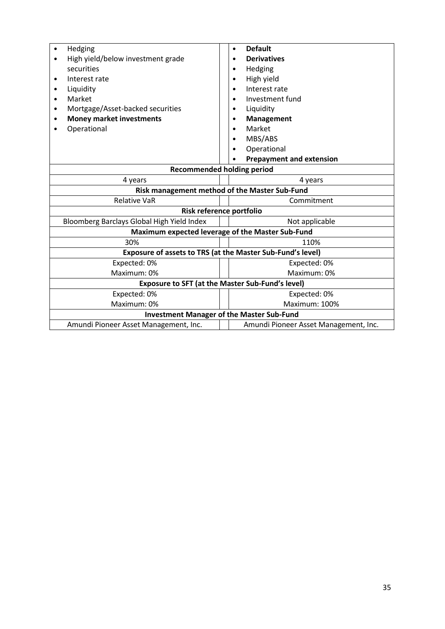| Hedging<br>٠                                               | <b>Default</b><br>$\bullet$           |  |
|------------------------------------------------------------|---------------------------------------|--|
| High yield/below investment grade<br>$\bullet$             | <b>Derivatives</b>                    |  |
| securities                                                 | Hedging                               |  |
| Interest rate                                              | High yield                            |  |
| Liquidity<br>$\bullet$                                     | Interest rate                         |  |
| Market<br>٠                                                | Investment fund                       |  |
| Mortgage/Asset-backed securities                           | Liquidity                             |  |
| <b>Money market investments</b>                            | <b>Management</b>                     |  |
| Operational                                                | Market                                |  |
|                                                            | MBS/ABS                               |  |
|                                                            | Operational                           |  |
|                                                            | <b>Prepayment and extension</b>       |  |
| <b>Recommended holding period</b>                          |                                       |  |
| 4 years<br>4 years                                         |                                       |  |
| Risk management method of the Master Sub-Fund              |                                       |  |
| <b>Relative VaR</b>                                        | Commitment                            |  |
| Risk reference portfolio                                   |                                       |  |
| Bloomberg Barclays Global High Yield Index                 | Not applicable                        |  |
| Maximum expected leverage of the Master Sub-Fund           |                                       |  |
| 30%                                                        | 110%                                  |  |
| Exposure of assets to TRS (at the Master Sub-Fund's level) |                                       |  |
| Expected: 0%                                               | Expected: 0%                          |  |
| Maximum: 0%                                                | Maximum: 0%                           |  |
| <b>Exposure to SFT (at the Master Sub-Fund's level)</b>    |                                       |  |
| Expected: 0%                                               | Expected: 0%                          |  |
| Maximum: 0%                                                | Maximum: 100%                         |  |
| <b>Investment Manager of the Master Sub-Fund</b>           |                                       |  |
| Amundi Pioneer Asset Management, Inc.                      | Amundi Pioneer Asset Management, Inc. |  |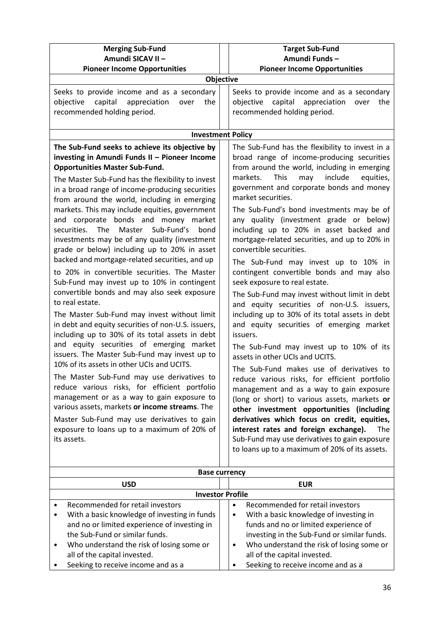| <b>Merging Sub-Fund</b>                                                                                                                                                                                                                                                                                                                                                                                                                                                                                                                                                                                                                                                                                                                                                                                                                                                                                                                                                                                                                                                                                                                                                                                                                          | <b>Target Sub-Fund</b>                                                                                                                                                                                                                                                                                                                                                                                                                                                                                                                                                                                                                                                                                                                                                                                                                                                                                                                                                                                                                                                                                                                                                                                  |
|--------------------------------------------------------------------------------------------------------------------------------------------------------------------------------------------------------------------------------------------------------------------------------------------------------------------------------------------------------------------------------------------------------------------------------------------------------------------------------------------------------------------------------------------------------------------------------------------------------------------------------------------------------------------------------------------------------------------------------------------------------------------------------------------------------------------------------------------------------------------------------------------------------------------------------------------------------------------------------------------------------------------------------------------------------------------------------------------------------------------------------------------------------------------------------------------------------------------------------------------------|---------------------------------------------------------------------------------------------------------------------------------------------------------------------------------------------------------------------------------------------------------------------------------------------------------------------------------------------------------------------------------------------------------------------------------------------------------------------------------------------------------------------------------------------------------------------------------------------------------------------------------------------------------------------------------------------------------------------------------------------------------------------------------------------------------------------------------------------------------------------------------------------------------------------------------------------------------------------------------------------------------------------------------------------------------------------------------------------------------------------------------------------------------------------------------------------------------|
| Amundi SICAV II -                                                                                                                                                                                                                                                                                                                                                                                                                                                                                                                                                                                                                                                                                                                                                                                                                                                                                                                                                                                                                                                                                                                                                                                                                                | Amundi Funds-                                                                                                                                                                                                                                                                                                                                                                                                                                                                                                                                                                                                                                                                                                                                                                                                                                                                                                                                                                                                                                                                                                                                                                                           |
| <b>Pioneer Income Opportunities</b>                                                                                                                                                                                                                                                                                                                                                                                                                                                                                                                                                                                                                                                                                                                                                                                                                                                                                                                                                                                                                                                                                                                                                                                                              | <b>Pioneer Income Opportunities</b>                                                                                                                                                                                                                                                                                                                                                                                                                                                                                                                                                                                                                                                                                                                                                                                                                                                                                                                                                                                                                                                                                                                                                                     |
| Seeks to provide income and as a secondary<br>capital<br>appreciation<br>objective<br>the<br>over<br>recommended holding period.<br>The Sub-Fund seeks to achieve its objective by<br>investing in Amundi Funds II - Pioneer Income<br><b>Opportunities Master Sub-Fund.</b>                                                                                                                                                                                                                                                                                                                                                                                                                                                                                                                                                                                                                                                                                                                                                                                                                                                                                                                                                                     | Objective<br>Seeks to provide income and as a secondary<br>objective capital appreciation<br>over<br>the<br>recommended holding period.<br><b>Investment Policy</b><br>The Sub-Fund has the flexibility to invest in a<br>broad range of income-producing securities<br>from around the world, including in emerging                                                                                                                                                                                                                                                                                                                                                                                                                                                                                                                                                                                                                                                                                                                                                                                                                                                                                    |
| The Master Sub-Fund has the flexibility to invest<br>in a broad range of income-producing securities<br>from around the world, including in emerging<br>markets. This may include equities, government<br>and corporate bonds and money market<br><b>The</b><br>Master<br>Sub-Fund's<br>securities.<br>bond<br>investments may be of any quality (investment<br>grade or below) including up to 20% in asset<br>backed and mortgage-related securities, and up<br>to 20% in convertible securities. The Master<br>Sub-Fund may invest up to 10% in contingent<br>convertible bonds and may also seek exposure<br>to real estate.<br>The Master Sub-Fund may invest without limit<br>in debt and equity securities of non-U.S. issuers,<br>including up to 30% of its total assets in debt<br>and equity securities of emerging market<br>issuers. The Master Sub-Fund may invest up to<br>10% of its assets in other UCIs and UCITS.<br>The Master Sub-Fund may use derivatives to<br>reduce various risks, for efficient portfolio<br>management or as a way to gain exposure to<br>various assets, markets or income streams. The<br>Master Sub-Fund may use derivatives to gain<br>exposure to loans up to a maximum of 20% of<br>its assets. | markets.<br>include<br><b>This</b><br>equities,<br>may<br>government and corporate bonds and money<br>market securities.<br>The Sub-Fund's bond investments may be of<br>any quality (investment grade or below)<br>including up to 20% in asset backed and<br>mortgage-related securities, and up to 20% in<br>convertible securities.<br>The Sub-Fund may invest up to 10% in<br>contingent convertible bonds and may also<br>seek exposure to real estate.<br>The Sub-Fund may invest without limit in debt<br>and equity securities of non-U.S. issuers,<br>including up to 30% of its total assets in debt<br>and equity securities of emerging market<br>issuers.<br>The Sub-Fund may invest up to 10% of its<br>assets in other UCIs and UCITS.<br>The Sub-Fund makes use of derivatives to<br>reduce various risks, for efficient portfolio<br>management and as a way to gain exposure<br>(long or short) to various assets, markets or<br>other investment opportunities (including<br>derivatives which focus on credit, equities,<br>interest rates and foreign exchange).<br><b>The</b><br>Sub-Fund may use derivatives to gain exposure<br>to loans up to a maximum of 20% of its assets. |
|                                                                                                                                                                                                                                                                                                                                                                                                                                                                                                                                                                                                                                                                                                                                                                                                                                                                                                                                                                                                                                                                                                                                                                                                                                                  | <b>Base currency</b>                                                                                                                                                                                                                                                                                                                                                                                                                                                                                                                                                                                                                                                                                                                                                                                                                                                                                                                                                                                                                                                                                                                                                                                    |
| <b>USD</b>                                                                                                                                                                                                                                                                                                                                                                                                                                                                                                                                                                                                                                                                                                                                                                                                                                                                                                                                                                                                                                                                                                                                                                                                                                       | <b>EUR</b>                                                                                                                                                                                                                                                                                                                                                                                                                                                                                                                                                                                                                                                                                                                                                                                                                                                                                                                                                                                                                                                                                                                                                                                              |
|                                                                                                                                                                                                                                                                                                                                                                                                                                                                                                                                                                                                                                                                                                                                                                                                                                                                                                                                                                                                                                                                                                                                                                                                                                                  | <b>Investor Profile</b>                                                                                                                                                                                                                                                                                                                                                                                                                                                                                                                                                                                                                                                                                                                                                                                                                                                                                                                                                                                                                                                                                                                                                                                 |
| Recommended for retail investors<br>With a basic knowledge of investing in funds<br>and no or limited experience of investing in<br>the Sub-Fund or similar funds.<br>Who understand the risk of losing some or                                                                                                                                                                                                                                                                                                                                                                                                                                                                                                                                                                                                                                                                                                                                                                                                                                                                                                                                                                                                                                  | Recommended for retail investors<br>$\bullet$<br>With a basic knowledge of investing in<br>$\bullet$<br>funds and no or limited experience of<br>investing in the Sub-Fund or similar funds.<br>Who understand the risk of losing some or<br>$\bullet$                                                                                                                                                                                                                                                                                                                                                                                                                                                                                                                                                                                                                                                                                                                                                                                                                                                                                                                                                  |

• Who understand the risk of losing some or all of the capital invested. • Seeking to receive income and as a

all of the capital invested. • Seeking to receive income and as a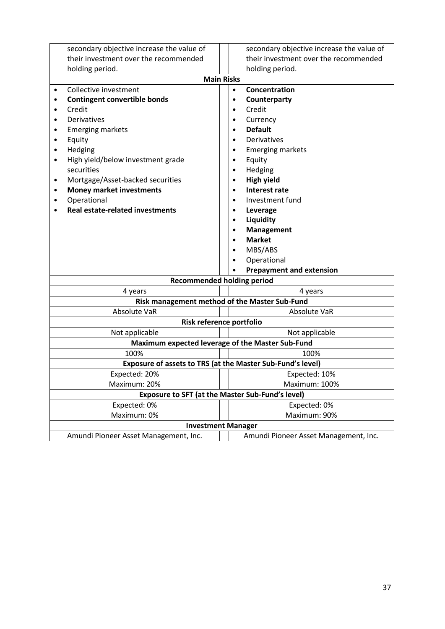| secondary objective increase the value of                  | secondary objective increase the value of        |  |
|------------------------------------------------------------|--------------------------------------------------|--|
| their investment over the recommended                      | their investment over the recommended            |  |
| holding period.                                            | holding period.                                  |  |
|                                                            | <b>Main Risks</b>                                |  |
| Collective investment<br>$\bullet$                         | Concentration<br>$\bullet$                       |  |
| <b>Contingent convertible bonds</b>                        | Counterparty                                     |  |
| Credit                                                     | Credit<br>$\bullet$                              |  |
| Derivatives                                                | Currency<br>$\bullet$                            |  |
| <b>Emerging markets</b><br>٠                               | <b>Default</b>                                   |  |
| Equity<br>$\bullet$                                        | Derivatives                                      |  |
| Hedging<br>$\bullet$                                       | <b>Emerging markets</b><br>$\bullet$             |  |
| High yield/below investment grade<br>$\bullet$             | Equity<br>$\bullet$                              |  |
| securities                                                 | Hedging<br>$\bullet$                             |  |
| Mortgage/Asset-backed securities<br>$\bullet$              | <b>High yield</b>                                |  |
| <b>Money market investments</b><br>٠                       | <b>Interest rate</b>                             |  |
| Operational                                                | Investment fund                                  |  |
| <b>Real estate-related investments</b>                     | Leverage                                         |  |
|                                                            | Liquidity                                        |  |
|                                                            | Management                                       |  |
|                                                            | <b>Market</b>                                    |  |
|                                                            | MBS/ABS                                          |  |
|                                                            | Operational                                      |  |
|                                                            | <b>Prepayment and extension</b>                  |  |
|                                                            | <b>Recommended holding period</b>                |  |
| 4 years<br>4 years                                         |                                                  |  |
|                                                            | Risk management method of the Master Sub-Fund    |  |
| <b>Absolute VaR</b>                                        | Absolute VaR                                     |  |
|                                                            | Risk reference portfolio                         |  |
| Not applicable                                             | Not applicable                                   |  |
|                                                            | Maximum expected leverage of the Master Sub-Fund |  |
| 100%                                                       | 100%                                             |  |
| Exposure of assets to TRS (at the Master Sub-Fund's level) |                                                  |  |
| Expected: 20%                                              | Expected: 10%                                    |  |
| Maximum: 20%                                               | Maximum: 100%                                    |  |
| <b>Exposure to SFT (at the Master Sub-Fund's level)</b>    |                                                  |  |
| Expected: 0%                                               | Expected: 0%                                     |  |
| Maximum: 0%                                                | Maximum: 90%                                     |  |
| <b>Investment Manager</b>                                  |                                                  |  |
| Amundi Pioneer Asset Management, Inc.                      | Amundi Pioneer Asset Management, Inc.            |  |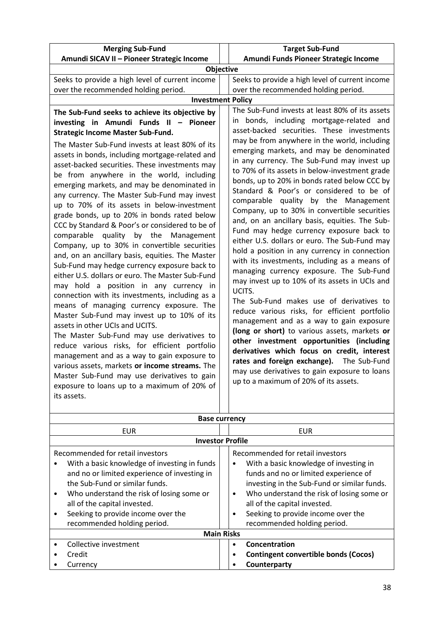| <b>Merging Sub-Fund</b>                                                                                                                                                                                                                                                                                                                                                                                                                                                                                                                                                                                                                                                                                                                                                                                                                                                                                                                                                                                                                                                                                                                                                                                                                                                                                                                                                             | <b>Target Sub-Fund</b>                                                                                                                                                                                                                                                                                                                                                                                                                                                                                                                                                                                                                                                                                                                                                                                                                                                                                                                                                                                                                                                                                                                                                                                                                                                                                                                   |
|-------------------------------------------------------------------------------------------------------------------------------------------------------------------------------------------------------------------------------------------------------------------------------------------------------------------------------------------------------------------------------------------------------------------------------------------------------------------------------------------------------------------------------------------------------------------------------------------------------------------------------------------------------------------------------------------------------------------------------------------------------------------------------------------------------------------------------------------------------------------------------------------------------------------------------------------------------------------------------------------------------------------------------------------------------------------------------------------------------------------------------------------------------------------------------------------------------------------------------------------------------------------------------------------------------------------------------------------------------------------------------------|------------------------------------------------------------------------------------------------------------------------------------------------------------------------------------------------------------------------------------------------------------------------------------------------------------------------------------------------------------------------------------------------------------------------------------------------------------------------------------------------------------------------------------------------------------------------------------------------------------------------------------------------------------------------------------------------------------------------------------------------------------------------------------------------------------------------------------------------------------------------------------------------------------------------------------------------------------------------------------------------------------------------------------------------------------------------------------------------------------------------------------------------------------------------------------------------------------------------------------------------------------------------------------------------------------------------------------------|
| Amundi SICAV II - Pioneer Strategic Income                                                                                                                                                                                                                                                                                                                                                                                                                                                                                                                                                                                                                                                                                                                                                                                                                                                                                                                                                                                                                                                                                                                                                                                                                                                                                                                                          | Amundi Funds Pioneer Strategic Income                                                                                                                                                                                                                                                                                                                                                                                                                                                                                                                                                                                                                                                                                                                                                                                                                                                                                                                                                                                                                                                                                                                                                                                                                                                                                                    |
| Objective                                                                                                                                                                                                                                                                                                                                                                                                                                                                                                                                                                                                                                                                                                                                                                                                                                                                                                                                                                                                                                                                                                                                                                                                                                                                                                                                                                           |                                                                                                                                                                                                                                                                                                                                                                                                                                                                                                                                                                                                                                                                                                                                                                                                                                                                                                                                                                                                                                                                                                                                                                                                                                                                                                                                          |
| Seeks to provide a high level of current income                                                                                                                                                                                                                                                                                                                                                                                                                                                                                                                                                                                                                                                                                                                                                                                                                                                                                                                                                                                                                                                                                                                                                                                                                                                                                                                                     | Seeks to provide a high level of current income                                                                                                                                                                                                                                                                                                                                                                                                                                                                                                                                                                                                                                                                                                                                                                                                                                                                                                                                                                                                                                                                                                                                                                                                                                                                                          |
| over the recommended holding period.                                                                                                                                                                                                                                                                                                                                                                                                                                                                                                                                                                                                                                                                                                                                                                                                                                                                                                                                                                                                                                                                                                                                                                                                                                                                                                                                                | over the recommended holding period.                                                                                                                                                                                                                                                                                                                                                                                                                                                                                                                                                                                                                                                                                                                                                                                                                                                                                                                                                                                                                                                                                                                                                                                                                                                                                                     |
| <b>Investment Policy</b>                                                                                                                                                                                                                                                                                                                                                                                                                                                                                                                                                                                                                                                                                                                                                                                                                                                                                                                                                                                                                                                                                                                                                                                                                                                                                                                                                            |                                                                                                                                                                                                                                                                                                                                                                                                                                                                                                                                                                                                                                                                                                                                                                                                                                                                                                                                                                                                                                                                                                                                                                                                                                                                                                                                          |
| The Sub-Fund seeks to achieve its objective by<br>investing in Amundi Funds II - Pioneer<br><b>Strategic Income Master Sub-Fund.</b><br>The Master Sub-Fund invests at least 80% of its<br>assets in bonds, including mortgage-related and<br>asset-backed securities. These investments may<br>be from anywhere in the world, including<br>emerging markets, and may be denominated in<br>any currency. The Master Sub-Fund may invest<br>up to 70% of its assets in below-investment<br>grade bonds, up to 20% in bonds rated below<br>CCC by Standard & Poor's or considered to be of<br>comparable quality by the<br>Management<br>Company, up to 30% in convertible securities<br>and, on an ancillary basis, equities. The Master<br>Sub-Fund may hedge currency exposure back to<br>either U.S. dollars or euro. The Master Sub-Fund<br>may hold a position in any currency in<br>connection with its investments, including as a<br>means of managing currency exposure. The<br>Master Sub-Fund may invest up to 10% of its<br>assets in other UCIs and UCITS.<br>The Master Sub-Fund may use derivatives to<br>reduce various risks, for efficient portfolio<br>management and as a way to gain exposure to<br>various assets, markets or income streams. The<br>Master Sub-Fund may use derivatives to gain<br>exposure to loans up to a maximum of 20% of<br>its assets. | The Sub-Fund invests at least 80% of its assets<br>in bonds, including mortgage-related and<br>asset-backed securities. These investments<br>may be from anywhere in the world, including<br>emerging markets, and may be denominated<br>in any currency. The Sub-Fund may invest up<br>to 70% of its assets in below-investment grade<br>bonds, up to 20% in bonds rated below CCC by<br>Standard & Poor's or considered to be of<br>comparable quality by the Management<br>Company, up to 30% in convertible securities<br>and, on an ancillary basis, equities. The Sub-<br>Fund may hedge currency exposure back to<br>either U.S. dollars or euro. The Sub-Fund may<br>hold a position in any currency in connection<br>with its investments, including as a means of<br>managing currency exposure. The Sub-Fund<br>may invest up to 10% of its assets in UCIs and<br>UCITS.<br>The Sub-Fund makes use of derivatives to<br>reduce various risks, for efficient portfolio<br>management and as a way to gain exposure<br>(long or short) to various assets, markets or<br>other investment opportunities (including<br>derivatives which focus on credit, interest<br>rates and foreign exchange). The Sub-Fund<br>may use derivatives to gain exposure to loans<br>up to a maximum of 20% of its assets.<br><b>Base currency</b> |
|                                                                                                                                                                                                                                                                                                                                                                                                                                                                                                                                                                                                                                                                                                                                                                                                                                                                                                                                                                                                                                                                                                                                                                                                                                                                                                                                                                                     |                                                                                                                                                                                                                                                                                                                                                                                                                                                                                                                                                                                                                                                                                                                                                                                                                                                                                                                                                                                                                                                                                                                                                                                                                                                                                                                                          |
| <b>EUR</b>                                                                                                                                                                                                                                                                                                                                                                                                                                                                                                                                                                                                                                                                                                                                                                                                                                                                                                                                                                                                                                                                                                                                                                                                                                                                                                                                                                          | <b>EUR</b>                                                                                                                                                                                                                                                                                                                                                                                                                                                                                                                                                                                                                                                                                                                                                                                                                                                                                                                                                                                                                                                                                                                                                                                                                                                                                                                               |

| LUN                                                                                                                                                                              | EUN                                                                                                                                                                                                             |  |
|----------------------------------------------------------------------------------------------------------------------------------------------------------------------------------|-----------------------------------------------------------------------------------------------------------------------------------------------------------------------------------------------------------------|--|
| <b>Investor Profile</b>                                                                                                                                                          |                                                                                                                                                                                                                 |  |
| Recommended for retail investors<br>With a basic knowledge of investing in funds<br>and no or limited experience of investing in                                                 | Recommended for retail investors<br>With a basic knowledge of investing in<br>٠<br>funds and no or limited experience of                                                                                        |  |
| the Sub-Fund or similar funds.<br>Who understand the risk of losing some or<br>all of the capital invested.<br>Seeking to provide income over the<br>recommended holding period. | investing in the Sub-Fund or similar funds.<br>Who understand the risk of losing some or<br>$\bullet$<br>all of the capital invested.<br>Seeking to provide income over the<br>٠<br>recommended holding period. |  |
| <b>Main Risks</b>                                                                                                                                                                |                                                                                                                                                                                                                 |  |
| Collective investment                                                                                                                                                            | Concentration<br>$\bullet$                                                                                                                                                                                      |  |
| Credit                                                                                                                                                                           | <b>Contingent convertible bonds (Cocos)</b>                                                                                                                                                                     |  |
| Currency                                                                                                                                                                         | Counterparty                                                                                                                                                                                                    |  |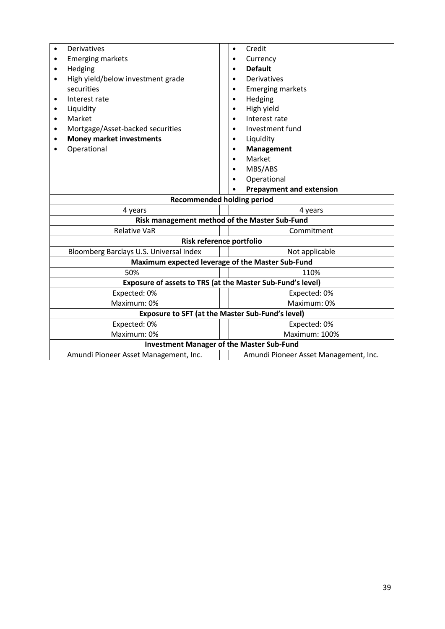| Derivatives                                                | Credit<br>$\bullet$                   |  |  |
|------------------------------------------------------------|---------------------------------------|--|--|
| <b>Emerging markets</b>                                    | Currency                              |  |  |
| Hedging<br>$\bullet$                                       | <b>Default</b>                        |  |  |
| High yield/below investment grade<br>$\bullet$             | Derivatives                           |  |  |
| securities                                                 | <b>Emerging markets</b>               |  |  |
| Interest rate<br>$\bullet$                                 | Hedging                               |  |  |
| Liquidity<br>٠                                             | High yield                            |  |  |
| Market<br>$\bullet$                                        | Interest rate                         |  |  |
| Mortgage/Asset-backed securities<br>٠                      | Investment fund                       |  |  |
| <b>Money market investments</b>                            | Liquidity                             |  |  |
| Operational                                                | Management                            |  |  |
|                                                            | Market                                |  |  |
|                                                            | MBS/ABS                               |  |  |
|                                                            | Operational                           |  |  |
|                                                            | <b>Prepayment and extension</b>       |  |  |
| <b>Recommended holding period</b>                          |                                       |  |  |
| 4 years                                                    | 4 years                               |  |  |
| Risk management method of the Master Sub-Fund              |                                       |  |  |
| <b>Relative VaR</b>                                        | Commitment                            |  |  |
| Risk reference portfolio                                   |                                       |  |  |
| Bloomberg Barclays U.S. Universal Index                    | Not applicable                        |  |  |
| Maximum expected leverage of the Master Sub-Fund           |                                       |  |  |
| 50%                                                        | 110%                                  |  |  |
| Exposure of assets to TRS (at the Master Sub-Fund's level) |                                       |  |  |
| Expected: 0%                                               | Expected: 0%                          |  |  |
| Maximum: 0%                                                | Maximum: 0%                           |  |  |
| <b>Exposure to SFT (at the Master Sub-Fund's level)</b>    |                                       |  |  |
| Expected: 0%                                               | Expected: 0%                          |  |  |
| Maximum: 0%                                                | Maximum: 100%                         |  |  |
| <b>Investment Manager of the Master Sub-Fund</b>           |                                       |  |  |
| Amundi Pioneer Asset Management, Inc.                      | Amundi Pioneer Asset Management, Inc. |  |  |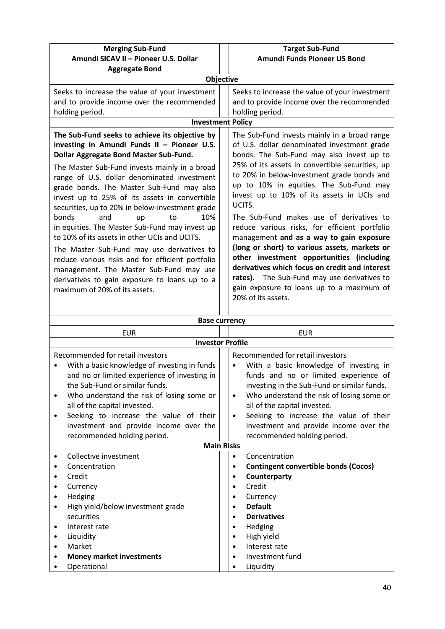| <b>Merging Sub-Fund</b><br>Amundi SICAV II - Pioneer U.S. Dollar                                                                                                                                                                                                                                                                                                                                                                                                                                                                                                                                                                                                                                                                                              | <b>Target Sub-Fund</b><br>Amundi Funds Pioneer US Bond                                                                                                                                                                                                                                                                                                                                                                                                                                                                                                                                                                                                                                                                                                  |  |
|---------------------------------------------------------------------------------------------------------------------------------------------------------------------------------------------------------------------------------------------------------------------------------------------------------------------------------------------------------------------------------------------------------------------------------------------------------------------------------------------------------------------------------------------------------------------------------------------------------------------------------------------------------------------------------------------------------------------------------------------------------------|---------------------------------------------------------------------------------------------------------------------------------------------------------------------------------------------------------------------------------------------------------------------------------------------------------------------------------------------------------------------------------------------------------------------------------------------------------------------------------------------------------------------------------------------------------------------------------------------------------------------------------------------------------------------------------------------------------------------------------------------------------|--|
| <b>Aggregate Bond</b>                                                                                                                                                                                                                                                                                                                                                                                                                                                                                                                                                                                                                                                                                                                                         |                                                                                                                                                                                                                                                                                                                                                                                                                                                                                                                                                                                                                                                                                                                                                         |  |
| <b>Objective</b>                                                                                                                                                                                                                                                                                                                                                                                                                                                                                                                                                                                                                                                                                                                                              |                                                                                                                                                                                                                                                                                                                                                                                                                                                                                                                                                                                                                                                                                                                                                         |  |
| Seeks to increase the value of your investment<br>and to provide income over the recommended<br>holding period.                                                                                                                                                                                                                                                                                                                                                                                                                                                                                                                                                                                                                                               | Seeks to increase the value of your investment<br>and to provide income over the recommended<br>holding period.                                                                                                                                                                                                                                                                                                                                                                                                                                                                                                                                                                                                                                         |  |
| <b>Investment Policy</b>                                                                                                                                                                                                                                                                                                                                                                                                                                                                                                                                                                                                                                                                                                                                      |                                                                                                                                                                                                                                                                                                                                                                                                                                                                                                                                                                                                                                                                                                                                                         |  |
| The Sub-Fund seeks to achieve its objective by<br>investing in Amundi Funds II - Pioneer U.S.<br>Dollar Aggregate Bond Master Sub-Fund.<br>The Master Sub-Fund invests mainly in a broad<br>range of U.S. dollar denominated investment<br>grade bonds. The Master Sub-Fund may also<br>invest up to 25% of its assets in convertible<br>securities, up to 20% in below-investment grade<br>10%<br>bonds<br>and<br>to<br>up<br>in equities. The Master Sub-Fund may invest up<br>to 10% of its assets in other UCIs and UCITS.<br>The Master Sub-Fund may use derivatives to<br>reduce various risks and for efficient portfolio<br>management. The Master Sub-Fund may use<br>derivatives to gain exposure to loans up to a<br>maximum of 20% of its assets. | The Sub-Fund invests mainly in a broad range<br>of U.S. dollar denominated investment grade<br>bonds. The Sub-Fund may also invest up to<br>25% of its assets in convertible securities, up<br>to 20% in below-investment grade bonds and<br>up to 10% in equities. The Sub-Fund may<br>invest up to 10% of its assets in UCIs and<br>UCITS.<br>The Sub-Fund makes use of derivatives to<br>reduce various risks, for efficient portfolio<br>management and as a way to gain exposure<br>(long or short) to various assets, markets or<br>other investment opportunities (including<br>derivatives which focus on credit and interest<br>rates). The Sub-Fund may use derivatives to<br>gain exposure to loans up to a maximum of<br>20% of its assets. |  |
| <b>Base currency</b>                                                                                                                                                                                                                                                                                                                                                                                                                                                                                                                                                                                                                                                                                                                                          |                                                                                                                                                                                                                                                                                                                                                                                                                                                                                                                                                                                                                                                                                                                                                         |  |
| <b>EUR</b>                                                                                                                                                                                                                                                                                                                                                                                                                                                                                                                                                                                                                                                                                                                                                    | <b>EUR</b>                                                                                                                                                                                                                                                                                                                                                                                                                                                                                                                                                                                                                                                                                                                                              |  |
| <b>Investor Profile</b>                                                                                                                                                                                                                                                                                                                                                                                                                                                                                                                                                                                                                                                                                                                                       |                                                                                                                                                                                                                                                                                                                                                                                                                                                                                                                                                                                                                                                                                                                                                         |  |
| Recommended for retail investors<br>With a basic knowledge of investing in funds<br>and no or limited experience of investing in<br>the Sub-Fund or similar funds.                                                                                                                                                                                                                                                                                                                                                                                                                                                                                                                                                                                            | Recommended for retail investors<br>With a basic knowledge of investing in<br>funds and no or limited experience of<br>investing in the Sub-Fund or similar funds.                                                                                                                                                                                                                                                                                                                                                                                                                                                                                                                                                                                      |  |

| Recommended for retail investors<br>With a basic knowledge of investing in funds<br>and no or limited experience of investing in<br>the Sub-Fund or similar funds.<br>Who understand the risk of losing some or<br>all of the capital invested.<br>Seeking to increase the value of their<br>٠<br>investment and provide income over the<br>recommended holding period. | Recommended for retail investors<br>With a basic knowledge of investing in<br>funds and no or limited experience of<br>investing in the Sub-Fund or similar funds.<br>Who understand the risk of losing some or<br>$\bullet$<br>all of the capital invested.<br>Seeking to increase the value of their<br>$\bullet$<br>investment and provide income over the<br>recommended holding period. |
|-------------------------------------------------------------------------------------------------------------------------------------------------------------------------------------------------------------------------------------------------------------------------------------------------------------------------------------------------------------------------|----------------------------------------------------------------------------------------------------------------------------------------------------------------------------------------------------------------------------------------------------------------------------------------------------------------------------------------------------------------------------------------------|
|                                                                                                                                                                                                                                                                                                                                                                         | <b>Main Risks</b>                                                                                                                                                                                                                                                                                                                                                                            |
| Collective investment<br>$\bullet$<br>Concentration<br>Credit<br>Currency<br>٠<br>Hedging<br>High yield/below investment grade<br>$\bullet$<br>securities<br>Interest rate<br>٠<br>Liquidity<br>Market<br>$\bullet$                                                                                                                                                     | Concentration<br>$\bullet$<br><b>Contingent convertible bonds (Cocos)</b><br>Counterparty<br>$\bullet$<br>Credit<br>$\bullet$<br>Currency<br>$\bullet$<br><b>Default</b><br><b>Derivatives</b><br>$\bullet$<br>Hedging<br>٠<br>High yield<br>Interest rate<br>$\bullet$                                                                                                                      |
| <b>Money market investments</b>                                                                                                                                                                                                                                                                                                                                         | Investment fund<br>٠                                                                                                                                                                                                                                                                                                                                                                         |
| Operational                                                                                                                                                                                                                                                                                                                                                             | Liquidity                                                                                                                                                                                                                                                                                                                                                                                    |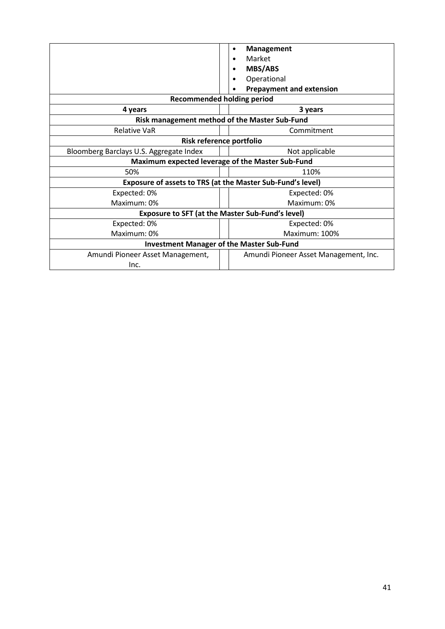|                                                            | <b>Management</b><br>٠<br>Market<br><b>MBS/ABS</b><br>Operational<br><b>Prepayment and extension</b> |  |
|------------------------------------------------------------|------------------------------------------------------------------------------------------------------|--|
|                                                            | <b>Recommended holding period</b>                                                                    |  |
| 4 years                                                    | 3 years                                                                                              |  |
| Risk management method of the Master Sub-Fund              |                                                                                                      |  |
| <b>Relative VaR</b>                                        | Commitment                                                                                           |  |
| Risk reference portfolio                                   |                                                                                                      |  |
| Bloomberg Barclays U.S. Aggregate Index                    | Not applicable                                                                                       |  |
| Maximum expected leverage of the Master Sub-Fund           |                                                                                                      |  |
| 50%                                                        | 110%                                                                                                 |  |
| Exposure of assets to TRS (at the Master Sub-Fund's level) |                                                                                                      |  |
| Expected: 0%                                               | Expected: 0%                                                                                         |  |
| Maximum: 0%                                                | Maximum: 0%                                                                                          |  |
| <b>Exposure to SFT (at the Master Sub-Fund's level)</b>    |                                                                                                      |  |
| Expected: 0%                                               | Expected: 0%                                                                                         |  |
| Maximum: 0%                                                | Maximum: 100%                                                                                        |  |
| <b>Investment Manager of the Master Sub-Fund</b>           |                                                                                                      |  |
| Amundi Pioneer Asset Management,                           | Amundi Pioneer Asset Management, Inc.                                                                |  |
| Inc.                                                       |                                                                                                      |  |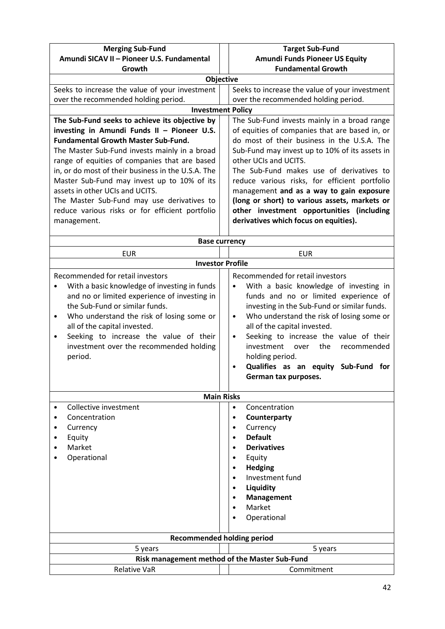| Amundi SICAV II - Pioneer U.S. Fundamental<br><b>Amundi Funds Pioneer US Equity</b><br><b>Fundamental Growth</b><br>Growth<br><b>Objective</b><br>Seeks to increase the value of your investment<br>Seeks to increase the value of your investment<br>over the recommended holding period.<br>over the recommended holding period.<br><b>Investment Policy</b><br>The Sub-Fund seeks to achieve its objective by<br>The Sub-Fund invests mainly in a broad range<br>investing in Amundi Funds II - Pioneer U.S.<br>of equities of companies that are based in, or<br><b>Fundamental Growth Master Sub-Fund.</b><br>do most of their business in the U.S.A. The<br>The Master Sub-Fund invests mainly in a broad<br>Sub-Fund may invest up to 10% of its assets in<br>other UCIs and UCITS.<br>range of equities of companies that are based<br>in, or do most of their business in the U.S.A. The<br>The Sub-Fund makes use of derivatives to<br>Master Sub-Fund may invest up to 10% of its<br>reduce various risks, for efficient portfolio<br>assets in other UCIs and UCITS.<br>management and as a way to gain exposure<br>(long or short) to various assets, markets or<br>The Master Sub-Fund may use derivatives to<br>other investment opportunities (including<br>reduce various risks or for efficient portfolio<br>derivatives which focus on equities).<br>management.<br><b>Base currency</b><br><b>EUR</b><br><b>EUR</b><br><b>Investor Profile</b><br>Recommended for retail investors<br>Recommended for retail investors<br>With a basic knowledge of investing in funds<br>With a basic knowledge of investing in<br>$\bullet$<br>٠<br>and no or limited experience of investing in<br>funds and no or limited experience of<br>the Sub-Fund or similar funds.<br>investing in the Sub-Fund or similar funds.<br>Who understand the risk of losing some or<br>Who understand the risk of losing some or<br>$\bullet$<br>$\bullet$<br>all of the capital invested.<br>all of the capital invested.<br>Seeking to increase the value of their<br>Seeking to increase the value of their<br>$\bullet$<br>$\bullet$<br>investment over the recommended holding<br>the<br>investment<br>over<br>recommended<br>holding period.<br>period.<br>Qualifies as an equity Sub-Fund for<br>$\bullet$<br>German tax purposes.<br><b>Main Risks</b><br>Collective investment<br>Concentration<br>$\bullet$<br>Concentration<br>Counterparty<br>Currency<br>Currency<br>٠<br><b>Default</b><br>Equity<br>٠<br>Market<br><b>Derivatives</b><br>Operational<br>Equity<br><b>Hedging</b><br>Investment fund<br>Liquidity<br><b>Management</b><br>Market<br>Operational<br><b>Recommended holding period</b> | <b>Merging Sub-Fund</b> | <b>Target Sub-Fund</b> |  |
|--------------------------------------------------------------------------------------------------------------------------------------------------------------------------------------------------------------------------------------------------------------------------------------------------------------------------------------------------------------------------------------------------------------------------------------------------------------------------------------------------------------------------------------------------------------------------------------------------------------------------------------------------------------------------------------------------------------------------------------------------------------------------------------------------------------------------------------------------------------------------------------------------------------------------------------------------------------------------------------------------------------------------------------------------------------------------------------------------------------------------------------------------------------------------------------------------------------------------------------------------------------------------------------------------------------------------------------------------------------------------------------------------------------------------------------------------------------------------------------------------------------------------------------------------------------------------------------------------------------------------------------------------------------------------------------------------------------------------------------------------------------------------------------------------------------------------------------------------------------------------------------------------------------------------------------------------------------------------------------------------------------------------------------------------------------------------------------------------------------------------------------------------------------------------------------------------------------------------------------------------------------------------------------------------------------------------------------------------------------------------------------------------------------------------------------------------------------------------------------------------------------------------------------------------------------------------------------------------------------------------------------------------------------------------------------------------------------|-------------------------|------------------------|--|
|                                                                                                                                                                                                                                                                                                                                                                                                                                                                                                                                                                                                                                                                                                                                                                                                                                                                                                                                                                                                                                                                                                                                                                                                                                                                                                                                                                                                                                                                                                                                                                                                                                                                                                                                                                                                                                                                                                                                                                                                                                                                                                                                                                                                                                                                                                                                                                                                                                                                                                                                                                                                                                                                                                              |                         |                        |  |
|                                                                                                                                                                                                                                                                                                                                                                                                                                                                                                                                                                                                                                                                                                                                                                                                                                                                                                                                                                                                                                                                                                                                                                                                                                                                                                                                                                                                                                                                                                                                                                                                                                                                                                                                                                                                                                                                                                                                                                                                                                                                                                                                                                                                                                                                                                                                                                                                                                                                                                                                                                                                                                                                                                              |                         |                        |  |
|                                                                                                                                                                                                                                                                                                                                                                                                                                                                                                                                                                                                                                                                                                                                                                                                                                                                                                                                                                                                                                                                                                                                                                                                                                                                                                                                                                                                                                                                                                                                                                                                                                                                                                                                                                                                                                                                                                                                                                                                                                                                                                                                                                                                                                                                                                                                                                                                                                                                                                                                                                                                                                                                                                              |                         |                        |  |
|                                                                                                                                                                                                                                                                                                                                                                                                                                                                                                                                                                                                                                                                                                                                                                                                                                                                                                                                                                                                                                                                                                                                                                                                                                                                                                                                                                                                                                                                                                                                                                                                                                                                                                                                                                                                                                                                                                                                                                                                                                                                                                                                                                                                                                                                                                                                                                                                                                                                                                                                                                                                                                                                                                              |                         |                        |  |
|                                                                                                                                                                                                                                                                                                                                                                                                                                                                                                                                                                                                                                                                                                                                                                                                                                                                                                                                                                                                                                                                                                                                                                                                                                                                                                                                                                                                                                                                                                                                                                                                                                                                                                                                                                                                                                                                                                                                                                                                                                                                                                                                                                                                                                                                                                                                                                                                                                                                                                                                                                                                                                                                                                              |                         |                        |  |
|                                                                                                                                                                                                                                                                                                                                                                                                                                                                                                                                                                                                                                                                                                                                                                                                                                                                                                                                                                                                                                                                                                                                                                                                                                                                                                                                                                                                                                                                                                                                                                                                                                                                                                                                                                                                                                                                                                                                                                                                                                                                                                                                                                                                                                                                                                                                                                                                                                                                                                                                                                                                                                                                                                              |                         |                        |  |
|                                                                                                                                                                                                                                                                                                                                                                                                                                                                                                                                                                                                                                                                                                                                                                                                                                                                                                                                                                                                                                                                                                                                                                                                                                                                                                                                                                                                                                                                                                                                                                                                                                                                                                                                                                                                                                                                                                                                                                                                                                                                                                                                                                                                                                                                                                                                                                                                                                                                                                                                                                                                                                                                                                              |                         |                        |  |
|                                                                                                                                                                                                                                                                                                                                                                                                                                                                                                                                                                                                                                                                                                                                                                                                                                                                                                                                                                                                                                                                                                                                                                                                                                                                                                                                                                                                                                                                                                                                                                                                                                                                                                                                                                                                                                                                                                                                                                                                                                                                                                                                                                                                                                                                                                                                                                                                                                                                                                                                                                                                                                                                                                              |                         |                        |  |
|                                                                                                                                                                                                                                                                                                                                                                                                                                                                                                                                                                                                                                                                                                                                                                                                                                                                                                                                                                                                                                                                                                                                                                                                                                                                                                                                                                                                                                                                                                                                                                                                                                                                                                                                                                                                                                                                                                                                                                                                                                                                                                                                                                                                                                                                                                                                                                                                                                                                                                                                                                                                                                                                                                              |                         |                        |  |
|                                                                                                                                                                                                                                                                                                                                                                                                                                                                                                                                                                                                                                                                                                                                                                                                                                                                                                                                                                                                                                                                                                                                                                                                                                                                                                                                                                                                                                                                                                                                                                                                                                                                                                                                                                                                                                                                                                                                                                                                                                                                                                                                                                                                                                                                                                                                                                                                                                                                                                                                                                                                                                                                                                              |                         |                        |  |
|                                                                                                                                                                                                                                                                                                                                                                                                                                                                                                                                                                                                                                                                                                                                                                                                                                                                                                                                                                                                                                                                                                                                                                                                                                                                                                                                                                                                                                                                                                                                                                                                                                                                                                                                                                                                                                                                                                                                                                                                                                                                                                                                                                                                                                                                                                                                                                                                                                                                                                                                                                                                                                                                                                              |                         |                        |  |
|                                                                                                                                                                                                                                                                                                                                                                                                                                                                                                                                                                                                                                                                                                                                                                                                                                                                                                                                                                                                                                                                                                                                                                                                                                                                                                                                                                                                                                                                                                                                                                                                                                                                                                                                                                                                                                                                                                                                                                                                                                                                                                                                                                                                                                                                                                                                                                                                                                                                                                                                                                                                                                                                                                              |                         |                        |  |
|                                                                                                                                                                                                                                                                                                                                                                                                                                                                                                                                                                                                                                                                                                                                                                                                                                                                                                                                                                                                                                                                                                                                                                                                                                                                                                                                                                                                                                                                                                                                                                                                                                                                                                                                                                                                                                                                                                                                                                                                                                                                                                                                                                                                                                                                                                                                                                                                                                                                                                                                                                                                                                                                                                              |                         |                        |  |
|                                                                                                                                                                                                                                                                                                                                                                                                                                                                                                                                                                                                                                                                                                                                                                                                                                                                                                                                                                                                                                                                                                                                                                                                                                                                                                                                                                                                                                                                                                                                                                                                                                                                                                                                                                                                                                                                                                                                                                                                                                                                                                                                                                                                                                                                                                                                                                                                                                                                                                                                                                                                                                                                                                              |                         |                        |  |
|                                                                                                                                                                                                                                                                                                                                                                                                                                                                                                                                                                                                                                                                                                                                                                                                                                                                                                                                                                                                                                                                                                                                                                                                                                                                                                                                                                                                                                                                                                                                                                                                                                                                                                                                                                                                                                                                                                                                                                                                                                                                                                                                                                                                                                                                                                                                                                                                                                                                                                                                                                                                                                                                                                              |                         |                        |  |
|                                                                                                                                                                                                                                                                                                                                                                                                                                                                                                                                                                                                                                                                                                                                                                                                                                                                                                                                                                                                                                                                                                                                                                                                                                                                                                                                                                                                                                                                                                                                                                                                                                                                                                                                                                                                                                                                                                                                                                                                                                                                                                                                                                                                                                                                                                                                                                                                                                                                                                                                                                                                                                                                                                              |                         |                        |  |
|                                                                                                                                                                                                                                                                                                                                                                                                                                                                                                                                                                                                                                                                                                                                                                                                                                                                                                                                                                                                                                                                                                                                                                                                                                                                                                                                                                                                                                                                                                                                                                                                                                                                                                                                                                                                                                                                                                                                                                                                                                                                                                                                                                                                                                                                                                                                                                                                                                                                                                                                                                                                                                                                                                              |                         |                        |  |
|                                                                                                                                                                                                                                                                                                                                                                                                                                                                                                                                                                                                                                                                                                                                                                                                                                                                                                                                                                                                                                                                                                                                                                                                                                                                                                                                                                                                                                                                                                                                                                                                                                                                                                                                                                                                                                                                                                                                                                                                                                                                                                                                                                                                                                                                                                                                                                                                                                                                                                                                                                                                                                                                                                              |                         |                        |  |
|                                                                                                                                                                                                                                                                                                                                                                                                                                                                                                                                                                                                                                                                                                                                                                                                                                                                                                                                                                                                                                                                                                                                                                                                                                                                                                                                                                                                                                                                                                                                                                                                                                                                                                                                                                                                                                                                                                                                                                                                                                                                                                                                                                                                                                                                                                                                                                                                                                                                                                                                                                                                                                                                                                              |                         |                        |  |
|                                                                                                                                                                                                                                                                                                                                                                                                                                                                                                                                                                                                                                                                                                                                                                                                                                                                                                                                                                                                                                                                                                                                                                                                                                                                                                                                                                                                                                                                                                                                                                                                                                                                                                                                                                                                                                                                                                                                                                                                                                                                                                                                                                                                                                                                                                                                                                                                                                                                                                                                                                                                                                                                                                              |                         |                        |  |
|                                                                                                                                                                                                                                                                                                                                                                                                                                                                                                                                                                                                                                                                                                                                                                                                                                                                                                                                                                                                                                                                                                                                                                                                                                                                                                                                                                                                                                                                                                                                                                                                                                                                                                                                                                                                                                                                                                                                                                                                                                                                                                                                                                                                                                                                                                                                                                                                                                                                                                                                                                                                                                                                                                              |                         |                        |  |
|                                                                                                                                                                                                                                                                                                                                                                                                                                                                                                                                                                                                                                                                                                                                                                                                                                                                                                                                                                                                                                                                                                                                                                                                                                                                                                                                                                                                                                                                                                                                                                                                                                                                                                                                                                                                                                                                                                                                                                                                                                                                                                                                                                                                                                                                                                                                                                                                                                                                                                                                                                                                                                                                                                              |                         |                        |  |
|                                                                                                                                                                                                                                                                                                                                                                                                                                                                                                                                                                                                                                                                                                                                                                                                                                                                                                                                                                                                                                                                                                                                                                                                                                                                                                                                                                                                                                                                                                                                                                                                                                                                                                                                                                                                                                                                                                                                                                                                                                                                                                                                                                                                                                                                                                                                                                                                                                                                                                                                                                                                                                                                                                              |                         |                        |  |
|                                                                                                                                                                                                                                                                                                                                                                                                                                                                                                                                                                                                                                                                                                                                                                                                                                                                                                                                                                                                                                                                                                                                                                                                                                                                                                                                                                                                                                                                                                                                                                                                                                                                                                                                                                                                                                                                                                                                                                                                                                                                                                                                                                                                                                                                                                                                                                                                                                                                                                                                                                                                                                                                                                              |                         |                        |  |
|                                                                                                                                                                                                                                                                                                                                                                                                                                                                                                                                                                                                                                                                                                                                                                                                                                                                                                                                                                                                                                                                                                                                                                                                                                                                                                                                                                                                                                                                                                                                                                                                                                                                                                                                                                                                                                                                                                                                                                                                                                                                                                                                                                                                                                                                                                                                                                                                                                                                                                                                                                                                                                                                                                              |                         |                        |  |
|                                                                                                                                                                                                                                                                                                                                                                                                                                                                                                                                                                                                                                                                                                                                                                                                                                                                                                                                                                                                                                                                                                                                                                                                                                                                                                                                                                                                                                                                                                                                                                                                                                                                                                                                                                                                                                                                                                                                                                                                                                                                                                                                                                                                                                                                                                                                                                                                                                                                                                                                                                                                                                                                                                              |                         |                        |  |
|                                                                                                                                                                                                                                                                                                                                                                                                                                                                                                                                                                                                                                                                                                                                                                                                                                                                                                                                                                                                                                                                                                                                                                                                                                                                                                                                                                                                                                                                                                                                                                                                                                                                                                                                                                                                                                                                                                                                                                                                                                                                                                                                                                                                                                                                                                                                                                                                                                                                                                                                                                                                                                                                                                              |                         |                        |  |
|                                                                                                                                                                                                                                                                                                                                                                                                                                                                                                                                                                                                                                                                                                                                                                                                                                                                                                                                                                                                                                                                                                                                                                                                                                                                                                                                                                                                                                                                                                                                                                                                                                                                                                                                                                                                                                                                                                                                                                                                                                                                                                                                                                                                                                                                                                                                                                                                                                                                                                                                                                                                                                                                                                              |                         |                        |  |
|                                                                                                                                                                                                                                                                                                                                                                                                                                                                                                                                                                                                                                                                                                                                                                                                                                                                                                                                                                                                                                                                                                                                                                                                                                                                                                                                                                                                                                                                                                                                                                                                                                                                                                                                                                                                                                                                                                                                                                                                                                                                                                                                                                                                                                                                                                                                                                                                                                                                                                                                                                                                                                                                                                              |                         |                        |  |
|                                                                                                                                                                                                                                                                                                                                                                                                                                                                                                                                                                                                                                                                                                                                                                                                                                                                                                                                                                                                                                                                                                                                                                                                                                                                                                                                                                                                                                                                                                                                                                                                                                                                                                                                                                                                                                                                                                                                                                                                                                                                                                                                                                                                                                                                                                                                                                                                                                                                                                                                                                                                                                                                                                              |                         |                        |  |
|                                                                                                                                                                                                                                                                                                                                                                                                                                                                                                                                                                                                                                                                                                                                                                                                                                                                                                                                                                                                                                                                                                                                                                                                                                                                                                                                                                                                                                                                                                                                                                                                                                                                                                                                                                                                                                                                                                                                                                                                                                                                                                                                                                                                                                                                                                                                                                                                                                                                                                                                                                                                                                                                                                              |                         |                        |  |
|                                                                                                                                                                                                                                                                                                                                                                                                                                                                                                                                                                                                                                                                                                                                                                                                                                                                                                                                                                                                                                                                                                                                                                                                                                                                                                                                                                                                                                                                                                                                                                                                                                                                                                                                                                                                                                                                                                                                                                                                                                                                                                                                                                                                                                                                                                                                                                                                                                                                                                                                                                                                                                                                                                              |                         |                        |  |
|                                                                                                                                                                                                                                                                                                                                                                                                                                                                                                                                                                                                                                                                                                                                                                                                                                                                                                                                                                                                                                                                                                                                                                                                                                                                                                                                                                                                                                                                                                                                                                                                                                                                                                                                                                                                                                                                                                                                                                                                                                                                                                                                                                                                                                                                                                                                                                                                                                                                                                                                                                                                                                                                                                              |                         |                        |  |
|                                                                                                                                                                                                                                                                                                                                                                                                                                                                                                                                                                                                                                                                                                                                                                                                                                                                                                                                                                                                                                                                                                                                                                                                                                                                                                                                                                                                                                                                                                                                                                                                                                                                                                                                                                                                                                                                                                                                                                                                                                                                                                                                                                                                                                                                                                                                                                                                                                                                                                                                                                                                                                                                                                              |                         |                        |  |
|                                                                                                                                                                                                                                                                                                                                                                                                                                                                                                                                                                                                                                                                                                                                                                                                                                                                                                                                                                                                                                                                                                                                                                                                                                                                                                                                                                                                                                                                                                                                                                                                                                                                                                                                                                                                                                                                                                                                                                                                                                                                                                                                                                                                                                                                                                                                                                                                                                                                                                                                                                                                                                                                                                              |                         |                        |  |
|                                                                                                                                                                                                                                                                                                                                                                                                                                                                                                                                                                                                                                                                                                                                                                                                                                                                                                                                                                                                                                                                                                                                                                                                                                                                                                                                                                                                                                                                                                                                                                                                                                                                                                                                                                                                                                                                                                                                                                                                                                                                                                                                                                                                                                                                                                                                                                                                                                                                                                                                                                                                                                                                                                              |                         |                        |  |
|                                                                                                                                                                                                                                                                                                                                                                                                                                                                                                                                                                                                                                                                                                                                                                                                                                                                                                                                                                                                                                                                                                                                                                                                                                                                                                                                                                                                                                                                                                                                                                                                                                                                                                                                                                                                                                                                                                                                                                                                                                                                                                                                                                                                                                                                                                                                                                                                                                                                                                                                                                                                                                                                                                              |                         |                        |  |
|                                                                                                                                                                                                                                                                                                                                                                                                                                                                                                                                                                                                                                                                                                                                                                                                                                                                                                                                                                                                                                                                                                                                                                                                                                                                                                                                                                                                                                                                                                                                                                                                                                                                                                                                                                                                                                                                                                                                                                                                                                                                                                                                                                                                                                                                                                                                                                                                                                                                                                                                                                                                                                                                                                              |                         |                        |  |
|                                                                                                                                                                                                                                                                                                                                                                                                                                                                                                                                                                                                                                                                                                                                                                                                                                                                                                                                                                                                                                                                                                                                                                                                                                                                                                                                                                                                                                                                                                                                                                                                                                                                                                                                                                                                                                                                                                                                                                                                                                                                                                                                                                                                                                                                                                                                                                                                                                                                                                                                                                                                                                                                                                              |                         |                        |  |
|                                                                                                                                                                                                                                                                                                                                                                                                                                                                                                                                                                                                                                                                                                                                                                                                                                                                                                                                                                                                                                                                                                                                                                                                                                                                                                                                                                                                                                                                                                                                                                                                                                                                                                                                                                                                                                                                                                                                                                                                                                                                                                                                                                                                                                                                                                                                                                                                                                                                                                                                                                                                                                                                                                              |                         |                        |  |
|                                                                                                                                                                                                                                                                                                                                                                                                                                                                                                                                                                                                                                                                                                                                                                                                                                                                                                                                                                                                                                                                                                                                                                                                                                                                                                                                                                                                                                                                                                                                                                                                                                                                                                                                                                                                                                                                                                                                                                                                                                                                                                                                                                                                                                                                                                                                                                                                                                                                                                                                                                                                                                                                                                              |                         |                        |  |
|                                                                                                                                                                                                                                                                                                                                                                                                                                                                                                                                                                                                                                                                                                                                                                                                                                                                                                                                                                                                                                                                                                                                                                                                                                                                                                                                                                                                                                                                                                                                                                                                                                                                                                                                                                                                                                                                                                                                                                                                                                                                                                                                                                                                                                                                                                                                                                                                                                                                                                                                                                                                                                                                                                              |                         |                        |  |
|                                                                                                                                                                                                                                                                                                                                                                                                                                                                                                                                                                                                                                                                                                                                                                                                                                                                                                                                                                                                                                                                                                                                                                                                                                                                                                                                                                                                                                                                                                                                                                                                                                                                                                                                                                                                                                                                                                                                                                                                                                                                                                                                                                                                                                                                                                                                                                                                                                                                                                                                                                                                                                                                                                              |                         |                        |  |
|                                                                                                                                                                                                                                                                                                                                                                                                                                                                                                                                                                                                                                                                                                                                                                                                                                                                                                                                                                                                                                                                                                                                                                                                                                                                                                                                                                                                                                                                                                                                                                                                                                                                                                                                                                                                                                                                                                                                                                                                                                                                                                                                                                                                                                                                                                                                                                                                                                                                                                                                                                                                                                                                                                              |                         |                        |  |
|                                                                                                                                                                                                                                                                                                                                                                                                                                                                                                                                                                                                                                                                                                                                                                                                                                                                                                                                                                                                                                                                                                                                                                                                                                                                                                                                                                                                                                                                                                                                                                                                                                                                                                                                                                                                                                                                                                                                                                                                                                                                                                                                                                                                                                                                                                                                                                                                                                                                                                                                                                                                                                                                                                              |                         |                        |  |
|                                                                                                                                                                                                                                                                                                                                                                                                                                                                                                                                                                                                                                                                                                                                                                                                                                                                                                                                                                                                                                                                                                                                                                                                                                                                                                                                                                                                                                                                                                                                                                                                                                                                                                                                                                                                                                                                                                                                                                                                                                                                                                                                                                                                                                                                                                                                                                                                                                                                                                                                                                                                                                                                                                              |                         |                        |  |
| 5 years<br>5 years<br>Risk management method of the Master Sub-Fund                                                                                                                                                                                                                                                                                                                                                                                                                                                                                                                                                                                                                                                                                                                                                                                                                                                                                                                                                                                                                                                                                                                                                                                                                                                                                                                                                                                                                                                                                                                                                                                                                                                                                                                                                                                                                                                                                                                                                                                                                                                                                                                                                                                                                                                                                                                                                                                                                                                                                                                                                                                                                                          |                         |                        |  |
| <b>Relative VaR</b><br>Commitment                                                                                                                                                                                                                                                                                                                                                                                                                                                                                                                                                                                                                                                                                                                                                                                                                                                                                                                                                                                                                                                                                                                                                                                                                                                                                                                                                                                                                                                                                                                                                                                                                                                                                                                                                                                                                                                                                                                                                                                                                                                                                                                                                                                                                                                                                                                                                                                                                                                                                                                                                                                                                                                                            |                         |                        |  |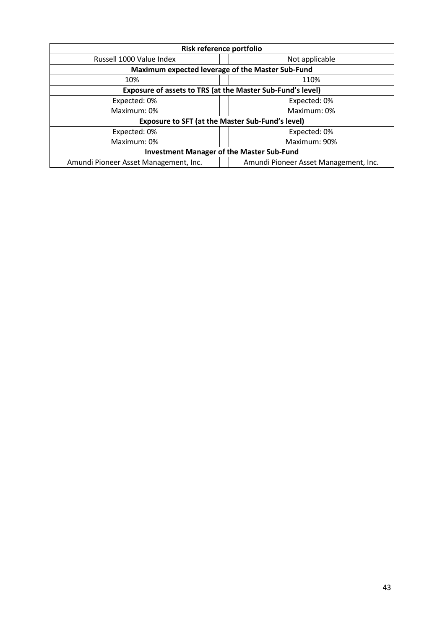| Risk reference portfolio                                   |                                       |  |
|------------------------------------------------------------|---------------------------------------|--|
| Russell 1000 Value Index                                   | Not applicable                        |  |
| Maximum expected leverage of the Master Sub-Fund           |                                       |  |
| 110%<br>10%                                                |                                       |  |
| Exposure of assets to TRS (at the Master Sub-Fund's level) |                                       |  |
| Expected: 0%                                               | Expected: 0%                          |  |
| Maximum: 0%                                                | Maximum: 0%                           |  |
| <b>Exposure to SFT (at the Master Sub-Fund's level)</b>    |                                       |  |
| Expected: 0%                                               | Expected: 0%                          |  |
| Maximum: 0%                                                | Maximum: 90%                          |  |
| <b>Investment Manager of the Master Sub-Fund</b>           |                                       |  |
| Amundi Pioneer Asset Management, Inc.                      | Amundi Pioneer Asset Management, Inc. |  |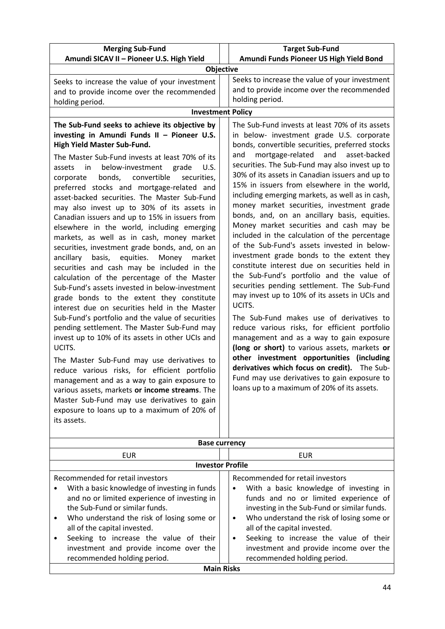| <b>Merging Sub-Fund</b>                                                                                                                                                                                                                                                                                                                                                                                                                                                                                                                                                                                                                                                                                                                                                                                                                                                                                                                                                                                                                                                                                                                                                                                                                                                                                                                                                                                               | <b>Target Sub-Fund</b>                                                                                                                                                                                                                                                                                                                                                                                                                                                                                                                                                                                                                                                                                                                                                                                                                                                                                                                                                                                                                                                                                                                                                                                                                                                                    |  |
|-----------------------------------------------------------------------------------------------------------------------------------------------------------------------------------------------------------------------------------------------------------------------------------------------------------------------------------------------------------------------------------------------------------------------------------------------------------------------------------------------------------------------------------------------------------------------------------------------------------------------------------------------------------------------------------------------------------------------------------------------------------------------------------------------------------------------------------------------------------------------------------------------------------------------------------------------------------------------------------------------------------------------------------------------------------------------------------------------------------------------------------------------------------------------------------------------------------------------------------------------------------------------------------------------------------------------------------------------------------------------------------------------------------------------|-------------------------------------------------------------------------------------------------------------------------------------------------------------------------------------------------------------------------------------------------------------------------------------------------------------------------------------------------------------------------------------------------------------------------------------------------------------------------------------------------------------------------------------------------------------------------------------------------------------------------------------------------------------------------------------------------------------------------------------------------------------------------------------------------------------------------------------------------------------------------------------------------------------------------------------------------------------------------------------------------------------------------------------------------------------------------------------------------------------------------------------------------------------------------------------------------------------------------------------------------------------------------------------------|--|
| Amundi SICAV II - Pioneer U.S. High Yield                                                                                                                                                                                                                                                                                                                                                                                                                                                                                                                                                                                                                                                                                                                                                                                                                                                                                                                                                                                                                                                                                                                                                                                                                                                                                                                                                                             | Amundi Funds Pioneer US High Yield Bond                                                                                                                                                                                                                                                                                                                                                                                                                                                                                                                                                                                                                                                                                                                                                                                                                                                                                                                                                                                                                                                                                                                                                                                                                                                   |  |
| Objective                                                                                                                                                                                                                                                                                                                                                                                                                                                                                                                                                                                                                                                                                                                                                                                                                                                                                                                                                                                                                                                                                                                                                                                                                                                                                                                                                                                                             |                                                                                                                                                                                                                                                                                                                                                                                                                                                                                                                                                                                                                                                                                                                                                                                                                                                                                                                                                                                                                                                                                                                                                                                                                                                                                           |  |
| Seeks to increase the value of your investment                                                                                                                                                                                                                                                                                                                                                                                                                                                                                                                                                                                                                                                                                                                                                                                                                                                                                                                                                                                                                                                                                                                                                                                                                                                                                                                                                                        | Seeks to increase the value of your investment                                                                                                                                                                                                                                                                                                                                                                                                                                                                                                                                                                                                                                                                                                                                                                                                                                                                                                                                                                                                                                                                                                                                                                                                                                            |  |
| and to provide income over the recommended                                                                                                                                                                                                                                                                                                                                                                                                                                                                                                                                                                                                                                                                                                                                                                                                                                                                                                                                                                                                                                                                                                                                                                                                                                                                                                                                                                            | and to provide income over the recommended                                                                                                                                                                                                                                                                                                                                                                                                                                                                                                                                                                                                                                                                                                                                                                                                                                                                                                                                                                                                                                                                                                                                                                                                                                                |  |
| holding period.                                                                                                                                                                                                                                                                                                                                                                                                                                                                                                                                                                                                                                                                                                                                                                                                                                                                                                                                                                                                                                                                                                                                                                                                                                                                                                                                                                                                       | holding period.                                                                                                                                                                                                                                                                                                                                                                                                                                                                                                                                                                                                                                                                                                                                                                                                                                                                                                                                                                                                                                                                                                                                                                                                                                                                           |  |
| <b>Investment Policy</b>                                                                                                                                                                                                                                                                                                                                                                                                                                                                                                                                                                                                                                                                                                                                                                                                                                                                                                                                                                                                                                                                                                                                                                                                                                                                                                                                                                                              |                                                                                                                                                                                                                                                                                                                                                                                                                                                                                                                                                                                                                                                                                                                                                                                                                                                                                                                                                                                                                                                                                                                                                                                                                                                                                           |  |
| The Sub-Fund seeks to achieve its objective by<br>investing in Amundi Funds II - Pioneer U.S.<br>High Yield Master Sub-Fund.<br>The Master Sub-Fund invests at least 70% of its<br>below-investment<br>grade<br>U.S.<br>assets<br>in<br>bonds,<br>convertible<br>securities,<br>corporate<br>preferred stocks and mortgage-related and<br>asset-backed securities. The Master Sub-Fund<br>may also invest up to 30% of its assets in<br>Canadian issuers and up to 15% in issuers from<br>elsewhere in the world, including emerging<br>markets, as well as in cash, money market<br>securities, investment grade bonds, and, on an<br>ancillary<br>basis,<br>equities.<br>Money<br>market<br>securities and cash may be included in the<br>calculation of the percentage of the Master<br>Sub-Fund's assets invested in below-investment<br>grade bonds to the extent they constitute<br>interest due on securities held in the Master<br>Sub-Fund's portfolio and the value of securities<br>pending settlement. The Master Sub-Fund may<br>invest up to 10% of its assets in other UCIs and<br>UCITS.<br>The Master Sub-Fund may use derivatives to<br>reduce various risks, for efficient portfolio<br>management and as a way to gain exposure to<br>various assets, markets or income streams. The<br>Master Sub-Fund may use derivatives to gain<br>exposure to loans up to a maximum of 20% of<br>its assets. | The Sub-Fund invests at least 70% of its assets<br>in below- investment grade U.S. corporate<br>bonds, convertible securities, preferred stocks<br>mortgage-related<br>and asset-backed<br>and<br>securities. The Sub-Fund may also invest up to<br>30% of its assets in Canadian issuers and up to<br>15% in issuers from elsewhere in the world,<br>including emerging markets, as well as in cash,<br>money market securities, investment grade<br>bonds, and, on an ancillary basis, equities.<br>Money market securities and cash may be<br>included in the calculation of the percentage<br>of the Sub-Fund's assets invested in below-<br>investment grade bonds to the extent they<br>constitute interest due on securities held in<br>the Sub-Fund's portfolio and the value of<br>securities pending settlement. The Sub-Fund<br>may invest up to 10% of its assets in UCIs and<br>UCITS.<br>The Sub-Fund makes use of derivatives to<br>reduce various risks, for efficient portfolio<br>management and as a way to gain exposure<br>(long or short) to various assets, markets or<br>other investment opportunities (including<br>derivatives which focus on credit). The Sub-<br>Fund may use derivatives to gain exposure to<br>loans up to a maximum of 20% of its assets. |  |
| <b>Base currency</b>                                                                                                                                                                                                                                                                                                                                                                                                                                                                                                                                                                                                                                                                                                                                                                                                                                                                                                                                                                                                                                                                                                                                                                                                                                                                                                                                                                                                  |                                                                                                                                                                                                                                                                                                                                                                                                                                                                                                                                                                                                                                                                                                                                                                                                                                                                                                                                                                                                                                                                                                                                                                                                                                                                                           |  |
| <b>EUR</b>                                                                                                                                                                                                                                                                                                                                                                                                                                                                                                                                                                                                                                                                                                                                                                                                                                                                                                                                                                                                                                                                                                                                                                                                                                                                                                                                                                                                            | <b>EUR</b>                                                                                                                                                                                                                                                                                                                                                                                                                                                                                                                                                                                                                                                                                                                                                                                                                                                                                                                                                                                                                                                                                                                                                                                                                                                                                |  |
| <b>Investor Profile</b>                                                                                                                                                                                                                                                                                                                                                                                                                                                                                                                                                                                                                                                                                                                                                                                                                                                                                                                                                                                                                                                                                                                                                                                                                                                                                                                                                                                               |                                                                                                                                                                                                                                                                                                                                                                                                                                                                                                                                                                                                                                                                                                                                                                                                                                                                                                                                                                                                                                                                                                                                                                                                                                                                                           |  |
| Recommended for retail investors<br>With a basic knowledge of investing in funds<br>and no or limited experience of investing in<br>the Sub-Fund or similar funds.<br>Who understand the risk of losing some or<br>٠<br>all of the capital invested.                                                                                                                                                                                                                                                                                                                                                                                                                                                                                                                                                                                                                                                                                                                                                                                                                                                                                                                                                                                                                                                                                                                                                                  | Recommended for retail investors<br>With a basic knowledge of investing in<br>funds and no or limited experience of<br>investing in the Sub-Fund or similar funds.<br>Who understand the risk of losing some or<br>$\bullet$<br>all of the capital invested.                                                                                                                                                                                                                                                                                                                                                                                                                                                                                                                                                                                                                                                                                                                                                                                                                                                                                                                                                                                                                              |  |

• Seeking to increase the value of their investment and provide income over the recommended holding period.

|                   | recommended holding period. |
|-------------------|-----------------------------|
| <b>Main Risks</b> |                             |

• Seeking to increase the value of their investment and provide income over the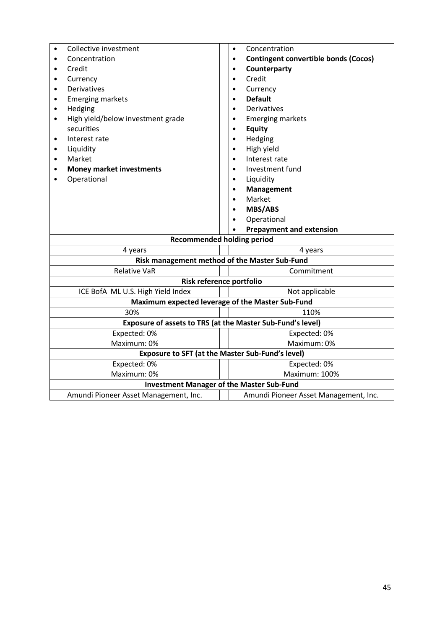| Collective investment                                      | Concentration<br>$\bullet$                               |  |
|------------------------------------------------------------|----------------------------------------------------------|--|
| Concentration<br>$\bullet$                                 | <b>Contingent convertible bonds (Cocos)</b><br>$\bullet$ |  |
| Credit<br>$\bullet$                                        | Counterparty                                             |  |
| Currency<br>٠                                              | Credit                                                   |  |
| <b>Derivatives</b><br>$\bullet$                            | Currency                                                 |  |
| <b>Emerging markets</b><br>$\bullet$                       | <b>Default</b><br>$\bullet$                              |  |
| Hedging<br>$\bullet$                                       | Derivatives<br>$\bullet$                                 |  |
| High yield/below investment grade<br>$\bullet$             | <b>Emerging markets</b><br>$\bullet$                     |  |
| securities                                                 | <b>Equity</b><br>$\bullet$                               |  |
| Interest rate<br>$\bullet$                                 | Hedging<br>$\bullet$                                     |  |
| Liquidity<br>$\bullet$                                     | High yield<br>$\bullet$                                  |  |
| Market<br>$\bullet$                                        | Interest rate<br>$\bullet$                               |  |
| <b>Money market investments</b>                            | Investment fund<br>$\bullet$                             |  |
| Operational                                                | Liquidity<br>$\bullet$                                   |  |
|                                                            | Management                                               |  |
|                                                            | Market                                                   |  |
|                                                            | <b>MBS/ABS</b>                                           |  |
|                                                            | Operational                                              |  |
|                                                            | <b>Prepayment and extension</b>                          |  |
| <b>Recommended holding period</b>                          |                                                          |  |
| 4 years<br>4 years                                         |                                                          |  |
| Risk management method of the Master Sub-Fund              |                                                          |  |
| Commitment<br><b>Relative VaR</b>                          |                                                          |  |
| Risk reference portfolio                                   |                                                          |  |
| ICE BofA ML U.S. High Yield Index                          | Not applicable                                           |  |
|                                                            | Maximum expected leverage of the Master Sub-Fund         |  |
| 30%<br>110%                                                |                                                          |  |
| Exposure of assets to TRS (at the Master Sub-Fund's level) |                                                          |  |
| Expected: 0%                                               | Expected: 0%                                             |  |
| Maximum: 0%                                                | Maximum: 0%                                              |  |
|                                                            | Exposure to SFT (at the Master Sub-Fund's level)         |  |
| Expected: 0%                                               | Expected: 0%                                             |  |
| Maximum: 0%                                                | Maximum: 100%                                            |  |
| <b>Investment Manager of the Master Sub-Fund</b>           |                                                          |  |
| Amundi Pioneer Asset Management, Inc.                      | Amundi Pioneer Asset Management, Inc.                    |  |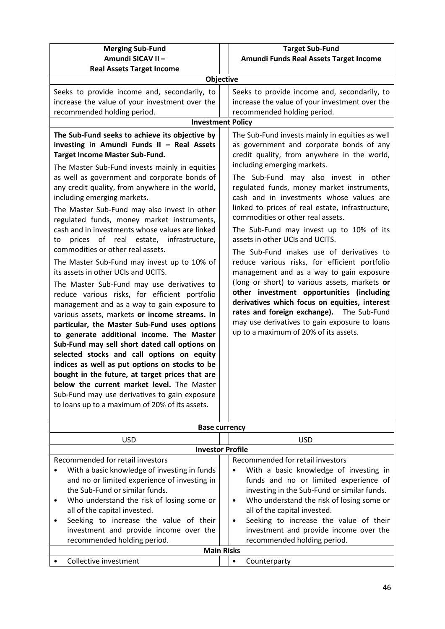| <b>Merging Sub-Fund</b><br>Amundi SICAV II -                                                                                                                                                                                                                                                                                                                                                                                                                                                                                                                                                                                                                                                                                                                                                                                                                                                                                                                                                                                                                                                          | <b>Target Sub-Fund</b>                                                                                                                                                                                                                                                                                                                                                                                                                                                                                                                                                                                                                                                                                                                                                                                                                                                                                                                                                                                                                               |  |
|-------------------------------------------------------------------------------------------------------------------------------------------------------------------------------------------------------------------------------------------------------------------------------------------------------------------------------------------------------------------------------------------------------------------------------------------------------------------------------------------------------------------------------------------------------------------------------------------------------------------------------------------------------------------------------------------------------------------------------------------------------------------------------------------------------------------------------------------------------------------------------------------------------------------------------------------------------------------------------------------------------------------------------------------------------------------------------------------------------|------------------------------------------------------------------------------------------------------------------------------------------------------------------------------------------------------------------------------------------------------------------------------------------------------------------------------------------------------------------------------------------------------------------------------------------------------------------------------------------------------------------------------------------------------------------------------------------------------------------------------------------------------------------------------------------------------------------------------------------------------------------------------------------------------------------------------------------------------------------------------------------------------------------------------------------------------------------------------------------------------------------------------------------------------|--|
|                                                                                                                                                                                                                                                                                                                                                                                                                                                                                                                                                                                                                                                                                                                                                                                                                                                                                                                                                                                                                                                                                                       | Amundi Funds Real Assets Target Income                                                                                                                                                                                                                                                                                                                                                                                                                                                                                                                                                                                                                                                                                                                                                                                                                                                                                                                                                                                                               |  |
| Objective                                                                                                                                                                                                                                                                                                                                                                                                                                                                                                                                                                                                                                                                                                                                                                                                                                                                                                                                                                                                                                                                                             |                                                                                                                                                                                                                                                                                                                                                                                                                                                                                                                                                                                                                                                                                                                                                                                                                                                                                                                                                                                                                                                      |  |
| <b>Real Assets Target Income</b><br>Seeks to provide income and, secondarily, to<br>increase the value of your investment over the<br>recommended holding period.<br><b>Investment Policy</b><br>The Sub-Fund seeks to achieve its objective by<br>investing in Amundi Funds II - Real Assets<br><b>Target Income Master Sub-Fund.</b><br>The Master Sub-Fund invests mainly in equities<br>as well as government and corporate bonds of<br>any credit quality, from anywhere in the world,<br>including emerging markets.<br>The Master Sub-Fund may also invest in other<br>regulated funds, money market instruments,<br>cash and in investments whose values are linked<br>prices of real estate, infrastructure,<br>to<br>commodities or other real assets.<br>The Master Sub-Fund may invest up to 10% of<br>its assets in other UCIs and UCITS.<br>The Master Sub-Fund may use derivatives to<br>reduce various risks, for efficient portfolio<br>management and as a way to gain exposure to<br>various assets, markets or income streams. In<br>particular, the Master Sub-Fund uses options | Seeks to provide income and, secondarily, to<br>increase the value of your investment over the<br>recommended holding period.<br>The Sub-Fund invests mainly in equities as well<br>as government and corporate bonds of any<br>credit quality, from anywhere in the world,<br>including emerging markets.<br>The Sub-Fund may also invest in other<br>regulated funds, money market instruments,<br>cash and in investments whose values are<br>linked to prices of real estate, infrastructure,<br>commodities or other real assets.<br>The Sub-Fund may invest up to 10% of its<br>assets in other UCIs and UCITS.<br>The Sub-Fund makes use of derivatives to<br>reduce various risks, for efficient portfolio<br>management and as a way to gain exposure<br>(long or short) to various assets, markets or<br>other investment opportunities (including<br>derivatives which focus on equities, interest<br>rates and foreign exchange). The Sub-Fund<br>may use derivatives to gain exposure to loans<br>up to a maximum of 20% of its assets. |  |
| to generate additional income. The Master                                                                                                                                                                                                                                                                                                                                                                                                                                                                                                                                                                                                                                                                                                                                                                                                                                                                                                                                                                                                                                                             |                                                                                                                                                                                                                                                                                                                                                                                                                                                                                                                                                                                                                                                                                                                                                                                                                                                                                                                                                                                                                                                      |  |
| Sub-Fund may sell short dated call options on<br>selected stocks and call options on equity                                                                                                                                                                                                                                                                                                                                                                                                                                                                                                                                                                                                                                                                                                                                                                                                                                                                                                                                                                                                           |                                                                                                                                                                                                                                                                                                                                                                                                                                                                                                                                                                                                                                                                                                                                                                                                                                                                                                                                                                                                                                                      |  |
| indices as well as put options on stocks to be                                                                                                                                                                                                                                                                                                                                                                                                                                                                                                                                                                                                                                                                                                                                                                                                                                                                                                                                                                                                                                                        |                                                                                                                                                                                                                                                                                                                                                                                                                                                                                                                                                                                                                                                                                                                                                                                                                                                                                                                                                                                                                                                      |  |
| bought in the future, at target prices that are                                                                                                                                                                                                                                                                                                                                                                                                                                                                                                                                                                                                                                                                                                                                                                                                                                                                                                                                                                                                                                                       |                                                                                                                                                                                                                                                                                                                                                                                                                                                                                                                                                                                                                                                                                                                                                                                                                                                                                                                                                                                                                                                      |  |
| below the current market level. The Master                                                                                                                                                                                                                                                                                                                                                                                                                                                                                                                                                                                                                                                                                                                                                                                                                                                                                                                                                                                                                                                            |                                                                                                                                                                                                                                                                                                                                                                                                                                                                                                                                                                                                                                                                                                                                                                                                                                                                                                                                                                                                                                                      |  |
| Sub-Fund may use derivatives to gain exposure<br>to loans up to a maximum of 20% of its assets.                                                                                                                                                                                                                                                                                                                                                                                                                                                                                                                                                                                                                                                                                                                                                                                                                                                                                                                                                                                                       |                                                                                                                                                                                                                                                                                                                                                                                                                                                                                                                                                                                                                                                                                                                                                                                                                                                                                                                                                                                                                                                      |  |
| <b>Base currency</b>                                                                                                                                                                                                                                                                                                                                                                                                                                                                                                                                                                                                                                                                                                                                                                                                                                                                                                                                                                                                                                                                                  |                                                                                                                                                                                                                                                                                                                                                                                                                                                                                                                                                                                                                                                                                                                                                                                                                                                                                                                                                                                                                                                      |  |

| <b>USD</b>                                                                                                                                                                                                                                                                                                                                                    | <b>USD</b>                                                                                                                                                                                                                                                                                                                                               |  |
|---------------------------------------------------------------------------------------------------------------------------------------------------------------------------------------------------------------------------------------------------------------------------------------------------------------------------------------------------------------|----------------------------------------------------------------------------------------------------------------------------------------------------------------------------------------------------------------------------------------------------------------------------------------------------------------------------------------------------------|--|
| <b>Investor Profile</b>                                                                                                                                                                                                                                                                                                                                       |                                                                                                                                                                                                                                                                                                                                                          |  |
| Recommended for retail investors<br>Recommended for retail investors                                                                                                                                                                                                                                                                                          |                                                                                                                                                                                                                                                                                                                                                          |  |
| With a basic knowledge of investing in funds<br>٠<br>and no or limited experience of investing in<br>the Sub-Fund or similar funds.<br>Who understand the risk of losing some or<br>$\bullet$<br>all of the capital invested.<br>Seeking to increase the value of their<br>$\bullet$<br>investment and provide income over the<br>recommended holding period. | With a basic knowledge of investing in<br>funds and no or limited experience of<br>investing in the Sub-Fund or similar funds.<br>Who understand the risk of losing some or<br>$\bullet$<br>all of the capital invested.<br>Seeking to increase the value of their<br>$\bullet$<br>investment and provide income over the<br>recommended holding period. |  |
|                                                                                                                                                                                                                                                                                                                                                               | <b>Main Risks</b>                                                                                                                                                                                                                                                                                                                                        |  |
| Collective investment                                                                                                                                                                                                                                                                                                                                         | Counterparty                                                                                                                                                                                                                                                                                                                                             |  |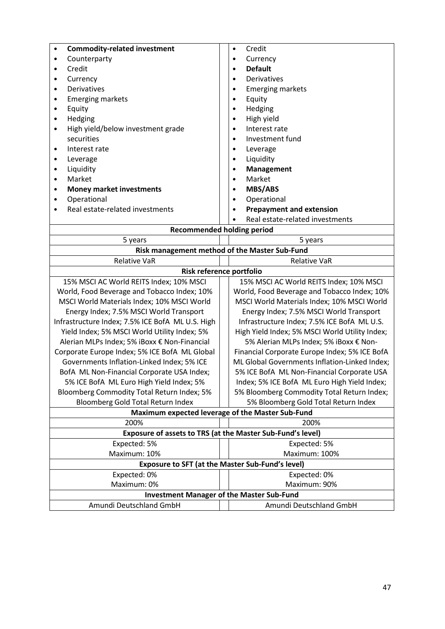| <b>Commodity-related investment</b><br>$\bullet$   | Credit<br>$\bullet$                                        |  |
|----------------------------------------------------|------------------------------------------------------------|--|
| Counterparty<br>$\bullet$                          | Currency<br>$\bullet$                                      |  |
| Credit<br>٠                                        | <b>Default</b><br>$\bullet$                                |  |
| Currency<br>$\bullet$                              | Derivatives<br>$\bullet$                                   |  |
| <b>Derivatives</b><br>$\bullet$                    | <b>Emerging markets</b><br>$\bullet$                       |  |
| <b>Emerging markets</b><br>٠                       | Equity<br>$\bullet$                                        |  |
| Equity<br>٠                                        | Hedging                                                    |  |
| Hedging<br>$\bullet$                               | High yield<br>$\bullet$                                    |  |
| High yield/below investment grade<br>٠             | Interest rate<br>$\bullet$                                 |  |
| securities                                         | Investment fund<br>$\bullet$                               |  |
| Interest rate<br>٠                                 | Leverage                                                   |  |
| Leverage<br>$\bullet$                              | Liquidity                                                  |  |
| Liquidity<br>$\bullet$                             | <b>Management</b>                                          |  |
| Market<br>$\bullet$                                | Market                                                     |  |
| <b>Money market investments</b><br>٠               | <b>MBS/ABS</b>                                             |  |
| Operational<br>٠                                   | Operational                                                |  |
| Real estate-related investments                    | <b>Prepayment and extension</b>                            |  |
|                                                    | Real estate-related investments                            |  |
| <b>Recommended holding period</b>                  |                                                            |  |
| 5 years                                            | 5 years                                                    |  |
| Risk management method of the Master Sub-Fund      |                                                            |  |
| <b>Relative VaR</b>                                | <b>Relative VaR</b>                                        |  |
| Risk reference portfolio                           |                                                            |  |
| 15% MSCI AC World REITS Index; 10% MSCI            | 15% MSCI AC World REITS Index; 10% MSCI                    |  |
| World, Food Beverage and Tobacco Index; 10%        | World, Food Beverage and Tobacco Index; 10%                |  |
| MSCI World Materials Index; 10% MSCI World         | MSCI World Materials Index; 10% MSCI World                 |  |
| Energy Index; 7.5% MSCI World Transport            | Energy Index; 7.5% MSCI World Transport                    |  |
| Infrastructure Index; 7.5% ICE BofA ML U.S. High   | Infrastructure Index; 7.5% ICE BofA ML U.S.                |  |
| Yield Index; 5% MSCI World Utility Index; 5%       | High Yield Index; 5% MSCI World Utility Index;             |  |
| Alerian MLPs Index; 5% iBoxx € Non-Financial       | 5% Alerian MLPs Index; 5% iBoxx € Non-                     |  |
| Corporate Europe Index; 5% ICE BofA ML Global      | Financial Corporate Europe Index; 5% ICE BofA              |  |
| Governments Inflation-Linked Index; 5% ICE         | ML Global Governments Inflation-Linked Index;              |  |
| BofA ML Non-Financial Corporate USA Index;         | 5% ICE BofA ML Non-Financial Corporate USA                 |  |
| 5% ICE BofA ML Euro High Yield Index; 5%           | Index; 5% ICE BofA ML Euro High Yield Index;               |  |
| Bloomberg Commodity Total Return Index; 5%         | 5% Bloomberg Commodity Total Return Index;                 |  |
| Bloomberg Gold Total Return Index                  | 5% Bloomberg Gold Total Return Index                       |  |
|                                                    | Maximum expected leverage of the Master Sub-Fund           |  |
| 200%                                               | 200%                                                       |  |
|                                                    | Exposure of assets to TRS (at the Master Sub-Fund's level) |  |
| Expected: 5%                                       | Expected: 5%                                               |  |
| Maximum: 10%                                       | Maximum: 100%                                              |  |
| Exposure to SFT (at the Master Sub-Fund's level)   |                                                            |  |
| Expected: 0%<br>Expected: 0%                       |                                                            |  |
| Maximum: 0%                                        | Maximum: 90%                                               |  |
| <b>Investment Manager of the Master Sub-Fund</b>   |                                                            |  |
| Amundi Deutschland GmbH<br>Amundi Deutschland GmbH |                                                            |  |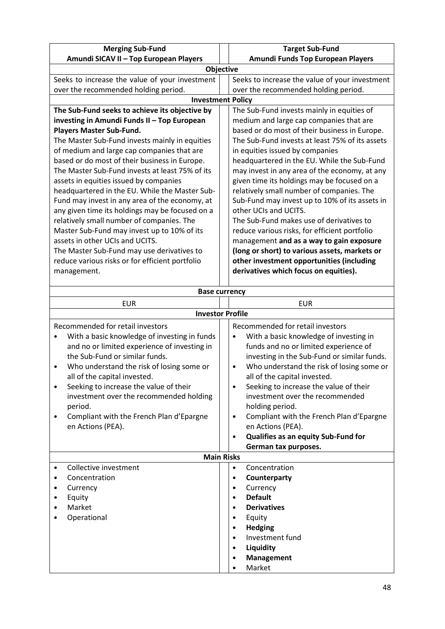| <b>Merging Sub-Fund</b>                         | <b>Target Sub-Fund</b>                          |  |
|-------------------------------------------------|-------------------------------------------------|--|
| Amundi SICAV II - Top European Players          | Amundi Funds Top European Players               |  |
| Objective                                       |                                                 |  |
| Seeks to increase the value of your investment  | Seeks to increase the value of your investment  |  |
| over the recommended holding period.            | over the recommended holding period.            |  |
| <b>Investment Policy</b>                        |                                                 |  |
| The Sub-Fund seeks to achieve its objective by  | The Sub-Fund invests mainly in equities of      |  |
| investing in Amundi Funds II - Top European     | medium and large cap companies that are         |  |
| <b>Players Master Sub-Fund.</b>                 | based or do most of their business in Europe.   |  |
| The Master Sub-Fund invests mainly in equities  | The Sub-Fund invests at least 75% of its assets |  |
| of medium and large cap companies that are      | in equities issued by companies                 |  |
| based or do most of their business in Europe.   | headquartered in the EU. While the Sub-Fund     |  |
| The Master Sub-Fund invests at least 75% of its | may invest in any area of the economy, at any   |  |
| assets in equities issued by companies          | given time its holdings may be focused on a     |  |
| headquartered in the EU. While the Master Sub-  | relatively small number of companies. The       |  |
| Fund may invest in any area of the economy, at  | Sub-Fund may invest up to 10% of its assets in  |  |
| any given time its holdings may be focused on a | other UCIs and UCITS.                           |  |
| relatively small number of companies. The       | The Sub-Fund makes use of derivatives to        |  |
| Master Sub-Fund may invest up to 10% of its     | reduce various risks, for efficient portfolio   |  |
| assets in other UCIs and UCITS.                 | management and as a way to gain exposure        |  |
| The Master Sub-Fund may use derivatives to      | (long or short) to various assets, markets or   |  |
| reduce various risks or for efficient portfolio | other investment opportunities (including       |  |
| management.                                     | derivatives which focus on equities).           |  |
|                                                 |                                                 |  |

| <b>Base currency</b>                                                                                                                                                                                                                                                                                                                                                                                                  |                                                                                                                                                                                                                                                                                                                                                                                                                                                                                                           |  |
|-----------------------------------------------------------------------------------------------------------------------------------------------------------------------------------------------------------------------------------------------------------------------------------------------------------------------------------------------------------------------------------------------------------------------|-----------------------------------------------------------------------------------------------------------------------------------------------------------------------------------------------------------------------------------------------------------------------------------------------------------------------------------------------------------------------------------------------------------------------------------------------------------------------------------------------------------|--|
| <b>EUR</b>                                                                                                                                                                                                                                                                                                                                                                                                            | <b>EUR</b>                                                                                                                                                                                                                                                                                                                                                                                                                                                                                                |  |
| <b>Investor Profile</b>                                                                                                                                                                                                                                                                                                                                                                                               |                                                                                                                                                                                                                                                                                                                                                                                                                                                                                                           |  |
| Recommended for retail investors<br>With a basic knowledge of investing in funds<br>and no or limited experience of investing in<br>the Sub-Fund or similar funds.<br>Who understand the risk of losing some or<br>all of the capital invested.<br>Seeking to increase the value of their<br>٠<br>investment over the recommended holding<br>period.<br>Compliant with the French Plan d'Epargne<br>en Actions (PEA). | Recommended for retail investors<br>With a basic knowledge of investing in<br>funds and no or limited experience of<br>investing in the Sub-Fund or similar funds.<br>Who understand the risk of losing some or<br>$\bullet$<br>all of the capital invested.<br>Seeking to increase the value of their<br>investment over the recommended<br>holding period.<br>Compliant with the French Plan d'Epargne<br>$\bullet$<br>en Actions (PEA).<br>Qualifies as an equity Sub-Fund for<br>German tax purposes. |  |
| <b>Main Risks</b>                                                                                                                                                                                                                                                                                                                                                                                                     |                                                                                                                                                                                                                                                                                                                                                                                                                                                                                                           |  |
| Collective investment<br>Concentration<br>Currency<br>٠<br>Equity<br>Market<br>Operational                                                                                                                                                                                                                                                                                                                            | Concentration<br>$\bullet$<br>Counterparty<br>Currency<br>$\bullet$<br><b>Default</b><br><b>Derivatives</b><br>Equity<br><b>Hedging</b><br>Investment fund<br>$\bullet$<br>Liquidity<br>Management<br>Market                                                                                                                                                                                                                                                                                              |  |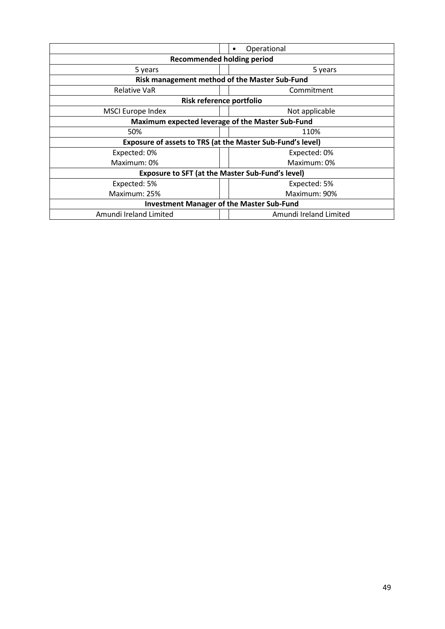|                                                            | Operational                                   |  |  |
|------------------------------------------------------------|-----------------------------------------------|--|--|
| <b>Recommended holding period</b>                          |                                               |  |  |
| 5 years<br>5 years                                         |                                               |  |  |
|                                                            | Risk management method of the Master Sub-Fund |  |  |
| <b>Relative VaR</b>                                        | Commitment                                    |  |  |
| Risk reference portfolio                                   |                                               |  |  |
| <b>MSCI Europe Index</b>                                   | Not applicable                                |  |  |
| Maximum expected leverage of the Master Sub-Fund           |                                               |  |  |
| 50%                                                        | 110%                                          |  |  |
| Exposure of assets to TRS (at the Master Sub-Fund's level) |                                               |  |  |
| Expected: 0%                                               | Expected: 0%                                  |  |  |
| Maximum: 0%                                                | Maximum: 0%                                   |  |  |
| <b>Exposure to SFT (at the Master Sub-Fund's level)</b>    |                                               |  |  |
| Expected: 5%                                               | Expected: 5%                                  |  |  |
| Maximum: 25%                                               | Maximum: 90%                                  |  |  |
| <b>Investment Manager of the Master Sub-Fund</b>           |                                               |  |  |
| Amundi Ireland Limited                                     | Amundi Ireland Limited                        |  |  |